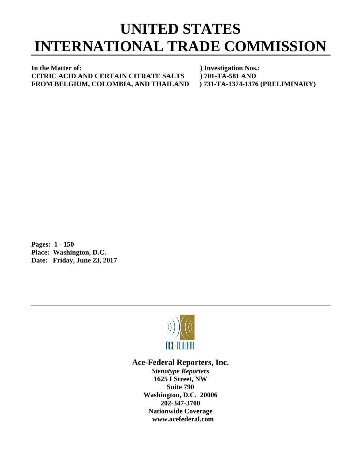## **UNITED STATES INTERNATIONAL TRADE COMMISSION**

**In the Matter of: ) Investigation Nos.: CITRIC ACID AND CERTAIN CITRATE SALTS ) 701-TA-581 AND FROM BELGIUM, COLOMBIA, AND THAILAND ) 731-TA-1374-1376 (PRELIMINARY)**

**Pages: 1 - 150 Place: Washington, D.C. Date: Friday, June 23, 2017**



## **Ace-Federal Reporters, Inc.**

*Stenotype Reporters* **1625 I Street, NW Suite 790 Washington, D.C. 20006 202-347-3700 Nationwide Coverage www.acefederal.com**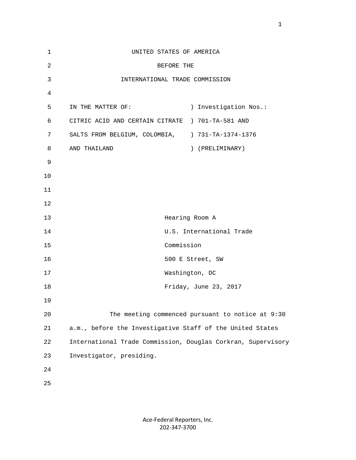| 1              | UNITED STATES OF AMERICA                                     |                       |
|----------------|--------------------------------------------------------------|-----------------------|
| $\overline{a}$ | BEFORE THE                                                   |                       |
| 3              | INTERNATIONAL TRADE COMMISSION                               |                       |
| 4              |                                                              |                       |
| 5              | IN THE MATTER OF:                                            | ) Investigation Nos.: |
| 6              | CITRIC ACID AND CERTAIN CITRATE ) 701-TA-581 AND             |                       |
| 7              | SALTS FROM BELGIUM, COLOMBIA, ) 731-TA-1374-1376             |                       |
| 8              | AND THAILAND<br>) (PRELIMINARY)                              |                       |
| 9              |                                                              |                       |
| 10             |                                                              |                       |
| 11             |                                                              |                       |
| 12             |                                                              |                       |
| 13             | Hearing Room A                                               |                       |
| 14             | U.S. International Trade                                     |                       |
| 15             | Commission                                                   |                       |
| 16             | 500 E Street, SW                                             |                       |
| 17             | Washington, DC                                               |                       |
| 18             | Friday, June 23, 2017                                        |                       |
| 19             |                                                              |                       |
| $20$           | The meeting commenced pursuant to notice at 9:30             |                       |
| 21             | a.m., before the Investigative Staff of the United States    |                       |
| 22             | International Trade Commission, Douglas Corkran, Supervisory |                       |
| 23             | Investigator, presiding.                                     |                       |
| 24             |                                                              |                       |
| 25             |                                                              |                       |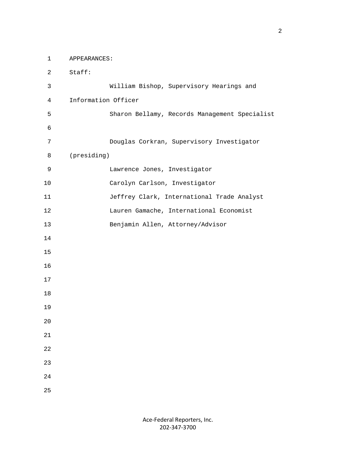1 APPEARANCES: 2 Staff: 3 William Bishop, Supervisory Hearings and 4 Information Officer 5 Sharon Bellamy, Records Management Specialist 6 7 Douglas Corkran, Supervisory Investigator 8 (presiding) 9 Lawrence Jones, Investigator 10 Carolyn Carlson, Investigator 11 Jeffrey Clark, International Trade Analyst 12 Lauren Gamache, International Economist 13 Benjamin Allen, Attorney/Advisor 14 15 16 17 18 19 20 21 22 23 24 25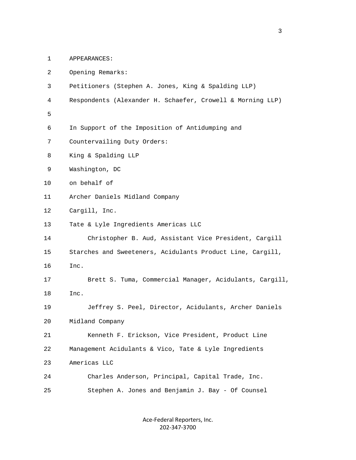1 APPEARANCES:

| $\overline{a}$ | Opening Remarks:                                           |
|----------------|------------------------------------------------------------|
| 3              | Petitioners (Stephen A. Jones, King & Spalding LLP)        |
| 4              | Respondents (Alexander H. Schaefer, Crowell & Morning LLP) |
| 5              |                                                            |
| 6              | In Support of the Imposition of Antidumping and            |
| 7              | Countervailing Duty Orders:                                |
| 8              | King & Spalding LLP                                        |
| 9              | Washington, DC                                             |
| 10             | on behalf of                                               |
| 11             | Archer Daniels Midland Company                             |
| 12             | Cargill, Inc.                                              |
| 13             | Tate & Lyle Ingredients Americas LLC                       |
| 14             | Christopher B. Aud, Assistant Vice President, Cargill      |
| 15             | Starches and Sweeteners, Acidulants Product Line, Cargill, |
| 16             | Inc.                                                       |
| 17             | Brett S. Tuma, Commercial Manager, Acidulants, Cargill,    |
| 18             | Inc.                                                       |
| 19             | Jeffrey S. Peel, Director, Acidulants, Archer Daniels      |
| 20             | Midland Company                                            |
| 21             | Kenneth F. Erickson, Vice President, Product Line          |
| 22             | Management Acidulants & Vico, Tate & Lyle Ingredients      |
| 23             | Americas LLC                                               |
| 24             | Charles Anderson, Principal, Capital Trade, Inc.           |
| 25             | Stephen A. Jones and Benjamin J. Bay - Of Counsel          |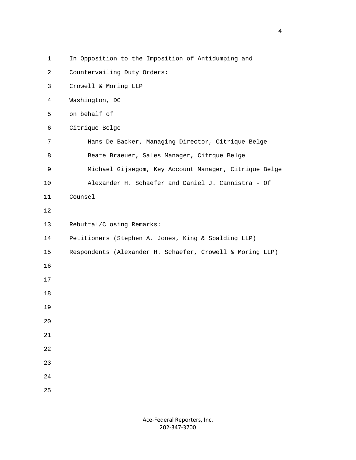- 1 In Opposition to the Imposition of Antidumping and
- 2 Countervailing Duty Orders:
- 3 Crowell & Moring LLP
- 4 Washington, DC
- 5 on behalf of
- 6 Citrique Belge
- 7 Hans De Backer, Managing Director, Citrique Belge 8 Beate Braeuer, Sales Manager, Citrque Belge
- 9 Michael Gijsegom, Key Account Manager, Citrique Belge
- 10 Alexander H. Schaefer and Daniel J. Cannistra Of
- 11 Counsel
- 12
- 13 Rebuttal/Closing Remarks:
- 14 Petitioners (Stephen A. Jones, King & Spalding LLP)
- 15 Respondents (Alexander H. Schaefer, Crowell & Moring LLP)
- 16
- 17
- 18
- 19
- 
- 20
- 21
- 22
- 23
- 24
- 25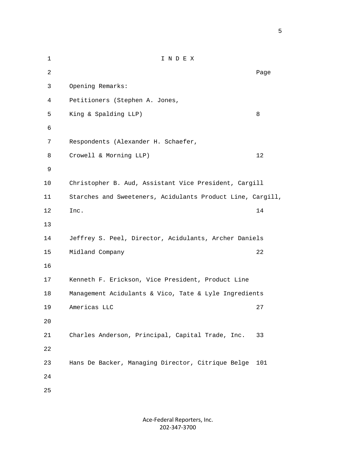1 I N D E X 2 December 2014 and 2014 and 2014 and 2014 and 2014 and 2014 and 2014 and 2014 and 2014 and 2014 and 2014 and 3 Opening Remarks: 4 Petitioners (Stephen A. Jones, 5 King & Spalding LLP) 8 6 7 Respondents (Alexander H. Schaefer, 8 Crowell & Morning LLP) 12 9 10 Christopher B. Aud, Assistant Vice President, Cargill 11 Starches and Sweeteners, Acidulants Product Line, Cargill, 12 Inc. 14 13 14 Jeffrey S. Peel, Director, Acidulants, Archer Daniels 15 Midland Company 22 16 17 Kenneth F. Erickson, Vice President, Product Line 18 Management Acidulants & Vico, Tate & Lyle Ingredients 19 Americas LLC 27 20 21 Charles Anderson, Principal, Capital Trade, Inc. 33 22 23 Hans De Backer, Managing Director, Citrique Belge 101 24 25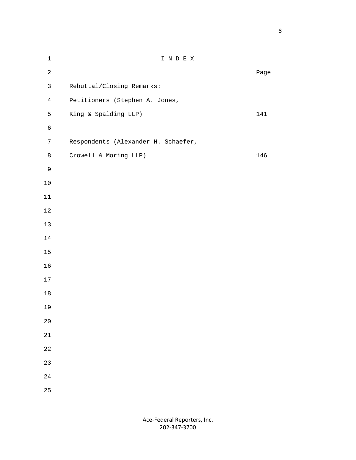| $\mathbf 1$    | I N D E X                           |      |
|----------------|-------------------------------------|------|
| $\overline{a}$ |                                     | Page |
| $\mathsf{3}$   | Rebuttal/Closing Remarks:           |      |
| $\overline{4}$ | Petitioners (Stephen A. Jones,      |      |
| 5              | King & Spalding LLP)                | 141  |
| $\epsilon$     |                                     |      |
| $\overline{7}$ | Respondents (Alexander H. Schaefer, |      |
| 8              | Crowell & Moring LLP)               | 146  |
| 9              |                                     |      |
| $10\,$         |                                     |      |
| $11\,$         |                                     |      |
| $12\,$         |                                     |      |
| 13             |                                     |      |
| $14\,$         |                                     |      |
| 15             |                                     |      |
| 16             |                                     |      |
| $17\,$         |                                     |      |
| $18\,$         |                                     |      |
| 19             |                                     |      |
| $2\,0$         |                                     |      |
| 21             |                                     |      |
| 22             |                                     |      |
| 23             |                                     |      |
| 24             |                                     |      |
| 25             |                                     |      |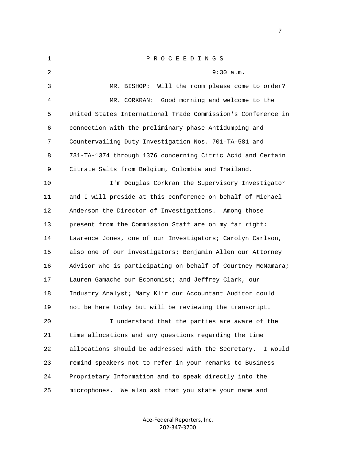| $\mathbf{1}$ | P R O C E E D I N G S                                          |
|--------------|----------------------------------------------------------------|
| 2            | 9:30 a.m.                                                      |
| 3            | Will the room please come to order?<br>MR. BISHOP:             |
| 4            | Good morning and welcome to the<br>MR. CORKRAN:                |
| 5            | United States International Trade Commission's Conference in   |
| 6            | connection with the preliminary phase Antidumping and          |
| 7            | Countervailing Duty Investigation Nos. 701-TA-581 and          |
| 8            | 731-TA-1374 through 1376 concerning Citric Acid and Certain    |
| 9            | Citrate Salts from Belgium, Colombia and Thailand.             |
| 10           | I'm Douglas Corkran the Supervisory Investigator               |
| 11           | and I will preside at this conference on behalf of Michael     |
| 12           | Anderson the Director of Investigations. Among those           |
| 13           | present from the Commission Staff are on my far right:         |
| 14           | Lawrence Jones, one of our Investigators; Carolyn Carlson,     |
| 15           | also one of our investigators; Benjamin Allen our Attorney     |
| 16           | Advisor who is participating on behalf of Courtney McNamara;   |
| 17           | Lauren Gamache our Economist; and Jeffrey Clark, our           |
| 18           | Industry Analyst; Mary Klir our Accountant Auditor could       |
| 19           | not be here today but will be reviewing the transcript.        |
| 20           | I understand that the parties are aware of the                 |
| 21           | time allocations and any questions regarding the time          |
| 22           | allocations should be addressed with the Secretary.<br>I would |
| 23           | remind speakers not to refer in your remarks to Business       |
| 24           | Proprietary Information and to speak directly into the         |
| 25           | We also ask that you state your name and<br>microphones.       |
|              |                                                                |

Ace-Federal Reporters, Inc. 202-347-3700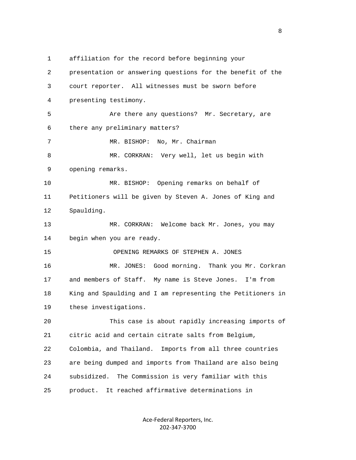1 affiliation for the record before beginning your 2 presentation or answering questions for the benefit of the 3 court reporter. All witnesses must be sworn before 4 presenting testimony. 5 **Are there any questions?** Mr. Secretary, are 6 there any preliminary matters? 7 MR. BISHOP: No, Mr. Chairman 8 MR. CORKRAN: Very well, let us begin with 9 opening remarks. 10 MR. BISHOP: Opening remarks on behalf of 11 Petitioners will be given by Steven A. Jones of King and 12 Spaulding. 13 MR. CORKRAN: Welcome back Mr. Jones, you may 14 begin when you are ready. 15 OPENING REMARKS OF STEPHEN A. JONES 16 MR. JONES: Good morning. Thank you Mr. Corkran 17 and members of Staff. My name is Steve Jones. I'm from 18 King and Spaulding and I am representing the Petitioners in 19 these investigations. 20 This case is about rapidly increasing imports of 21 citric acid and certain citrate salts from Belgium, 22 Colombia, and Thailand. Imports from all three countries 23 are being dumped and imports from Thailand are also being 24 subsidized. The Commission is very familiar with this 25 product. It reached affirmative determinations in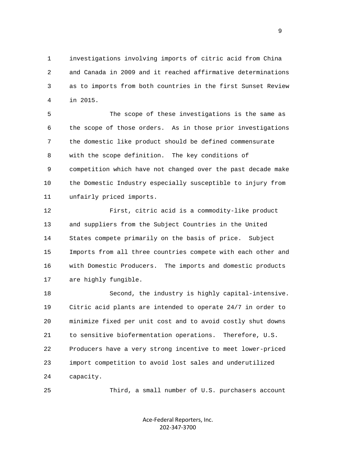1 investigations involving imports of citric acid from China 2 and Canada in 2009 and it reached affirmative determinations 3 as to imports from both countries in the first Sunset Review 4 in 2015.

 5 The scope of these investigations is the same as 6 the scope of those orders. As in those prior investigations 7 the domestic like product should be defined commensurate 8 with the scope definition. The key conditions of 9 competition which have not changed over the past decade make 10 the Domestic Industry especially susceptible to injury from 11 unfairly priced imports.

 12 First, citric acid is a commodity-like product 13 and suppliers from the Subject Countries in the United 14 States compete primarily on the basis of price. Subject 15 Imports from all three countries compete with each other and 16 with Domestic Producers. The imports and domestic products 17 are highly fungible.

 18 Second, the industry is highly capital-intensive. 19 Citric acid plants are intended to operate 24/7 in order to 20 minimize fixed per unit cost and to avoid costly shut downs 21 to sensitive biofermentation operations. Therefore, U.S. 22 Producers have a very strong incentive to meet lower-priced 23 import competition to avoid lost sales and underutilized 24 capacity.

25 Third, a small number of U.S. purchasers account

Ace-Federal Reporters, Inc. 202-347-3700

 $\sim$  9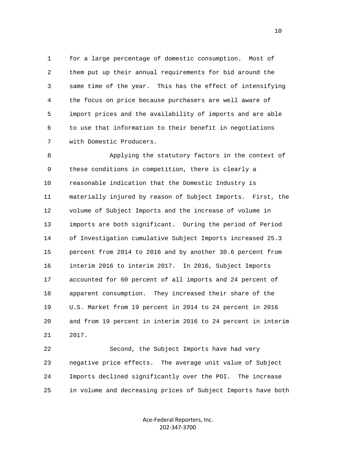1 for a large percentage of domestic consumption. Most of 2 them put up their annual requirements for bid around the 3 same time of the year. This has the effect of intensifying 4 the focus on price because purchasers are well aware of 5 import prices and the availability of imports and are able 6 to use that information to their benefit in negotiations 7 with Domestic Producers.

 8 Applying the statutory factors in the context of 9 these conditions in competition, there is clearly a 10 reasonable indication that the Domestic Industry is 11 materially injured by reason of Subject Imports. First, the 12 volume of Subject Imports and the increase of volume in 13 imports are both significant. During the period of Period 14 of Investigation cumulative Subject Imports increased 25.3 15 percent from 2014 to 2016 and by another 30.6 percent from 16 interim 2016 to interim 2017. In 2016, Subject Imports 17 accounted for 60 percent of all imports and 24 percent of 18 apparent consumption. They increased their share of the 19 U.S. Market from 19 percent in 2014 to 24 percent in 2016 20 and from 19 percent in interim 2016 to 24 percent in interim 21 2017.

 22 Second, the Subject Imports have had very 23 negative price effects. The average unit value of Subject 24 Imports declined significantly over the POI. The increase 25 in volume and decreasing prices of Subject Imports have both

> Ace-Federal Reporters, Inc. 202-347-3700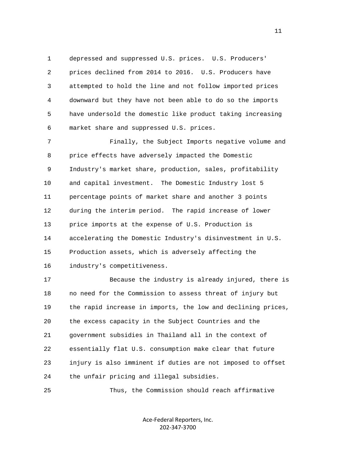1 depressed and suppressed U.S. prices. U.S. Producers' 2 prices declined from 2014 to 2016. U.S. Producers have 3 attempted to hold the line and not follow imported prices 4 downward but they have not been able to do so the imports 5 have undersold the domestic like product taking increasing 6 market share and suppressed U.S. prices.

 7 Finally, the Subject Imports negative volume and 8 price effects have adversely impacted the Domestic 9 Industry's market share, production, sales, profitability 10 and capital investment. The Domestic Industry lost 5 11 percentage points of market share and another 3 points 12 during the interim period. The rapid increase of lower 13 price imports at the expense of U.S. Production is 14 accelerating the Domestic Industry's disinvestment in U.S. 15 Production assets, which is adversely affecting the 16 industry's competitiveness.

 17 Because the industry is already injured, there is 18 no need for the Commission to assess threat of injury but 19 the rapid increase in imports, the low and declining prices, 20 the excess capacity in the Subject Countries and the 21 government subsidies in Thailand all in the context of 22 essentially flat U.S. consumption make clear that future 23 injury is also imminent if duties are not imposed to offset 24 the unfair pricing and illegal subsidies.

25 Thus, the Commission should reach affirmative

Ace-Federal Reporters, Inc. 202-347-3700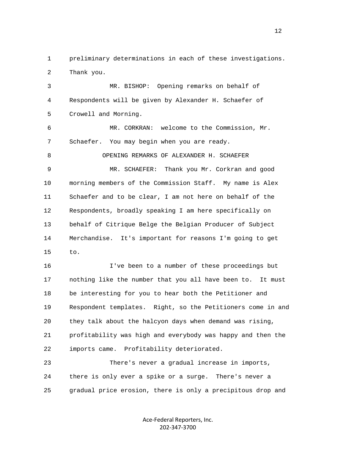1 preliminary determinations in each of these investigations. 2 Thank you.

 3 MR. BISHOP: Opening remarks on behalf of 4 Respondents will be given by Alexander H. Schaefer of 5 Crowell and Morning. 6 MR. CORKRAN: welcome to the Commission, Mr. 7 Schaefer. You may begin when you are ready. 8 OPENING REMARKS OF ALEXANDER H. SCHAEFER 9 MR. SCHAEFER: Thank you Mr. Corkran and good 10 morning members of the Commission Staff. My name is Alex 11 Schaefer and to be clear, I am not here on behalf of the 12 Respondents, broadly speaking I am here specifically on 13 behalf of Citrique Belge the Belgian Producer of Subject 14 Merchandise. It's important for reasons I'm going to get 15 to.

 16 I've been to a number of these proceedings but 17 nothing like the number that you all have been to. It must 18 be interesting for you to hear both the Petitioner and 19 Respondent templates. Right, so the Petitioners come in and 20 they talk about the halcyon days when demand was rising, 21 profitability was high and everybody was happy and then the 22 imports came. Profitability deteriorated.

 23 There's never a gradual increase in imports, 24 there is only ever a spike or a surge. There's never a 25 gradual price erosion, there is only a precipitous drop and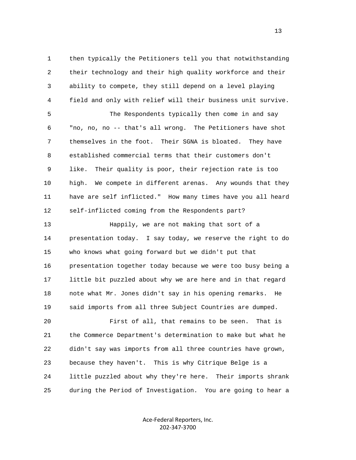1 then typically the Petitioners tell you that notwithstanding 2 their technology and their high quality workforce and their 3 ability to compete, they still depend on a level playing 4 field and only with relief will their business unit survive. 5 The Respondents typically then come in and say 6 "no, no, no -- that's all wrong. The Petitioners have shot 7 themselves in the foot. Their SGNA is bloated. They have 8 established commercial terms that their customers don't 9 like. Their quality is poor, their rejection rate is too 10 high. We compete in different arenas. Any wounds that they 11 have are self inflicted." How many times have you all heard 12 self-inflicted coming from the Respondents part? 13 Happily, we are not making that sort of a 14 presentation today. I say today, we reserve the right to do 15 who knows what going forward but we didn't put that 16 presentation together today because we were too busy being a 17 little bit puzzled about why we are here and in that regard 18 note what Mr. Jones didn't say in his opening remarks. He 19 said imports from all three Subject Countries are dumped. 20 First of all, that remains to be seen. That is 21 the Commerce Department's determination to make but what he 22 didn't say was imports from all three countries have grown, 23 because they haven't. This is why Citrique Belge is a

 24 little puzzled about why they're here. Their imports shrank 25 during the Period of Investigation. You are going to hear a

> Ace-Federal Reporters, Inc. 202-347-3700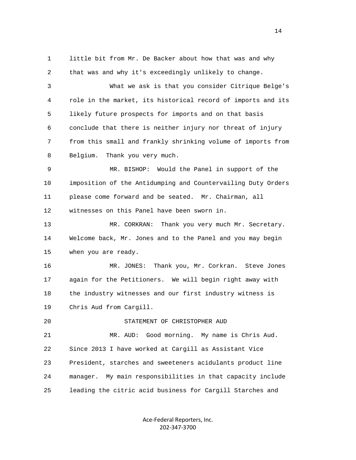1 little bit from Mr. De Backer about how that was and why 2 that was and why it's exceedingly unlikely to change.

 3 What we ask is that you consider Citrique Belge's 4 role in the market, its historical record of imports and its 5 likely future prospects for imports and on that basis 6 conclude that there is neither injury nor threat of injury 7 from this small and frankly shrinking volume of imports from 8 Belgium. Thank you very much.

 9 MR. BISHOP: Would the Panel in support of the 10 imposition of the Antidumping and Countervailing Duty Orders 11 please come forward and be seated. Mr. Chairman, all 12 witnesses on this Panel have been sworn in.

 13 MR. CORKRAN: Thank you very much Mr. Secretary. 14 Welcome back, Mr. Jones and to the Panel and you may begin 15 when you are ready.

 16 MR. JONES: Thank you, Mr. Corkran. Steve Jones 17 again for the Petitioners. We will begin right away with 18 the industry witnesses and our first industry witness is 19 Chris Aud from Cargill.

20 STATEMENT OF CHRISTOPHER AUD

 21 MR. AUD: Good morning. My name is Chris Aud. 22 Since 2013 I have worked at Cargill as Assistant Vice 23 President, starches and sweeteners acidulants product line 24 manager. My main responsibilities in that capacity include 25 leading the citric acid business for Cargill Starches and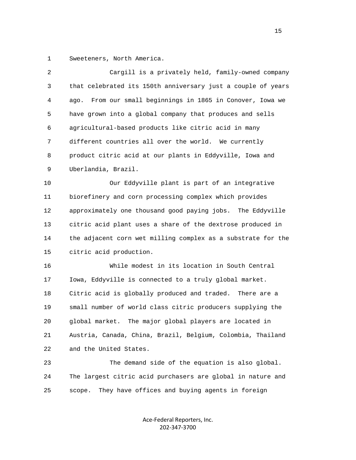1 Sweeteners, North America.

| $\overline{2}$ | Cargill is a privately held, family-owned company             |
|----------------|---------------------------------------------------------------|
| 3              | that celebrated its 150th anniversary just a couple of years  |
| 4              | From our small beginnings in 1865 in Conover, Iowa we<br>ago. |
| 5              | have grown into a global company that produces and sells      |
| б              | agricultural-based products like citric acid in many          |
| 7              | different countries all over the world. We currently          |
| 8              | product citric acid at our plants in Eddyville, Iowa and      |
| 9              | Uberlandia, Brazil.                                           |
| 10             | Our Eddyville plant is part of an integrative                 |
| 11             | biorefinery and corn processing complex which provides        |
| 12             | approximately one thousand good paying jobs. The Eddyville    |
| 13             | citric acid plant uses a share of the dextrose produced in    |
| 14             | the adjacent corn wet milling complex as a substrate for the  |
| 15             | citric acid production.                                       |
| 16             | While modest in its location in South Central                 |
| 17             | Iowa, Eddyville is connected to a truly global market.        |
| 18             | Citric acid is globally produced and traded. There are a      |
| 19             | small number of world class citric producers supplying the    |
| 20             | The major global players are located in<br>global market.     |
| 21             | Austria, Canada, China, Brazil, Belgium, Colombia, Thailand   |
| 22             | and the United States.                                        |
| 23             | The demand side of the equation is also global.               |
| 24             | The largest citric acid purchasers are global in nature and   |
| 25             | They have offices and buying agents in foreign<br>scope.      |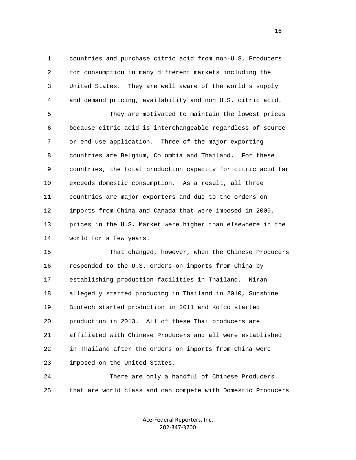1 countries and purchase citric acid from non-U.S. Producers 2 for consumption in many different markets including the 3 United States. They are well aware of the world's supply 4 and demand pricing, availability and non U.S. citric acid.

 5 They are motivated to maintain the lowest prices 6 because citric acid is interchangeable regardless of source 7 or end-use application. Three of the major exporting 8 countries are Belgium, Colombia and Thailand. For these 9 countries, the total production capacity for citric acid far 10 exceeds domestic consumption. As a result, all three 11 countries are major exporters and due to the orders on 12 imports from China and Canada that were imposed in 2009, 13 prices in the U.S. Market were higher than elsewhere in the 14 world for a few years.

 15 That changed, however, when the Chinese Producers 16 responded to the U.S. orders on imports from China by 17 establishing production facilities in Thailand. Niran 18 allegedly started producing in Thailand in 2010, Sunshine 19 Biotech started production in 2011 and Kofco started 20 production in 2013. All of these Thai producers are 21 affiliated with Chinese Producers and all were established 22 in Thailand after the orders on imports from China were 23 imposed on the United States.

 24 There are only a handful of Chinese Producers 25 that are world class and can compete with Domestic Producers

> Ace-Federal Reporters, Inc. 202-347-3700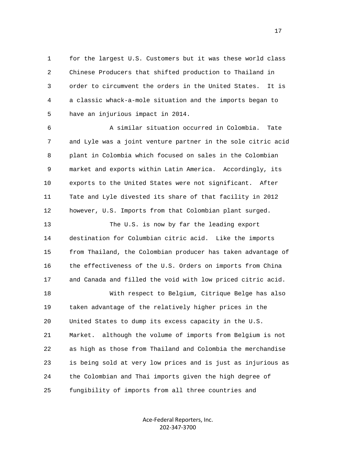1 for the largest U.S. Customers but it was these world class 2 Chinese Producers that shifted production to Thailand in 3 order to circumvent the orders in the United States. It is 4 a classic whack-a-mole situation and the imports began to 5 have an injurious impact in 2014.

 6 A similar situation occurred in Colombia. Tate 7 and Lyle was a joint venture partner in the sole citric acid 8 plant in Colombia which focused on sales in the Colombian 9 market and exports within Latin America. Accordingly, its 10 exports to the United States were not significant. After 11 Tate and Lyle divested its share of that facility in 2012 12 however, U.S. Imports from that Colombian plant surged.

13 The U.S. is now by far the leading export 14 destination for Columbian citric acid. Like the imports 15 from Thailand, the Colombian producer has taken advantage of 16 the effectiveness of the U.S. Orders on imports from China 17 and Canada and filled the void with low priced citric acid.

 18 With respect to Belgium, Citrique Belge has also 19 taken advantage of the relatively higher prices in the 20 United States to dump its excess capacity in the U.S. 21 Market. although the volume of imports from Belgium is not 22 as high as those from Thailand and Colombia the merchandise 23 is being sold at very low prices and is just as injurious as 24 the Colombian and Thai imports given the high degree of 25 fungibility of imports from all three countries and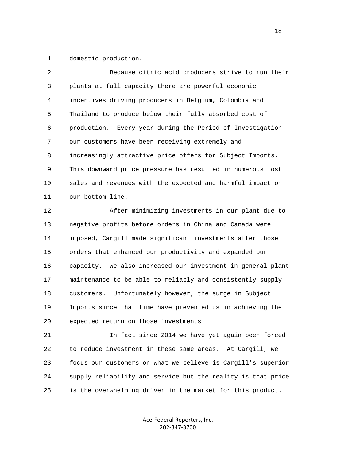1 domestic production.

| $\overline{2}$ | Because citric acid producers strive to run their           |
|----------------|-------------------------------------------------------------|
| 3              | plants at full capacity there are powerful economic         |
| 4              | incentives driving producers in Belgium, Colombia and       |
| 5              | Thailand to produce below their fully absorbed cost of      |
| 6              | production. Every year during the Period of Investigation   |
| 7              | our customers have been receiving extremely and             |
| 8              | increasingly attractive price offers for Subject Imports.   |
| 9              | This downward price pressure has resulted in numerous lost  |
| 10             | sales and revenues with the expected and harmful impact on  |
| 11             | our bottom line.                                            |
| 12             | After minimizing investments in our plant due to            |
| 13             | negative profits before orders in China and Canada were     |
| 14             | imposed, Cargill made significant investments after those   |
| 15             | orders that enhanced our productivity and expanded our      |
| 16             | capacity. We also increased our investment in general plant |
| 17             | maintenance to be able to reliably and consistently supply  |
| 18             | customers. Unfortunately however, the surge in Subject      |
| 19             | Imports since that time have prevented us in achieving the  |
| 20             | expected return on those investments.                       |

 21 In fact since 2014 we have yet again been forced 22 to reduce investment in these same areas. At Cargill, we 23 focus our customers on what we believe is Cargill's superior 24 supply reliability and service but the reality is that price 25 is the overwhelming driver in the market for this product.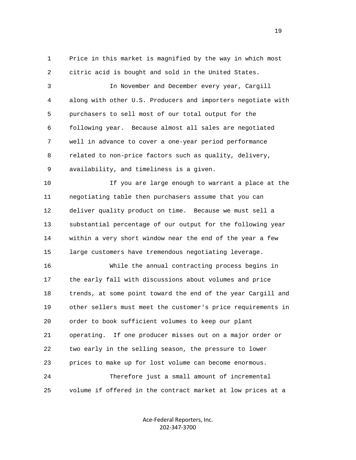1 Price in this market is magnified by the way in which most 2 citric acid is bought and sold in the United States.

 3 In November and December every year, Cargill 4 along with other U.S. Producers and importers negotiate with 5 purchasers to sell most of our total output for the 6 following year. Because almost all sales are negotiated 7 well in advance to cover a one-year period performance 8 related to non-price factors such as quality, delivery, 9 availability, and timeliness is a given.

 10 If you are large enough to warrant a place at the 11 negotiating table then purchasers assume that you can 12 deliver quality product on time. Because we must sell a 13 substantial percentage of our output for the following year 14 within a very short window near the end of the year a few 15 large customers have tremendous negotiating leverage.

 16 While the annual contracting process begins in 17 the early fall with discussions about volumes and price 18 trends, at some point toward the end of the year Cargill and 19 other sellers must meet the customer's price requirements in 20 order to book sufficient volumes to keep our plant 21 operating. If one producer misses out on a major order or 22 two early in the selling season, the pressure to lower 23 prices to make up for lost volume can become enormous. 24 Therefore just a small amount of incremental 25 volume if offered in the contract market at low prices at a

> Ace-Federal Reporters, Inc. 202-347-3700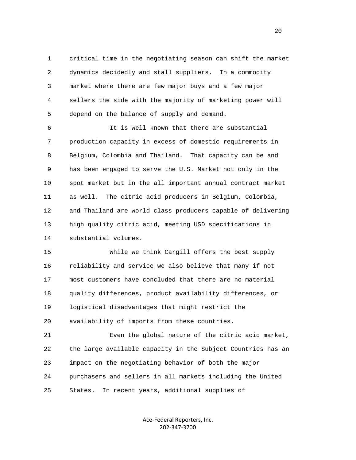1 critical time in the negotiating season can shift the market 2 dynamics decidedly and stall suppliers. In a commodity 3 market where there are few major buys and a few major 4 sellers the side with the majority of marketing power will 5 depend on the balance of supply and demand.

 6 It is well known that there are substantial 7 production capacity in excess of domestic requirements in 8 Belgium, Colombia and Thailand. That capacity can be and 9 has been engaged to serve the U.S. Market not only in the 10 spot market but in the all important annual contract market 11 as well. The citric acid producers in Belgium, Colombia, 12 and Thailand are world class producers capable of delivering 13 high quality citric acid, meeting USD specifications in 14 substantial volumes.

 15 While we think Cargill offers the best supply 16 reliability and service we also believe that many if not 17 most customers have concluded that there are no material 18 quality differences, product availability differences, or 19 logistical disadvantages that might restrict the 20 availability of imports from these countries.

 21 Even the global nature of the citric acid market, 22 the large available capacity in the Subject Countries has an 23 impact on the negotiating behavior of both the major 24 purchasers and sellers in all markets including the United 25 States. In recent years, additional supplies of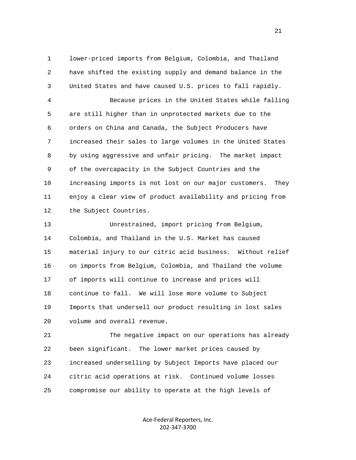1 lower-priced imports from Belgium, Colombia, and Thailand 2 have shifted the existing supply and demand balance in the 3 United States and have caused U.S. prices to fall rapidly.

 4 Because prices in the United States while falling 5 are still higher than in unprotected markets due to the 6 orders on China and Canada, the Subject Producers have 7 increased their sales to large volumes in the United States 8 by using aggressive and unfair pricing. The market impact 9 of the overcapacity in the Subject Countries and the 10 increasing imports is not lost on our major customers. They 11 enjoy a clear view of product availability and pricing from 12 the Subject Countries.

 13 Unrestrained, import pricing from Belgium, 14 Colombia, and Thailand in the U.S. Market has caused 15 material injury to our citric acid business. Without relief 16 on imports from Belgium, Colombia, and Thailand the volume 17 of imports will continue to increase and prices will 18 continue to fall. We will lose more volume to Subject 19 Imports that undersell our product resulting in lost sales 20 volume and overall revenue.

 21 The negative impact on our operations has already 22 been significant. The lower market prices caused by 23 increased underselling by Subject Imports have placed our 24 citric acid operations at risk. Continued volume losses 25 compromise our ability to operate at the high levels of

> Ace-Federal Reporters, Inc. 202-347-3700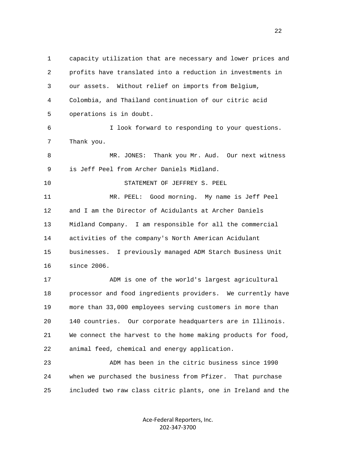1 capacity utilization that are necessary and lower prices and 2 profits have translated into a reduction in investments in 3 our assets. Without relief on imports from Belgium, 4 Colombia, and Thailand continuation of our citric acid 5 operations is in doubt. 6 I look forward to responding to your questions. 7 Thank you. 8 MR. JONES: Thank you Mr. Aud. Our next witness 9 is Jeff Peel from Archer Daniels Midland. 10 STATEMENT OF JEFFREY S. PEEL 11 MR. PEEL: Good morning. My name is Jeff Peel 12 and I am the Director of Acidulants at Archer Daniels 13 Midland Company. I am responsible for all the commercial 14 activities of the company's North American Acidulant 15 businesses. I previously managed ADM Starch Business Unit 16 since 2006. 17 ADM is one of the world's largest agricultural 18 processor and food ingredients providers. We currently have 19 more than 33,000 employees serving customers in more than 20 140 countries. Our corporate headquarters are in Illinois. 21 We connect the harvest to the home making products for food, 22 animal feed, chemical and energy application. 23 ADM has been in the citric business since 1990 24 when we purchased the business from Pfizer. That purchase

> Ace-Federal Reporters, Inc. 202-347-3700

25 included two raw class citric plants, one in Ireland and the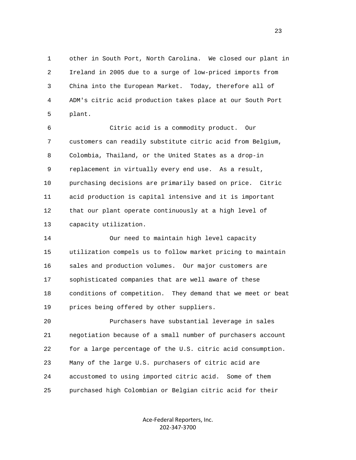1 other in South Port, North Carolina. We closed our plant in 2 Ireland in 2005 due to a surge of low-priced imports from 3 China into the European Market. Today, therefore all of 4 ADM's citric acid production takes place at our South Port 5 plant.

 6 Citric acid is a commodity product. Our 7 customers can readily substitute citric acid from Belgium, 8 Colombia, Thailand, or the United States as a drop-in 9 replacement in virtually every end use. As a result, 10 purchasing decisions are primarily based on price. Citric 11 acid production is capital intensive and it is important 12 that our plant operate continuously at a high level of 13 capacity utilization.

 14 Our need to maintain high level capacity 15 utilization compels us to follow market pricing to maintain 16 sales and production volumes. Our major customers are 17 sophisticated companies that are well aware of these 18 conditions of competition. They demand that we meet or beat 19 prices being offered by other suppliers.

 20 Purchasers have substantial leverage in sales 21 negotiation because of a small number of purchasers account 22 for a large percentage of the U.S. citric acid consumption. 23 Many of the large U.S. purchasers of citric acid are 24 accustomed to using imported citric acid. Some of them 25 purchased high Colombian or Belgian citric acid for their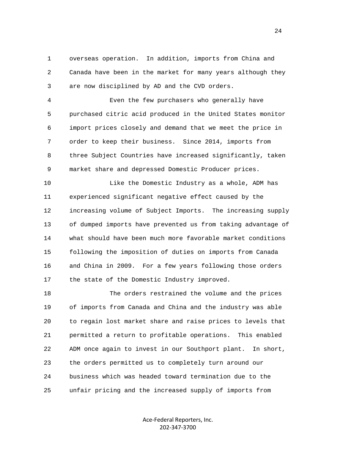1 overseas operation. In addition, imports from China and 2 Canada have been in the market for many years although they 3 are now disciplined by AD and the CVD orders.

 4 Even the few purchasers who generally have 5 purchased citric acid produced in the United States monitor 6 import prices closely and demand that we meet the price in 7 order to keep their business. Since 2014, imports from 8 three Subject Countries have increased significantly, taken 9 market share and depressed Domestic Producer prices.

 10 Like the Domestic Industry as a whole, ADM has 11 experienced significant negative effect caused by the 12 increasing volume of Subject Imports. The increasing supply 13 of dumped imports have prevented us from taking advantage of 14 what should have been much more favorable market conditions 15 following the imposition of duties on imports from Canada 16 and China in 2009. For a few years following those orders 17 the state of the Domestic Industry improved.

 18 The orders restrained the volume and the prices 19 of imports from Canada and China and the industry was able 20 to regain lost market share and raise prices to levels that 21 permitted a return to profitable operations. This enabled 22 ADM once again to invest in our Southport plant. In short, 23 the orders permitted us to completely turn around our 24 business which was headed toward termination due to the 25 unfair pricing and the increased supply of imports from

> Ace-Federal Reporters, Inc. 202-347-3700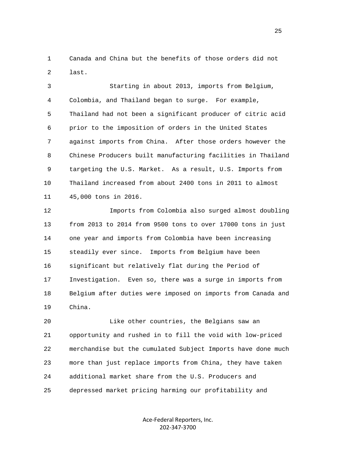1 Canada and China but the benefits of those orders did not 2 last.

 3 Starting in about 2013, imports from Belgium, 4 Colombia, and Thailand began to surge. For example, 5 Thailand had not been a significant producer of citric acid 6 prior to the imposition of orders in the United States 7 against imports from China. After those orders however the 8 Chinese Producers built manufacturing facilities in Thailand 9 targeting the U.S. Market. As a result, U.S. Imports from 10 Thailand increased from about 2400 tons in 2011 to almost 11 45,000 tons in 2016.

 12 Imports from Colombia also surged almost doubling 13 from 2013 to 2014 from 9500 tons to over 17000 tons in just 14 one year and imports from Colombia have been increasing 15 steadily ever since. Imports from Belgium have been 16 significant but relatively flat during the Period of 17 Investigation. Even so, there was a surge in imports from 18 Belgium after duties were imposed on imports from Canada and 19 China.

 20 Like other countries, the Belgians saw an 21 opportunity and rushed in to fill the void with low-priced 22 merchandise but the cumulated Subject Imports have done much 23 more than just replace imports from China, they have taken 24 additional market share from the U.S. Producers and 25 depressed market pricing harming our profitability and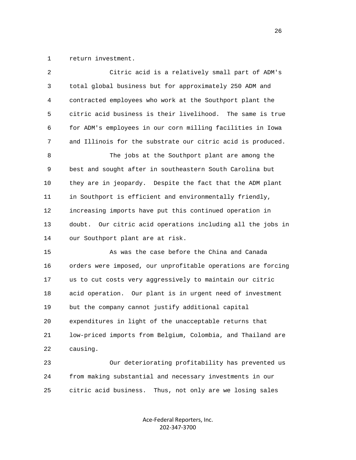1 return investment.

| 2  | Citric acid is a relatively small part of ADM's              |
|----|--------------------------------------------------------------|
| 3  | total global business but for approximately 250 ADM and      |
| 4  | contracted employees who work at the Southport plant the     |
| 5  | citric acid business is their livelihood. The same is true   |
| 6  | for ADM's employees in our corn milling facilities in Iowa   |
| 7  | and Illinois for the substrate our citric acid is produced.  |
| 8  | The jobs at the Southport plant are among the                |
| 9  | best and sought after in southeastern South Carolina but     |
| 10 | they are in jeopardy. Despite the fact that the ADM plant    |
| 11 | in Southport is efficient and environmentally friendly,      |
| 12 | increasing imports have put this continued operation in      |
| 13 | doubt. Our citric acid operations including all the jobs in  |
| 14 | our Southport plant are at risk.                             |
| 15 | As was the case before the China and Canada                  |
| 16 | orders were imposed, our unprofitable operations are forcing |
| 17 | us to cut costs very aggressively to maintain our citric     |
| 18 | acid operation. Our plant is in urgent need of investment    |
| 19 | but the company cannot justify additional capital            |
| 20 | expenditures in light of the unacceptable returns that       |
| 21 | low-priced imports from Belgium, Colombia, and Thailand are  |
| 22 | causing.                                                     |
|    |                                                              |

 23 Our deteriorating profitability has prevented us 24 from making substantial and necessary investments in our 25 citric acid business. Thus, not only are we losing sales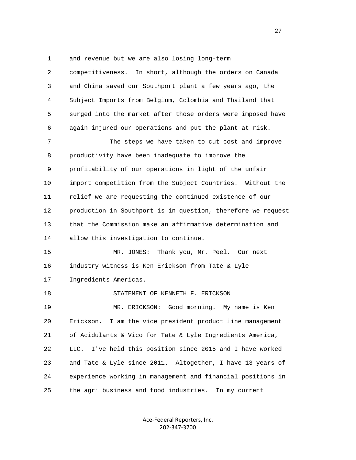1 and revenue but we are also losing long-term

| $\overline{a}$ | competitiveness. In short, although the orders on Canada     |
|----------------|--------------------------------------------------------------|
| 3              | and China saved our Southport plant a few years ago, the     |
| 4              | Subject Imports from Belgium, Colombia and Thailand that     |
| 5              | surged into the market after those orders were imposed have  |
| 6              | again injured our operations and put the plant at risk.      |
| 7              | The steps we have taken to cut cost and improve              |
| 8              | productivity have been inadequate to improve the             |
| 9              | profitability of our operations in light of the unfair       |
| 10             | import competition from the Subject Countries. Without the   |
| 11             | relief we are requesting the continued existence of our      |
| 12             | production in Southport is in question, therefore we request |
| 13             | that the Commission make an affirmative determination and    |
| 14             | allow this investigation to continue.                        |
| 15             | Thank you, Mr. Peel. Our next<br>MR. JONES:                  |
| 16             | industry witness is Ken Erickson from Tate & Lyle            |
| 17             | Ingredients Americas.                                        |
| 18             | STATEMENT OF KENNETH F. ERICKSON                             |
| 19             | MR. ERICKSON: Good morning. My name is Ken                   |
| 20             | I am the vice president product line management<br>Erickson. |
| 21             | of Acidulants & Vico for Tate & Lyle Ingredients America,    |
| 22             | I've held this position since 2015 and I have worked<br>LLC. |
| 23             | and Tate & Lyle since 2011. Altogether, I have 13 years of   |
| 24             | experience working in management and financial positions in  |
| 25             | the agri business and food industries.<br>In my current      |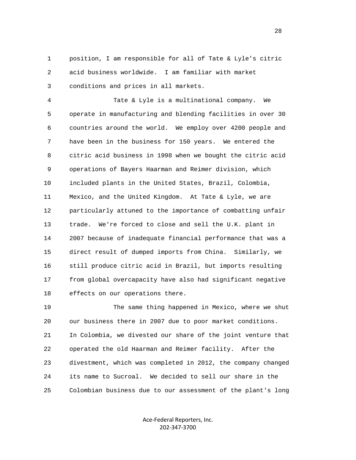1 position, I am responsible for all of Tate & Lyle's citric 2 acid business worldwide. I am familiar with market 3 conditions and prices in all markets.

 4 Tate & Lyle is a multinational company. We 5 operate in manufacturing and blending facilities in over 30 6 countries around the world. We employ over 4200 people and 7 have been in the business for 150 years. We entered the 8 citric acid business in 1998 when we bought the citric acid 9 operations of Bayers Haarman and Reimer division, which 10 included plants in the United States, Brazil, Colombia, 11 Mexico, and the United Kingdom. At Tate & Lyle, we are 12 particularly attuned to the importance of combatting unfair 13 trade. We're forced to close and sell the U.K. plant in 14 2007 because of inadequate financial performance that was a 15 direct result of dumped imports from China. Similarly, we 16 still produce citric acid in Brazil, but imports resulting 17 from global overcapacity have also had significant negative 18 effects on our operations there.

 19 The same thing happened in Mexico, where we shut 20 our business there in 2007 due to poor market conditions. 21 In Colombia, we divested our share of the joint venture that 22 operated the old Haarman and Reimer facility. After the 23 divestment, which was completed in 2012, the company changed 24 its name to Sucroal. We decided to sell our share in the 25 Colombian business due to our assessment of the plant's long

> Ace-Federal Reporters, Inc. 202-347-3700

<u>28 and 28</u>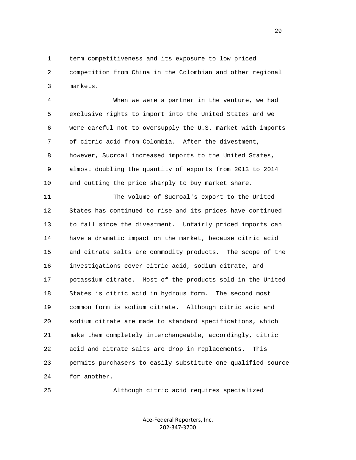1 term competitiveness and its exposure to low priced 2 competition from China in the Colombian and other regional 3 markets.

 4 When we were a partner in the venture, we had 5 exclusive rights to import into the United States and we 6 were careful not to oversupply the U.S. market with imports 7 of citric acid from Colombia. After the divestment, 8 however, Sucroal increased imports to the United States, 9 almost doubling the quantity of exports from 2013 to 2014 10 and cutting the price sharply to buy market share.

 11 The volume of Sucroal's export to the United 12 States has continued to rise and its prices have continued 13 to fall since the divestment. Unfairly priced imports can 14 have a dramatic impact on the market, because citric acid 15 and citrate salts are commodity products. The scope of the 16 investigations cover citric acid, sodium citrate, and 17 potassium citrate. Most of the products sold in the United 18 States is citric acid in hydrous form. The second most 19 common form is sodium citrate. Although citric acid and 20 sodium citrate are made to standard specifications, which 21 make them completely interchangeable, accordingly, citric 22 acid and citrate salts are drop in replacements. This 23 permits purchasers to easily substitute one qualified source 24 for another.

25 Although citric acid requires specialized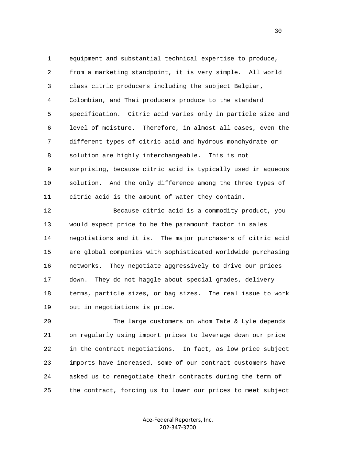1 equipment and substantial technical expertise to produce, 2 from a marketing standpoint, it is very simple. All world 3 class citric producers including the subject Belgian, 4 Colombian, and Thai producers produce to the standard 5 specification. Citric acid varies only in particle size and 6 level of moisture. Therefore, in almost all cases, even the 7 different types of citric acid and hydrous monohydrate or 8 solution are highly interchangeable. This is not 9 surprising, because citric acid is typically used in aqueous 10 solution. And the only difference among the three types of 11 citric acid is the amount of water they contain.

 12 Because citric acid is a commodity product, you 13 would expect price to be the paramount factor in sales 14 negotiations and it is. The major purchasers of citric acid 15 are global companies with sophisticated worldwide purchasing 16 networks. They negotiate aggressively to drive our prices 17 down. They do not haggle about special grades, delivery 18 terms, particle sizes, or bag sizes. The real issue to work 19 out in negotiations is price.

 20 The large customers on whom Tate & Lyle depends 21 on regularly using import prices to leverage down our price 22 in the contract negotiations. In fact, as low price subject 23 imports have increased, some of our contract customers have 24 asked us to renegotiate their contracts during the term of 25 the contract, forcing us to lower our prices to meet subject

> Ace-Federal Reporters, Inc. 202-347-3700

 $30<sup>2</sup>$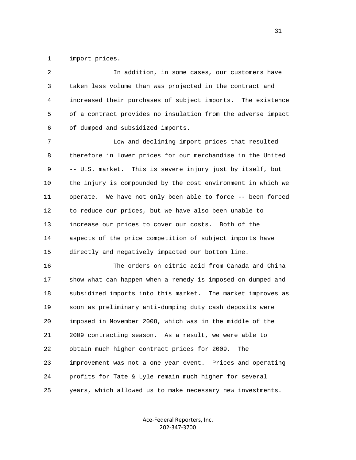1 import prices.

 2 In addition, in some cases, our customers have 3 taken less volume than was projected in the contract and 4 increased their purchases of subject imports. The existence 5 of a contract provides no insulation from the adverse impact 6 of dumped and subsidized imports.

 7 Low and declining import prices that resulted 8 therefore in lower prices for our merchandise in the United 9 -- U.S. market. This is severe injury just by itself, but 10 the injury is compounded by the cost environment in which we 11 operate. We have not only been able to force -- been forced 12 to reduce our prices, but we have also been unable to 13 increase our prices to cover our costs. Both of the 14 aspects of the price competition of subject imports have 15 directly and negatively impacted our bottom line.

 16 The orders on citric acid from Canada and China 17 show what can happen when a remedy is imposed on dumped and 18 subsidized imports into this market. The market improves as 19 soon as preliminary anti-dumping duty cash deposits were 20 imposed in November 2008, which was in the middle of the 21 2009 contracting season. As a result, we were able to 22 obtain much higher contract prices for 2009. The 23 improvement was not a one year event. Prices and operating 24 profits for Tate & Lyle remain much higher for several 25 years, which allowed us to make necessary new investments.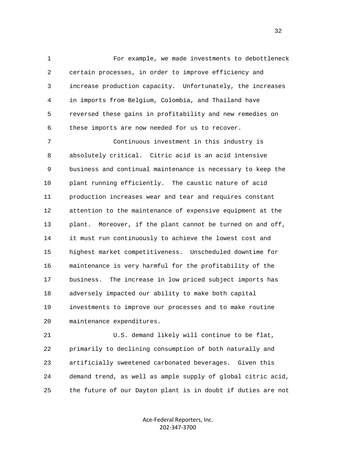1 For example, we made investments to debottleneck 2 certain processes, in order to improve efficiency and 3 increase production capacity. Unfortunately, the increases 4 in imports from Belgium, Colombia, and Thailand have 5 reversed these gains in profitability and new remedies on 6 these imports are now needed for us to recover.

 7 Continuous investment in this industry is 8 absolutely critical. Citric acid is an acid intensive 9 business and continual maintenance is necessary to keep the 10 plant running efficiently. The caustic nature of acid 11 production increases wear and tear and requires constant 12 attention to the maintenance of expensive equipment at the 13 plant. Moreover, if the plant cannot be turned on and off, 14 it must run continuously to achieve the lowest cost and 15 highest market competitiveness. Unscheduled downtime for 16 maintenance is very harmful for the profitability of the 17 business. The increase in low priced subject imports has 18 adversely impacted our ability to make both capital 19 investments to improve our processes and to make routine 20 maintenance expenditures.

 21 U.S. demand likely will continue to be flat, 22 primarily to declining consumption of both naturally and 23 artificially sweetened carbonated beverages. Given this 24 demand trend, as well as ample supply of global citric acid, 25 the future of our Dayton plant is in doubt if duties are not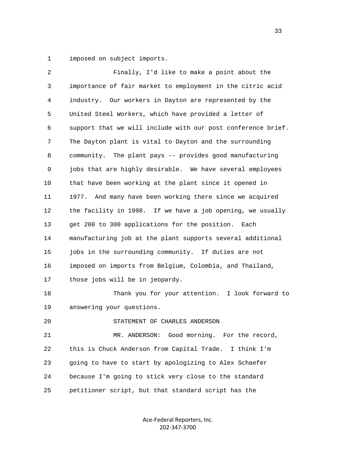1 imposed on subject imports.

| 2  | Finally, I'd like to make a point about the                  |
|----|--------------------------------------------------------------|
| 3  | importance of fair market to employment in the citric acid   |
| 4  | industry. Our workers in Dayton are represented by the       |
| 5  | United Steel Workers, which have provided a letter of        |
| 6  | support that we will include with our post conference brief. |
| 7  | The Dayton plant is vital to Dayton and the surrounding      |
| 8  | community. The plant pays -- provides good manufacturing     |
| 9  | jobs that are highly desirable. We have several employees    |
| 10 | that have been working at the plant since it opened in       |
| 11 | And many have been working there since we acquired<br>1977.  |
| 12 | the facility in 1998. If we have a job opening, we usually   |
| 13 | get 200 to 300 applications for the position. Each           |
| 14 | manufacturing job at the plant supports several additional   |
| 15 | jobs in the surrounding community. If duties are not         |
| 16 | imposed on imports from Belgium, Colombia, and Thailand,     |
| 17 | those jobs will be in jeopardy.                              |
| 18 | Thank you for your attention. I look forward to              |
| 19 | answering your questions.                                    |
| 20 | STATEMENT OF CHARLES ANDERSON                                |
| 21 | Good morning. For the record,<br>MR. ANDERSON:               |
| 22 | this is Chuck Anderson from Capital Trade.<br>I think I'm    |
| 23 | going to have to start by apologizing to Alex Schaefer       |
| 24 | because I'm going to stick very close to the standard        |
| 25 | petitioner script, but that standard script has the          |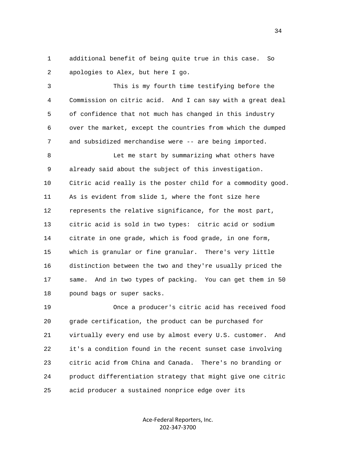1 additional benefit of being quite true in this case. So 2 apologies to Alex, but here I go.

 3 This is my fourth time testifying before the 4 Commission on citric acid. And I can say with a great deal 5 of confidence that not much has changed in this industry 6 over the market, except the countries from which the dumped 7 and subsidized merchandise were -- are being imported.

 8 Let me start by summarizing what others have 9 already said about the subject of this investigation. 10 Citric acid really is the poster child for a commodity good. 11 As is evident from slide 1, where the font size here 12 represents the relative significance, for the most part, 13 citric acid is sold in two types: citric acid or sodium 14 citrate in one grade, which is food grade, in one form, 15 which is granular or fine granular. There's very little 16 distinction between the two and they're usually priced the 17 same. And in two types of packing. You can get them in 50 18 pound bags or super sacks.

 19 Once a producer's citric acid has received food 20 grade certification, the product can be purchased for 21 virtually every end use by almost every U.S. customer. And 22 it's a condition found in the recent sunset case involving 23 citric acid from China and Canada. There's no branding or 24 product differentiation strategy that might give one citric 25 acid producer a sustained nonprice edge over its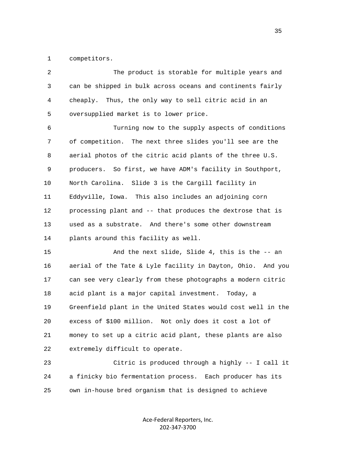1 competitors.

| 2  | The product is storable for multiple years and               |
|----|--------------------------------------------------------------|
| 3  | can be shipped in bulk across oceans and continents fairly   |
| 4  | cheaply. Thus, the only way to sell citric acid in an        |
| 5  | oversupplied market is to lower price.                       |
| 6  | Turning now to the supply aspects of conditions              |
| 7  | The next three slides you'll see are the<br>of competition.  |
| 8  | aerial photos of the citric acid plants of the three U.S.    |
| 9  | producers. So first, we have ADM's facility in Southport,    |
| 10 | North Carolina. Slide 3 is the Cargill facility in           |
| 11 | Eddyville, Iowa. This also includes an adjoining corn        |
| 12 | processing plant and -- that produces the dextrose that is   |
| 13 | used as a substrate. And there's some other downstream       |
| 14 | plants around this facility as well.                         |
| 15 | And the next slide, Slide 4, this is the -- an               |
| 16 | aerial of the Tate & Lyle facility in Dayton, Ohio. And you  |
| 17 | can see very clearly from these photographs a modern citric  |
| 18 | acid plant is a major capital investment. Today, a           |
| 19 | Greenfield plant in the United States would cost well in the |
| 20 | excess of \$100 million. Not only does it cost a lot of      |
| 21 | money to set up a citric acid plant, these plants are also   |
| 22 | extremely difficult to operate.                              |
| 23 | Citric is produced through a highly -- I call it             |
| 24 | a finicky bio fermentation process.<br>Each producer has its |

25 own in-house bred organism that is designed to achieve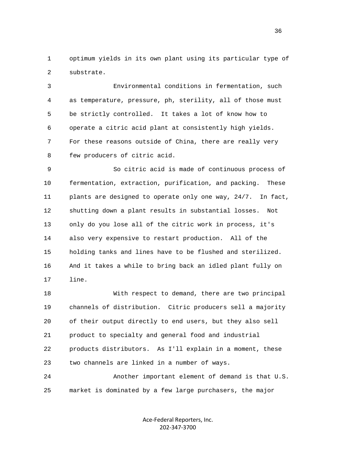1 optimum yields in its own plant using its particular type of 2 substrate.

 3 Environmental conditions in fermentation, such 4 as temperature, pressure, ph, sterility, all of those must 5 be strictly controlled. It takes a lot of know how to 6 operate a citric acid plant at consistently high yields. 7 For these reasons outside of China, there are really very 8 few producers of citric acid.

 9 So citric acid is made of continuous process of 10 fermentation, extraction, purification, and packing. These 11 plants are designed to operate only one way, 24/7. In fact, 12 shutting down a plant results in substantial losses. Not 13 only do you lose all of the citric work in process, it's 14 also very expensive to restart production. All of the 15 holding tanks and lines have to be flushed and sterilized. 16 And it takes a while to bring back an idled plant fully on 17 line.

 18 With respect to demand, there are two principal 19 channels of distribution. Citric producers sell a majority 20 of their output directly to end users, but they also sell 21 product to specialty and general food and industrial 22 products distributors. As I'll explain in a moment, these 23 two channels are linked in a number of ways. 24 Another important element of demand is that U.S.

25 market is dominated by a few large purchasers, the major

Ace-Federal Reporters, Inc. 202-347-3700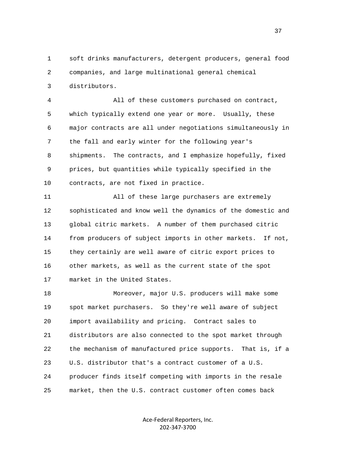1 soft drinks manufacturers, detergent producers, general food 2 companies, and large multinational general chemical 3 distributors.

 4 All of these customers purchased on contract, 5 which typically extend one year or more. Usually, these 6 major contracts are all under negotiations simultaneously in 7 the fall and early winter for the following year's 8 shipments. The contracts, and I emphasize hopefully, fixed 9 prices, but quantities while typically specified in the 10 contracts, are not fixed in practice.

 11 All of these large purchasers are extremely 12 sophisticated and know well the dynamics of the domestic and 13 global citric markets. A number of them purchased citric 14 from producers of subject imports in other markets. If not, 15 they certainly are well aware of citric export prices to 16 other markets, as well as the current state of the spot 17 market in the United States.

 18 Moreover, major U.S. producers will make some 19 spot market purchasers. So they're well aware of subject 20 import availability and pricing. Contract sales to 21 distributors are also connected to the spot market through 22 the mechanism of manufactured price supports. That is, if a 23 U.S. distributor that's a contract customer of a U.S. 24 producer finds itself competing with imports in the resale 25 market, then the U.S. contract customer often comes back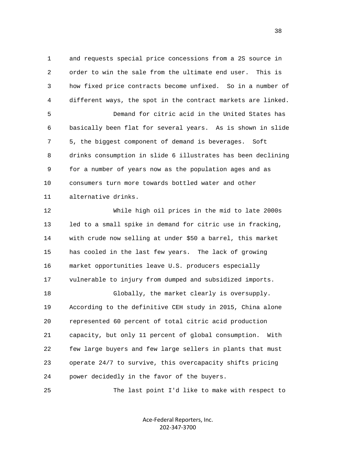1 and requests special price concessions from a 2S source in 2 order to win the sale from the ultimate end user. This is 3 how fixed price contracts become unfixed. So in a number of 4 different ways, the spot in the contract markets are linked. 5 Demand for citric acid in the United States has 6 basically been flat for several years. As is shown in slide 7 5, the biggest component of demand is beverages. Soft 8 drinks consumption in slide 6 illustrates has been declining 9 for a number of years now as the population ages and as 10 consumers turn more towards bottled water and other 11 alternative drinks. 12 While high oil prices in the mid to late 2000s

 13 led to a small spike in demand for citric use in fracking, 14 with crude now selling at under \$50 a barrel, this market 15 has cooled in the last few years. The lack of growing 16 market opportunities leave U.S. producers especially 17 vulnerable to injury from dumped and subsidized imports. 18 Globally, the market clearly is oversupply. 19 According to the definitive CEH study in 2015, China alone 20 represented 60 percent of total citric acid production 21 capacity, but only 11 percent of global consumption. With 22 few large buyers and few large sellers in plants that must 23 operate 24/7 to survive, this overcapacity shifts pricing 24 power decidedly in the favor of the buyers.

25 The last point I'd like to make with respect to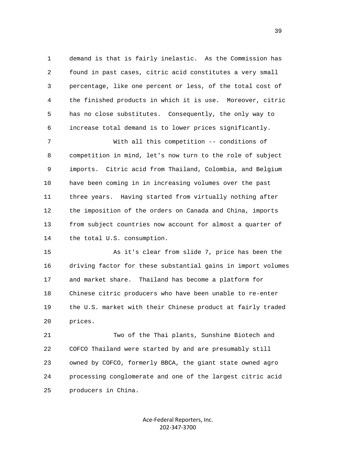1 demand is that is fairly inelastic. As the Commission has 2 found in past cases, citric acid constitutes a very small 3 percentage, like one percent or less, of the total cost of 4 the finished products in which it is use. Moreover, citric 5 has no close substitutes. Consequently, the only way to 6 increase total demand is to lower prices significantly.

 7 With all this competition -- conditions of 8 competition in mind, let's now turn to the role of subject 9 imports. Citric acid from Thailand, Colombia, and Belgium 10 have been coming in in increasing volumes over the past 11 three years. Having started from virtually nothing after 12 the imposition of the orders on Canada and China, imports 13 from subject countries now account for almost a quarter of 14 the total U.S. consumption.

 15 As it's clear from slide 7, price has been the 16 driving factor for these substantial gains in import volumes 17 and market share. Thailand has become a platform for 18 Chinese citric producers who have been unable to re-enter 19 the U.S. market with their Chinese product at fairly traded 20 prices.

 21 Two of the Thai plants, Sunshine Biotech and 22 COFCO Thailand were started by and are presumably still 23 owned by COFCO, formerly BBCA, the giant state owned agro 24 processing conglomerate and one of the largest citric acid 25 producers in China.

> Ace-Federal Reporters, Inc. 202-347-3700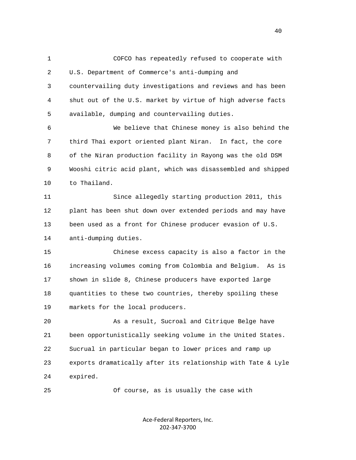1 COFCO has repeatedly refused to cooperate with 2 U.S. Department of Commerce's anti-dumping and 3 countervailing duty investigations and reviews and has been 4 shut out of the U.S. market by virtue of high adverse facts 5 available, dumping and countervailing duties. 6 We believe that Chinese money is also behind the 7 third Thai export oriented plant Niran. In fact, the core 8 of the Niran production facility in Rayong was the old DSM 9 Wooshi citric acid plant, which was disassembled and shipped 10 to Thailand. 11 Since allegedly starting production 2011, this 12 plant has been shut down over extended periods and may have 13 been used as a front for Chinese producer evasion of U.S.

14 anti-dumping duties.

 15 Chinese excess capacity is also a factor in the 16 increasing volumes coming from Colombia and Belgium. As is 17 shown in slide 8, Chinese producers have exported large 18 quantities to these two countries, thereby spoiling these 19 markets for the local producers.

 20 As a result, Sucroal and Citrique Belge have 21 been opportunistically seeking volume in the United States. 22 Sucrual in particular began to lower prices and ramp up 23 exports dramatically after its relationship with Tate & Lyle 24 expired.

25 Of course, as is usually the case with

Ace-Federal Reporters, Inc. 202-347-3700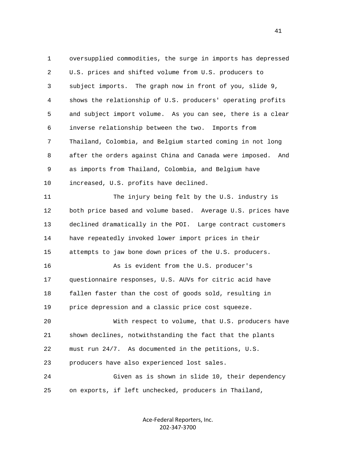1 oversupplied commodities, the surge in imports has depressed 2 U.S. prices and shifted volume from U.S. producers to 3 subject imports. The graph now in front of you, slide 9, 4 shows the relationship of U.S. producers' operating profits 5 and subject import volume. As you can see, there is a clear 6 inverse relationship between the two. Imports from 7 Thailand, Colombia, and Belgium started coming in not long 8 after the orders against China and Canada were imposed. And 9 as imports from Thailand, Colombia, and Belgium have 10 increased, U.S. profits have declined. 11 The injury being felt by the U.S. industry is 12 both price based and volume based. Average U.S. prices have 13 declined dramatically in the POI. Large contract customers 14 have repeatedly invoked lower import prices in their 15 attempts to jaw bone down prices of the U.S. producers. 16 As is evident from the U.S. producer's 17 questionnaire responses, U.S. AUVs for citric acid have 18 fallen faster than the cost of goods sold, resulting in 19 price depression and a classic price cost squeeze. 20 With respect to volume, that U.S. producers have 21 shown declines, notwithstanding the fact that the plants 22 must run 24/7. As documented in the petitions, U.S. 23 producers have also experienced lost sales. 24 Given as is shown in slide 10, their dependency 25 on exports, if left unchecked, producers in Thailand,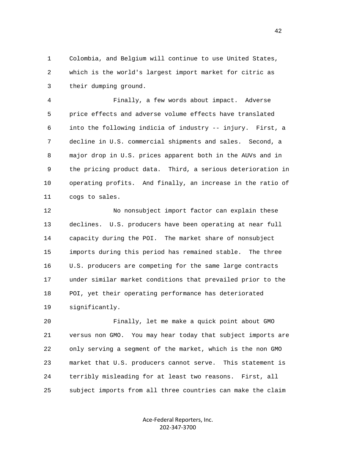1 Colombia, and Belgium will continue to use United States, 2 which is the world's largest import market for citric as 3 their dumping ground.

 4 Finally, a few words about impact. Adverse 5 price effects and adverse volume effects have translated 6 into the following indicia of industry -- injury. First, a 7 decline in U.S. commercial shipments and sales. Second, a 8 major drop in U.S. prices apparent both in the AUVs and in 9 the pricing product data. Third, a serious deterioration in 10 operating profits. And finally, an increase in the ratio of 11 cogs to sales.

 12 No nonsubject import factor can explain these 13 declines. U.S. producers have been operating at near full 14 capacity during the POI. The market share of nonsubject 15 imports during this period has remained stable. The three 16 U.S. producers are competing for the same large contracts 17 under similar market conditions that prevailed prior to the 18 POI, yet their operating performance has deteriorated 19 significantly.

 20 Finally, let me make a quick point about GMO 21 versus non GMO. You may hear today that subject imports are 22 only serving a segment of the market, which is the non GMO 23 market that U.S. producers cannot serve. This statement is 24 terribly misleading for at least two reasons. First, all 25 subject imports from all three countries can make the claim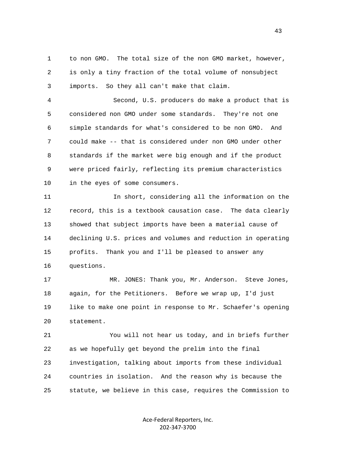1 to non GMO. The total size of the non GMO market, however, 2 is only a tiny fraction of the total volume of nonsubject 3 imports. So they all can't make that claim.

 4 Second, U.S. producers do make a product that is 5 considered non GMO under some standards. They're not one 6 simple standards for what's considered to be non GMO. And 7 could make -- that is considered under non GMO under other 8 standards if the market were big enough and if the product 9 were priced fairly, reflecting its premium characteristics 10 in the eyes of some consumers.

 11 In short, considering all the information on the 12 record, this is a textbook causation case. The data clearly 13 showed that subject imports have been a material cause of 14 declining U.S. prices and volumes and reduction in operating 15 profits. Thank you and I'll be pleased to answer any 16 questions.

 17 MR. JONES: Thank you, Mr. Anderson. Steve Jones, 18 again, for the Petitioners. Before we wrap up, I'd just 19 like to make one point in response to Mr. Schaefer's opening 20 statement.

 21 You will not hear us today, and in briefs further 22 as we hopefully get beyond the prelim into the final 23 investigation, talking about imports from these individual 24 countries in isolation. And the reason why is because the 25 statute, we believe in this case, requires the Commission to

> Ace-Federal Reporters, Inc. 202-347-3700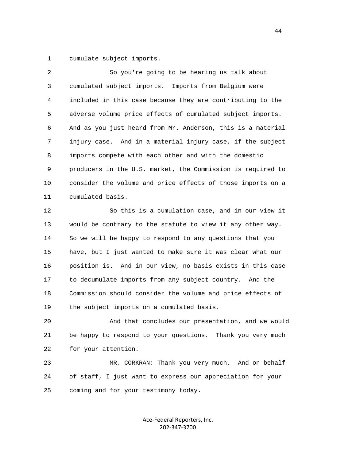1 cumulate subject imports.

| $\overline{2}$ | So you're going to be hearing us talk about                 |
|----------------|-------------------------------------------------------------|
| 3              | cumulated subject imports. Imports from Belgium were        |
| 4              | included in this case because they are contributing to the  |
| 5              | adverse volume price effects of cumulated subject imports.  |
| 6              | And as you just heard from Mr. Anderson, this is a material |
| 7              | injury case. And in a material injury case, if the subject  |
| 8              | imports compete with each other and with the domestic       |
| 9              | producers in the U.S. market, the Commission is required to |
| 10             | consider the volume and price effects of those imports on a |
| 11             | cumulated basis.                                            |
| 12             | So this is a cumulation case, and in our view it            |
| 13             | would be contrary to the statute to view it any other way.  |
| 14             | So we will be happy to respond to any questions that you    |
| 15             | have, but I just wanted to make sure it was clear what our  |
| 16             | position is. And in our view, no basis exists in this case  |
| 17             | to decumulate imports from any subject country. And the     |
| 18             | Commission should consider the volume and price effects of  |
| 19             | the subject imports on a cumulated basis.                   |

 20 And that concludes our presentation, and we would 21 be happy to respond to your questions. Thank you very much 22 for your attention.

 23 MR. CORKRAN: Thank you very much. And on behalf 24 of staff, I just want to express our appreciation for your 25 coming and for your testimony today.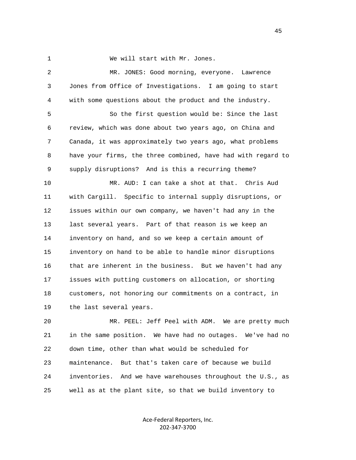1 We will start with Mr. Jones.

 2 MR. JONES: Good morning, everyone. Lawrence 3 Jones from Office of Investigations. I am going to start 4 with some questions about the product and the industry. 5 So the first question would be: Since the last 6 review, which was done about two years ago, on China and 7 Canada, it was approximately two years ago, what problems 8 have your firms, the three combined, have had with regard to 9 supply disruptions? And is this a recurring theme? 10 MR. AUD: I can take a shot at that. Chris Aud 11 with Cargill. Specific to internal supply disruptions, or 12 issues within our own company, we haven't had any in the 13 last several years. Part of that reason is we keep an 14 inventory on hand, and so we keep a certain amount of 15 inventory on hand to be able to handle minor disruptions 16 that are inherent in the business. But we haven't had any 17 issues with putting customers on allocation, or shorting 18 customers, not honoring our commitments on a contract, in 19 the last several years.

 20 MR. PEEL: Jeff Peel with ADM. We are pretty much 21 in the same position. We have had no outages. We've had no 22 down time, other than what would be scheduled for 23 maintenance. But that's taken care of because we build 24 inventories. And we have warehouses throughout the U.S., as 25 well as at the plant site, so that we build inventory to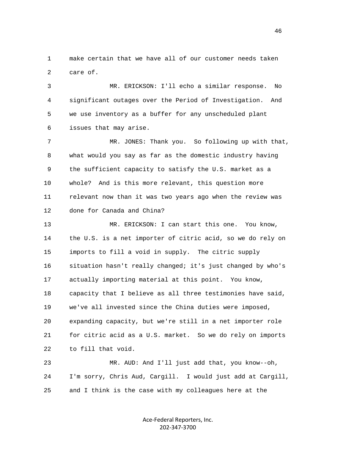1 make certain that we have all of our customer needs taken 2 care of.

 3 MR. ERICKSON: I'll echo a similar response. No 4 significant outages over the Period of Investigation. And 5 we use inventory as a buffer for any unscheduled plant 6 issues that may arise.

 7 MR. JONES: Thank you. So following up with that, 8 what would you say as far as the domestic industry having 9 the sufficient capacity to satisfy the U.S. market as a 10 whole? And is this more relevant, this question more 11 relevant now than it was two years ago when the review was 12 done for Canada and China?

 13 MR. ERICKSON: I can start this one. You know, 14 the U.S. is a net importer of citric acid, so we do rely on 15 imports to fill a void in supply. The citric supply 16 situation hasn't really changed; it's just changed by who's 17 actually importing material at this point. You know, 18 capacity that I believe as all three testimonies have said, 19 we've all invested since the China duties were imposed, 20 expanding capacity, but we're still in a net importer role 21 for citric acid as a U.S. market. So we do rely on imports 22 to fill that void.

 23 MR. AUD: And I'll just add that, you know--oh, 24 I'm sorry, Chris Aud, Cargill. I would just add at Cargill, 25 and I think is the case with my colleagues here at the

> Ace-Federal Reporters, Inc. 202-347-3700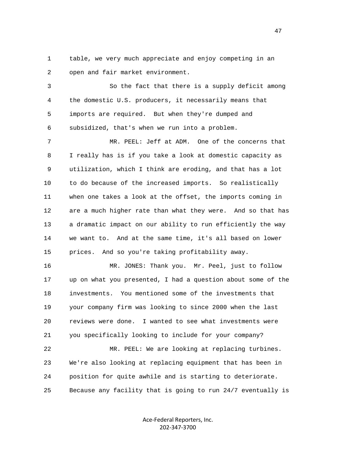1 table, we very much appreciate and enjoy competing in an 2 open and fair market environment.

 3 So the fact that there is a supply deficit among 4 the domestic U.S. producers, it necessarily means that 5 imports are required. But when they're dumped and 6 subsidized, that's when we run into a problem.

 7 MR. PEEL: Jeff at ADM. One of the concerns that 8 I really has is if you take a look at domestic capacity as 9 utilization, which I think are eroding, and that has a lot 10 to do because of the increased imports. So realistically 11 when one takes a look at the offset, the imports coming in 12 are a much higher rate than what they were. And so that has 13 a dramatic impact on our ability to run efficiently the way 14 we want to. And at the same time, it's all based on lower 15 prices. And so you're taking profitability away.

 16 MR. JONES: Thank you. Mr. Peel, just to follow 17 up on what you presented, I had a question about some of the 18 investments. You mentioned some of the investments that 19 your company firm was looking to since 2000 when the last 20 reviews were done. I wanted to see what investments were 21 you specifically looking to include for your company?

 22 MR. PEEL: We are looking at replacing turbines. 23 We're also looking at replacing equipment that has been in 24 position for quite awhile and is starting to deteriorate. 25 Because any facility that is going to run 24/7 eventually is

> Ace-Federal Reporters, Inc. 202-347-3700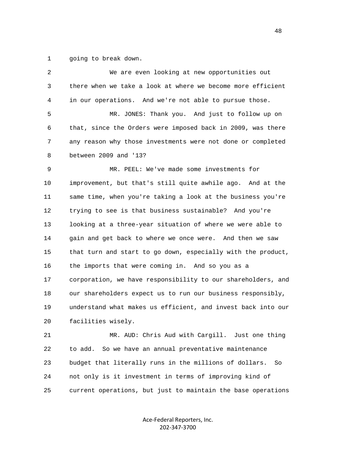1 going to break down.

| 2  | We are even looking at new opportunities out                 |
|----|--------------------------------------------------------------|
| 3  | there when we take a look at where we become more efficient  |
| 4  | in our operations. And we're not able to pursue those.       |
| 5  | MR. JONES: Thank you. And just to follow up on               |
| 6  | that, since the Orders were imposed back in 2009, was there  |
| 7  | any reason why those investments were not done or completed  |
| 8  | between 2009 and '13?                                        |
| 9  | MR. PEEL: We've made some investments for                    |
| 10 | improvement, but that's still quite awhile ago. And at the   |
| 11 | same time, when you're taking a look at the business you're  |
| 12 | trying to see is that business sustainable? And you're       |
| 13 | looking at a three-year situation of where we were able to   |
| 14 | gain and get back to where we once were. And then we saw     |
| 15 | that turn and start to go down, especially with the product, |
| 16 | the imports that were coming in. And so you as a             |
| 17 | corporation, we have responsibility to our shareholders, and |
| 18 | our shareholders expect us to run our business responsibly,  |
| 19 | understand what makes us efficient, and invest back into our |
| 20 | facilities wisely.                                           |
| 21 | MR. AUD: Chris Aud with Cargill. Just one thing              |
| 22 | So we have an annual preventative maintenance<br>to add.     |
| 23 | budget that literally runs in the millions of dollars.<br>So |
| 24 | not only is it investment in terms of improving kind of      |
| 25 | current operations, but just to maintain the base operations |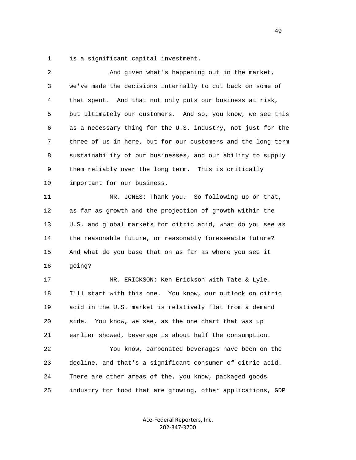1 is a significant capital investment.

| $\overline{2}$ | And given what's happening out in the market,                |
|----------------|--------------------------------------------------------------|
| 3              | we've made the decisions internally to cut back on some of   |
| 4              | that spent. And that not only puts our business at risk,     |
| 5              | but ultimately our customers. And so, you know, we see this  |
| 6              | as a necessary thing for the U.S. industry, not just for the |
| 7              | three of us in here, but for our customers and the long-term |
| 8              | sustainability of our businesses, and our ability to supply  |
| 9              | them reliably over the long term. This is critically         |
| 10             | important for our business.                                  |
| 11             | MR. JONES: Thank you. So following up on that,               |
| 12             | as far as growth and the projection of growth within the     |
| 13             | U.S. and global markets for citric acid, what do you see as  |
| 14             | the reasonable future, or reasonably foreseeable future?     |
| 15             | And what do you base that on as far as where you see it      |
| 16             | going?                                                       |
| 17             | MR. ERICKSON: Ken Erickson with Tate & Lyle.                 |
| 18             | I'll start with this one. You know, our outlook on citric    |
| 19             | acid in the U.S. market is relatively flat from a demand     |
| 20             | side.<br>You know, we see, as the one chart that was up      |
| 21             | earlier showed, beverage is about half the consumption.      |
| 22             | You know, carbonated beverages have been on the              |
| 23             | decline, and that's a significant consumer of citric acid.   |
| 24             | There are other areas of the, you know, packaged goods       |
| 25             | industry for food that are growing, other applications, GDP  |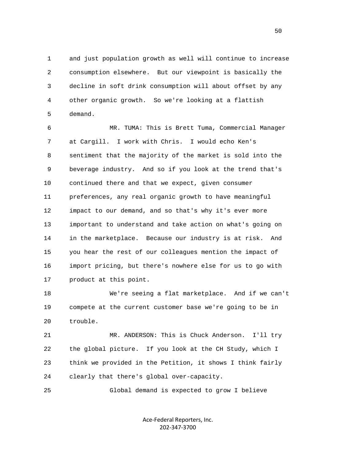1 and just population growth as well will continue to increase 2 consumption elsewhere. But our viewpoint is basically the 3 decline in soft drink consumption will about offset by any 4 other organic growth. So we're looking at a flattish 5 demand.

 6 MR. TUMA: This is Brett Tuma, Commercial Manager 7 at Cargill. I work with Chris. I would echo Ken's 8 sentiment that the majority of the market is sold into the 9 beverage industry. And so if you look at the trend that's 10 continued there and that we expect, given consumer 11 preferences, any real organic growth to have meaningful 12 impact to our demand, and so that's why it's ever more 13 important to understand and take action on what's going on 14 in the marketplace. Because our industry is at risk. And 15 you hear the rest of our colleagues mention the impact of 16 import pricing, but there's nowhere else for us to go with 17 product at this point.

 18 We're seeing a flat marketplace. And if we can't 19 compete at the current customer base we're going to be in 20 trouble.

 21 MR. ANDERSON: This is Chuck Anderson. I'll try 22 the global picture. If you look at the CH Study, which I 23 think we provided in the Petition, it shows I think fairly 24 clearly that there's global over-capacity.

25 Global demand is expected to grow I believe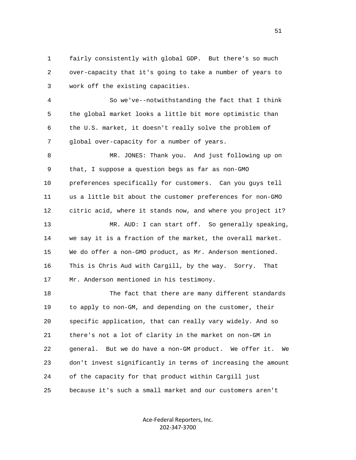1 fairly consistently with global GDP. But there's so much 2 over-capacity that it's going to take a number of years to 3 work off the existing capacities.

 4 So we've--notwithstanding the fact that I think 5 the global market looks a little bit more optimistic than 6 the U.S. market, it doesn't really solve the problem of 7 global over-capacity for a number of years.

 8 MR. JONES: Thank you. And just following up on 9 that, I suppose a question begs as far as non-GMO 10 preferences specifically for customers. Can you guys tell 11 us a little bit about the customer preferences for non-GMO 12 citric acid, where it stands now, and where you project it? 13 MR. AUD: I can start off. So generally speaking,

 14 we say it is a fraction of the market, the overall market. 15 We do offer a non-GMO product, as Mr. Anderson mentioned. 16 This is Chris Aud with Cargill, by the way. Sorry. That 17 Mr. Anderson mentioned in his testimony.

 18 The fact that there are many different standards 19 to apply to non-GM, and depending on the customer, their 20 specific application, that can really vary widely. And so 21 there's not a lot of clarity in the market on non-GM in 22 general. But we do have a non-GM product. We offer it. We 23 don't invest significantly in terms of increasing the amount 24 of the capacity for that product within Cargill just 25 because it's such a small market and our customers aren't

> Ace-Federal Reporters, Inc. 202-347-3700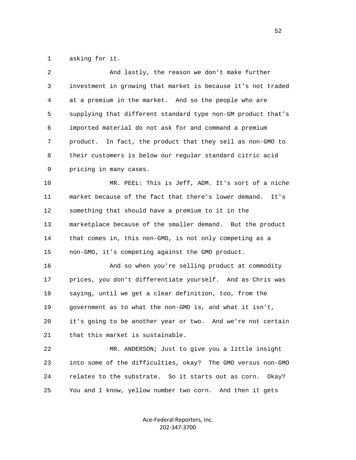1 asking for it.

| 2            | And lastly, the reason we don't make further                  |
|--------------|---------------------------------------------------------------|
| $\mathsf{3}$ | investment in growing that market is because it's not traded  |
| 4            | at a premium in the market. And so the people who are         |
| 5            | supplying that different standard type non-GM product that's  |
| 6            | imported material do not ask for and command a premium        |
| 7            | In fact, the product that they sell as non-GMO to<br>product. |
| 8            | their customers is below our regular standard citric acid     |
| 9            | pricing in many cases.                                        |
| 10           | MR. PEEL: This is Jeff, ADM. It's sort of a niche             |
| 11           | market because of the fact that there's lower demand.<br>It's |
| 12           | something that should have a premium to it in the             |
| 13           | marketplace because of the smaller demand. But the product    |
| 14           | that comes in, this non-GMO, is not only competing as a       |
| 15           | non-GMO, it's competing against the GMO product.              |
| 16           | And so when you're selling product at commodity               |
| 17           | prices, you don't differentiate yourself. And as Chris was    |
| 18           | saying, until we get a clear definition, too, from the        |
| 19           | government as to what the non-GMO is, and what it isn't,      |
| 20           | it's going to be another year or two. And we're not certain   |
| 21           | that this market is sustainable.                              |
| 22           | MR. ANDERSON; Just to give you a little insight               |
| 23           | into some of the difficulties, okay? The GMO versus non-GMO   |
| 24           | relates to the substrate. So it starts out as corn.<br>Okay?  |
| 25           | You and I know, yellow number two corn. And then it gets      |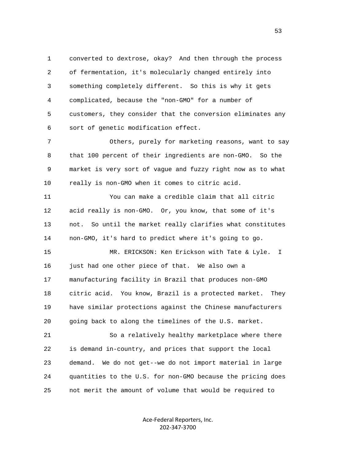1 converted to dextrose, okay? And then through the process 2 of fermentation, it's molecularly changed entirely into 3 something completely different. So this is why it gets 4 complicated, because the "non-GMO" for a number of 5 customers, they consider that the conversion eliminates any 6 sort of genetic modification effect.

 7 Others, purely for marketing reasons, want to say 8 that 100 percent of their ingredients are non-GMO. So the 9 market is very sort of vague and fuzzy right now as to what 10 really is non-GMO when it comes to citric acid.

 11 You can make a credible claim that all citric 12 acid really is non-GMO. Or, you know, that some of it's 13 not. So until the market really clarifies what constitutes 14 non-GMO, it's hard to predict where it's going to go.

 15 MR. ERICKSON: Ken Erickson with Tate & Lyle. I 16 just had one other piece of that. We also own a 17 manufacturing facility in Brazil that produces non-GMO 18 citric acid. You know, Brazil is a protected market. They 19 have similar protections against the Chinese manufacturers 20 going back to along the timelines of the U.S. market.

 21 So a relatively healthy marketplace where there 22 is demand in-country, and prices that support the local 23 demand. We do not get--we do not import material in large 24 quantities to the U.S. for non-GMO because the pricing does 25 not merit the amount of volume that would be required to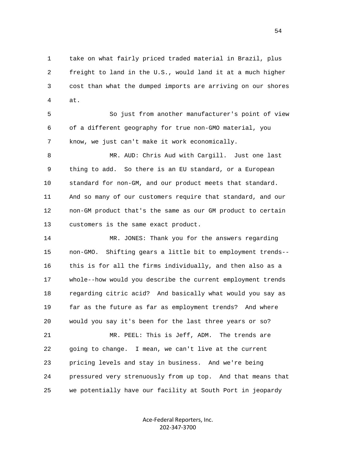1 take on what fairly priced traded material in Brazil, plus 2 freight to land in the U.S., would land it at a much higher 3 cost than what the dumped imports are arriving on our shores 4 at.

 5 So just from another manufacturer's point of view 6 of a different geography for true non-GMO material, you 7 know, we just can't make it work economically.

 8 MR. AUD: Chris Aud with Cargill. Just one last 9 thing to add. So there is an EU standard, or a European 10 standard for non-GM, and our product meets that standard. 11 And so many of our customers require that standard, and our 12 non-GM product that's the same as our GM product to certain 13 customers is the same exact product.

 14 MR. JONES: Thank you for the answers regarding 15 non-GMO. Shifting gears a little bit to employment trends-- 16 this is for all the firms individually, and then also as a 17 whole--how would you describe the current employment trends 18 regarding citric acid? And basically what would you say as 19 far as the future as far as employment trends? And where 20 would you say it's been for the last three years or so? 21 MR. PEEL: This is Jeff, ADM. The trends are

 22 going to change. I mean, we can't live at the current 23 pricing levels and stay in business. And we're being 24 pressured very strenuously from up top. And that means that 25 we potentially have our facility at South Port in jeopardy

> Ace-Federal Reporters, Inc. 202-347-3700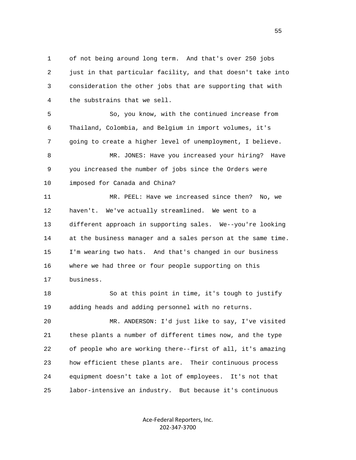1 of not being around long term. And that's over 250 jobs 2 just in that particular facility, and that doesn't take into 3 consideration the other jobs that are supporting that with 4 the substrains that we sell.

 5 So, you know, with the continued increase from 6 Thailand, Colombia, and Belgium in import volumes, it's 7 going to create a higher level of unemployment, I believe. 8 MR. JONES: Have you increased your hiring? Have 9 you increased the number of jobs since the Orders were 10 imposed for Canada and China?

 11 MR. PEEL: Have we increased since then? No, we 12 haven't. We've actually streamlined. We went to a 13 different approach in supporting sales. We--you're looking 14 at the business manager and a sales person at the same time. 15 I'm wearing two hats. And that's changed in our business 16 where we had three or four people supporting on this 17 business.

 18 So at this point in time, it's tough to justify 19 adding heads and adding personnel with no returns.

 20 MR. ANDERSON: I'd just like to say, I've visited 21 these plants a number of different times now, and the type 22 of people who are working there--first of all, it's amazing 23 how efficient these plants are. Their continuous process 24 equipment doesn't take a lot of employees. It's not that 25 labor-intensive an industry. But because it's continuous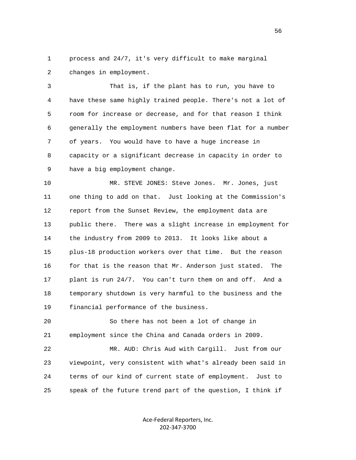1 process and 24/7, it's very difficult to make marginal 2 changes in employment.

 3 That is, if the plant has to run, you have to 4 have these same highly trained people. There's not a lot of 5 room for increase or decrease, and for that reason I think 6 generally the employment numbers have been flat for a number 7 of years. You would have to have a huge increase in 8 capacity or a significant decrease in capacity in order to 9 have a big employment change.

 10 MR. STEVE JONES: Steve Jones. Mr. Jones, just 11 one thing to add on that. Just looking at the Commission's 12 report from the Sunset Review, the employment data are 13 public there. There was a slight increase in employment for 14 the industry from 2009 to 2013. It looks like about a 15 plus-18 production workers over that time. But the reason 16 for that is the reason that Mr. Anderson just stated. The 17 plant is run 24/7. You can't turn them on and off. And a 18 temporary shutdown is very harmful to the business and the 19 financial performance of the business.

 20 So there has not been a lot of change in 21 employment since the China and Canada orders in 2009.

 22 MR. AUD: Chris Aud with Cargill. Just from our 23 viewpoint, very consistent with what's already been said in 24 terms of our kind of current state of employment. Just to 25 speak of the future trend part of the question, I think if

> Ace-Federal Reporters, Inc. 202-347-3700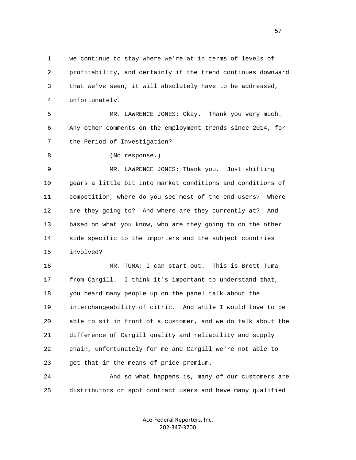1 we continue to stay where we're at in terms of levels of 2 profitability, and certainly if the trend continues downward 3 that we've seen, it will absolutely have to be addressed, 4 unfortunately.

 5 MR. LAWRENCE JONES: Okay. Thank you very much. 6 Any other comments on the employment trends since 2014, for 7 the Period of Investigation?

8 (No response.)

 9 MR. LAWRENCE JONES: Thank you. Just shifting 10 gears a little bit into market conditions and conditions of 11 competition, where do you see most of the end users? Where 12 are they going to? And where are they currently at? And 13 based on what you know, who are they going to on the other 14 side specific to the importers and the subject countries 15 involved?

 16 MR. TUMA: I can start out. This is Brett Tuma 17 from Cargill. I think it's important to understand that, 18 you heard many people up on the panel talk about the 19 interchangeability of citric. And while I would love to be 20 able to sit in front of a customer, and we do talk about the 21 difference of Cargill quality and reliability and supply 22 chain, unfortunately for me and Cargill we're not able to 23 get that in the means of price premium.

 24 And so what happens is, many of our customers are 25 distributors or spot contract users and have many qualified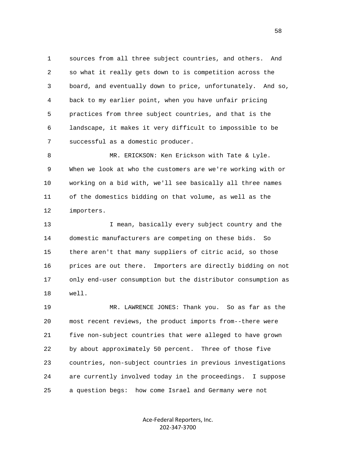1 sources from all three subject countries, and others. And 2 so what it really gets down to is competition across the 3 board, and eventually down to price, unfortunately. And so, 4 back to my earlier point, when you have unfair pricing 5 practices from three subject countries, and that is the 6 landscape, it makes it very difficult to impossible to be 7 successful as a domestic producer.

 8 MR. ERICKSON: Ken Erickson with Tate & Lyle. 9 When we look at who the customers are we're working with or 10 working on a bid with, we'll see basically all three names 11 of the domestics bidding on that volume, as well as the 12 importers.

13 13 I mean, basically every subject country and the 14 domestic manufacturers are competing on these bids. So 15 there aren't that many suppliers of citric acid, so those 16 prices are out there. Importers are directly bidding on not 17 only end-user consumption but the distributor consumption as 18 well.

 19 MR. LAWRENCE JONES: Thank you. So as far as the 20 most recent reviews, the product imports from--there were 21 five non-subject countries that were alleged to have grown 22 by about approximately 50 percent. Three of those five 23 countries, non-subject countries in previous investigations 24 are currently involved today in the proceedings. I suppose 25 a question begs: how come Israel and Germany were not

> Ace-Federal Reporters, Inc. 202-347-3700

 $58<sup>58</sup>$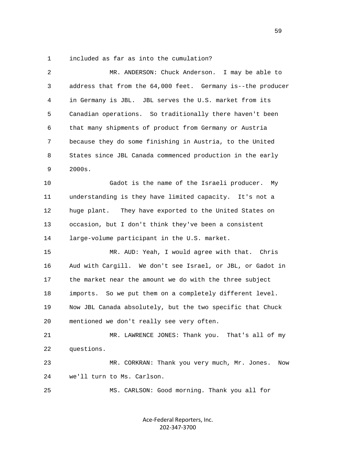1 included as far as into the cumulation?

| 2  | MR. ANDERSON: Chuck Anderson.<br>I may be able to           |
|----|-------------------------------------------------------------|
| 3  | address that from the 64,000 feet. Germany is--the producer |
| 4  | in Germany is JBL. JBL serves the U.S. market from its      |
| 5  | Canadian operations. So traditionally there haven't been    |
| 6  | that many shipments of product from Germany or Austria      |
| 7  | because they do some finishing in Austria, to the United    |
| 8  | States since JBL Canada commenced production in the early   |
| 9  | 2000s.                                                      |
| 10 | Gadot is the name of the Israeli producer. My               |
| 11 | understanding is they have limited capacity. It's not a     |
| 12 | huge plant.<br>They have exported to the United States on   |
| 13 | occasion, but I don't think they've been a consistent       |
| 14 | large-volume participant in the U.S. market.                |
| 15 | MR. AUD: Yeah, I would agree with that. Chris               |
| 16 | Aud with Cargill. We don't see Israel, or JBL, or Gadot in  |
| 17 | the market near the amount we do with the three subject     |
| 18 | imports. So we put them on a completely different level.    |
| 19 | Now JBL Canada absolutely, but the two specific that Chuck  |
| 20 | mentioned we don't really see very often.                   |
| 21 | MR. LAWRENCE JONES: Thank you. That's all of my             |
| 22 | questions.                                                  |
| 23 | MR. CORKRAN: Thank you very much, Mr. Jones.<br>Now         |
| 24 | we'll turn to Ms. Carlson.                                  |
| 25 | MS. CARLSON: Good morning. Thank you all for                |
|    |                                                             |

Ace-Federal Reporters, Inc. 202-347-3700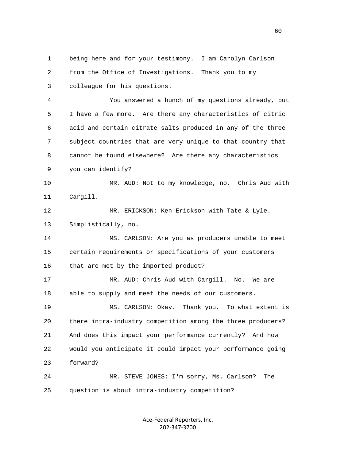1 being here and for your testimony. I am Carolyn Carlson 2 from the Office of Investigations. Thank you to my 3 colleague for his questions. 4 You answered a bunch of my questions already, but 5 I have a few more. Are there any characteristics of citric 6 acid and certain citrate salts produced in any of the three 7 subject countries that are very unique to that country that 8 cannot be found elsewhere? Are there any characteristics 9 you can identify? 10 MR. AUD: Not to my knowledge, no. Chris Aud with 11 Cargill. 12 MR. ERICKSON: Ken Erickson with Tate & Lyle. 13 Simplistically, no. 14 MS. CARLSON: Are you as producers unable to meet 15 certain requirements or specifications of your customers 16 that are met by the imported product? 17 MR. AUD: Chris Aud with Cargill. No. We are 18 able to supply and meet the needs of our customers. 19 MS. CARLSON: Okay. Thank you. To what extent is 20 there intra-industry competition among the three producers? 21 And does this impact your performance currently? And how 22 would you anticipate it could impact your performance going 23 forward? 24 MR. STEVE JONES: I'm sorry, Ms. Carlson? The 25 question is about intra-industry competition?

> Ace-Federal Reporters, Inc. 202-347-3700

 $\sim$  60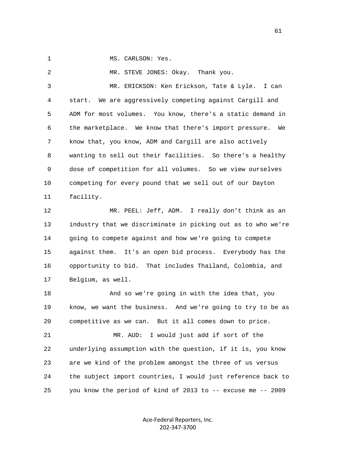1 MS. CARLSON: Yes.

2 MR. STEVE JONES: Okay. Thank you. 3 MR. ERICKSON: Ken Erickson, Tate & Lyle. I can 4 start. We are aggressively competing against Cargill and 5 ADM for most volumes. You know, there's a static demand in 6 the marketplace. We know that there's import pressure. We 7 know that, you know, ADM and Cargill are also actively 8 wanting to sell out their facilities. So there's a healthy 9 dose of competition for all volumes. So we view ourselves 10 competing for every pound that we sell out of our Dayton 11 facility.

 12 MR. PEEL: Jeff, ADM. I really don't think as an 13 industry that we discriminate in picking out as to who we're 14 going to compete against and how we're going to compete 15 against them. It's an open bid process. Everybody has the 16 opportunity to bid. That includes Thailand, Colombia, and 17 Belgium, as well.

 18 And so we're going in with the idea that, you 19 know, we want the business. And we're going to try to be as 20 competitive as we can. But it all comes down to price.

 21 MR. AUD: I would just add if sort of the 22 underlying assumption with the question, if it is, you know 23 are we kind of the problem amongst the three of us versus 24 the subject import countries, I would just reference back to 25 you know the period of kind of 2013 to -- excuse me -- 2009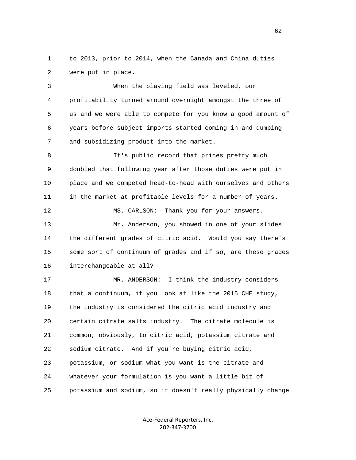1 to 2013, prior to 2014, when the Canada and China duties 2 were put in place.

 3 When the playing field was leveled, our 4 profitability turned around overnight amongst the three of 5 us and we were able to compete for you know a good amount of 6 years before subject imports started coming in and dumping 7 and subsidizing product into the market.

8 It's public record that prices pretty much 9 doubled that following year after those duties were put in 10 place and we competed head-to-head with ourselves and others 11 in the market at profitable levels for a number of years.

12 MS. CARLSON: Thank you for your answers. 13 Mr. Anderson, you showed in one of your slides 14 the different grades of citric acid. Would you say there's 15 some sort of continuum of grades and if so, are these grades 16 interchangeable at all?

17 MR. ANDERSON: I think the industry considers 18 that a continuum, if you look at like the 2015 CHE study, 19 the industry is considered the citric acid industry and 20 certain citrate salts industry. The citrate molecule is 21 common, obviously, to citric acid, potassium citrate and 22 sodium citrate. And if you're buying citric acid, 23 potassium, or sodium what you want is the citrate and 24 whatever your formulation is you want a little bit of 25 potassium and sodium, so it doesn't really physically change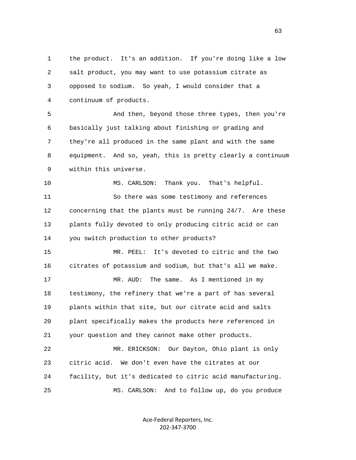1 the product. It's an addition. If you're doing like a low 2 salt product, you may want to use potassium citrate as 3 opposed to sodium. So yeah, I would consider that a 4 continuum of products. 5 And then, beyond those three types, then you're 6 basically just talking about finishing or grading and 7 they're all produced in the same plant and with the same 8 equipment. And so, yeah, this is pretty clearly a continuum 9 within this universe. 10 MS. CARLSON: Thank you. That's helpful. 11 So there was some testimony and references 12 concerning that the plants must be running 24/7. Are these 13 plants fully devoted to only producing citric acid or can 14 you switch production to other products? 15 MR. PEEL: It's devoted to citric and the two 16 citrates of potassium and sodium, but that's all we make. 17 MR. AUD: The same. As I mentioned in my 18 testimony, the refinery that we're a part of has several 19 plants within that site, but our citrate acid and salts 20 plant specifically makes the products here referenced in 21 your question and they cannot make other products. 22 MR. ERICKSON: Our Dayton, Ohio plant is only 23 citric acid. We don't even have the citrates at our 24 facility, but it's dedicated to citric acid manufacturing. 25 MS. CARLSON: And to follow up, do you produce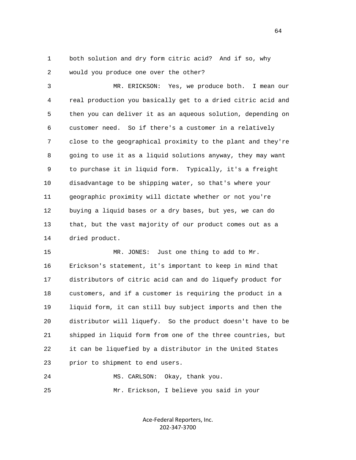1 both solution and dry form citric acid? And if so, why 2 would you produce one over the other?

 3 MR. ERICKSON: Yes, we produce both. I mean our 4 real production you basically get to a dried citric acid and 5 then you can deliver it as an aqueous solution, depending on 6 customer need. So if there's a customer in a relatively 7 close to the geographical proximity to the plant and they're 8 going to use it as a liquid solutions anyway, they may want 9 to purchase it in liquid form. Typically, it's a freight 10 disadvantage to be shipping water, so that's where your 11 geographic proximity will dictate whether or not you're 12 buying a liquid bases or a dry bases, but yes, we can do 13 that, but the vast majority of our product comes out as a 14 dried product.

15 MR. JONES: Just one thing to add to Mr. 16 Erickson's statement, it's important to keep in mind that 17 distributors of citric acid can and do liquefy product for 18 customers, and if a customer is requiring the product in a 19 liquid form, it can still buy subject imports and then the 20 distributor will liquefy. So the product doesn't have to be 21 shipped in liquid form from one of the three countries, but 22 it can be liquefied by a distributor in the United States 23 prior to shipment to end users.

 24 MS. CARLSON: Okay, thank you. 25 Mr. Erickson, I believe you said in your

> Ace-Federal Reporters, Inc. 202-347-3700

 $\sim$  64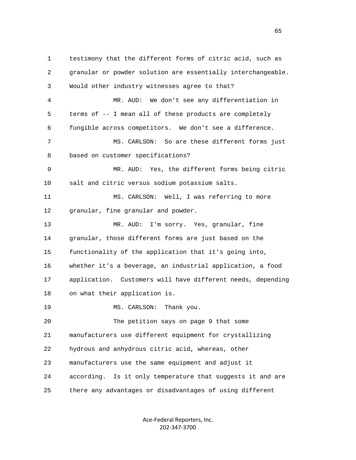1 testimony that the different forms of citric acid, such as 2 granular or powder solution are essentially interchangeable. 3 Would other industry witnesses agree to that? 4 MR. AUD: We don't see any differentiation in 5 terms of -- I mean all of these products are completely 6 fungible across competitors. We don't see a difference. 7 MS. CARLSON: So are these different forms just 8 based on customer specifications? 9 MR. AUD: Yes, the different forms being citric 10 salt and citric versus sodium potassium salts. 11 MS. CARLSON: Well, I was referring to more 12 granular, fine granular and powder. 13 MR. AUD: I'm sorry. Yes, granular, fine 14 granular, those different forms are just based on the 15 functionality of the application that it's going into, 16 whether it's a beverage, an industrial application, a food 17 application. Customers will have different needs, depending 18 on what their application is. 19 MS. CARLSON: Thank you. 20 The petition says on page 9 that some 21 manufacturers use different equipment for crystallizing 22 hydrous and anhydrous citric acid, whereas, other 23 manufacturers use the same equipment and adjust it 24 according. Is it only temperature that suggests it and are 25 there any advantages or disadvantages of using different

> Ace-Federal Reporters, Inc. 202-347-3700

 $\sim$  65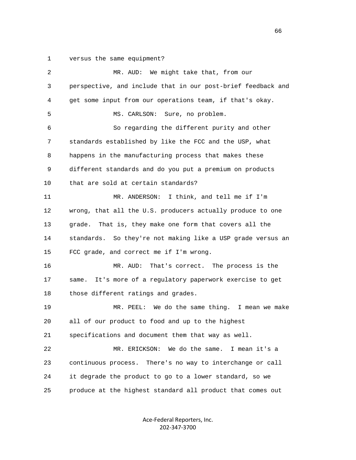1 versus the same equipment?

| $\overline{2}$ | MR. AUD: We might take that, from our                        |
|----------------|--------------------------------------------------------------|
| 3              | perspective, and include that in our post-brief feedback and |
| 4              | get some input from our operations team, if that's okay.     |
| 5              | Sure, no problem.<br>MS. CARLSON:                            |
| 6              | So regarding the different purity and other                  |
| 7              | standards established by like the FCC and the USP, what      |
| 8              | happens in the manufacturing process that makes these        |
| 9              | different standards and do you put a premium on products     |
| 10             | that are sold at certain standards?                          |
| 11             | I think, and tell me if I'm<br>MR. ANDERSON:                 |
| 12             | wrong, that all the U.S. producers actually produce to one   |
| 13             | That is, they make one form that covers all the<br>qrade.    |
| 14             | standards. So they're not making like a USP grade versus an  |
| 15             | FCC grade, and correct me if I'm wrong.                      |
| 16             | MR. AUD:<br>That's correct. The process is the               |
| 17             | It's more of a regulatory paperwork exercise to get<br>same. |
| 18             | those different ratings and grades.                          |
| 19             | MR. PEEL: We do the same thing. I mean we make               |
| 20             | all of our product to food and up to the highest             |
| 21             | specifications and document them that way as well.           |
| 22             | We do the same.<br>I mean it's a<br>MR. ERICKSON:            |
| 23             | continuous process. There's no way to interchange or call    |
| 24             | it degrade the product to go to a lower standard, so we      |
| 25             | produce at the highest standard all product that comes out   |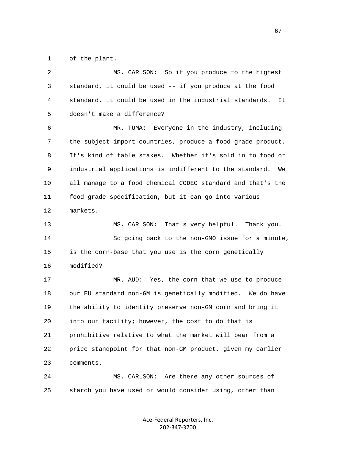1 of the plant.

| 2  | So if you produce to the highest<br>MS. CARLSON:              |
|----|---------------------------------------------------------------|
| 3  | standard, it could be used -- if you produce at the food      |
| 4  | standard, it could be used in the industrial standards.<br>It |
| 5  | doesn't make a difference?                                    |
| 6  | MR. TUMA: Everyone in the industry, including                 |
| 7  | the subject import countries, produce a food grade product.   |
| 8  | It's kind of table stakes. Whether it's sold in to food or    |
| 9  | industrial applications is indifferent to the standard.<br>We |
| 10 | all manage to a food chemical CODEC standard and that's the   |
| 11 | food grade specification, but it can go into various          |
| 12 | markets.                                                      |
| 13 | That's very helpful. Thank you.<br>MS. CARLSON:               |
| 14 | So going back to the non-GMO issue for a minute,              |
| 15 | is the corn-base that you use is the corn genetically         |
| 16 | modified?                                                     |
| 17 | Yes, the corn that we use to produce<br>MR. AUD:              |
| 18 | our EU standard non-GM is genetically modified. We do have    |
| 19 | the ability to identity preserve non-GM corn and bring it     |
| 20 | into our facility; however, the cost to do that is            |
| 21 | prohibitive relative to what the market will bear from a      |
| 22 | price standpoint for that non-GM product, given my earlier    |
| 23 | comments.                                                     |
| 24 | Are there any other sources of<br>MS. CARLSON:                |
| 25 | starch you have used or would consider using, other than      |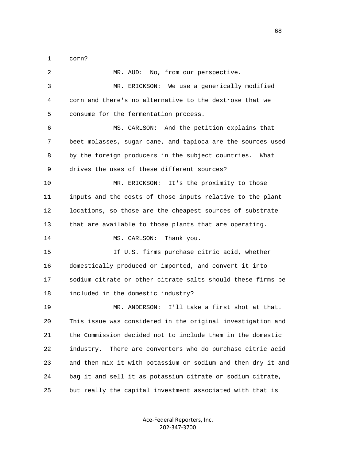1 corn?

 2 MR. AUD: No, from our perspective. 3 MR. ERICKSON: We use a generically modified 4 corn and there's no alternative to the dextrose that we 5 consume for the fermentation process. 6 MS. CARLSON: And the petition explains that 7 beet molasses, sugar cane, and tapioca are the sources used 8 by the foreign producers in the subject countries. What 9 drives the uses of these different sources? 10 MR. ERICKSON: It's the proximity to those 11 inputs and the costs of those inputs relative to the plant 12 locations, so those are the cheapest sources of substrate 13 that are available to those plants that are operating. 14 MS. CARLSON: Thank you. 15 If U.S. firms purchase citric acid, whether 16 domestically produced or imported, and convert it into 17 sodium citrate or other citrate salts should these firms be 18 included in the domestic industry? 19 MR. ANDERSON: I'll take a first shot at that. 20 This issue was considered in the original investigation and 21 the Commission decided not to include them in the domestic 22 industry. There are converters who do purchase citric acid 23 and then mix it with potassium or sodium and then dry it and 24 bag it and sell it as potassium citrate or sodium citrate, 25 but really the capital investment associated with that is

> Ace-Federal Reporters, Inc. 202-347-3700

 $\sim$  68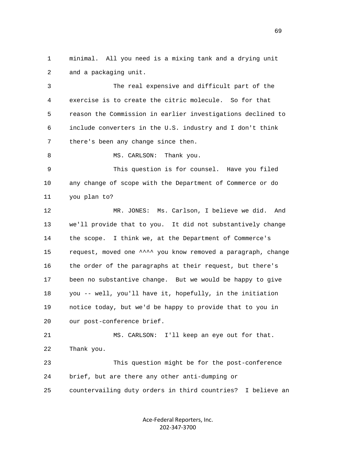1 minimal. All you need is a mixing tank and a drying unit 2 and a packaging unit.

 3 The real expensive and difficult part of the 4 exercise is to create the citric molecule. So for that 5 reason the Commission in earlier investigations declined to 6 include converters in the U.S. industry and I don't think 7 there's been any change since then.

8 MS. CARLSON: Thank you.

 9 This question is for counsel. Have you filed 10 any change of scope with the Department of Commerce or do 11 you plan to?

 12 MR. JONES: Ms. Carlson, I believe we did. And 13 we'll provide that to you. It did not substantively change 14 the scope. I think we, at the Department of Commerce's 15 request, moved one ^^^^ you know removed a paragraph, change 16 the order of the paragraphs at their request, but there's 17 been no substantive change. But we would be happy to give 18 you -- well, you'll have it, hopefully, in the initiation 19 notice today, but we'd be happy to provide that to you in 20 our post-conference brief.

 21 MS. CARLSON: I'll keep an eye out for that. 22 Thank you.

 23 This question might be for the post-conference 24 brief, but are there any other anti-dumping or 25 countervailing duty orders in third countries? I believe an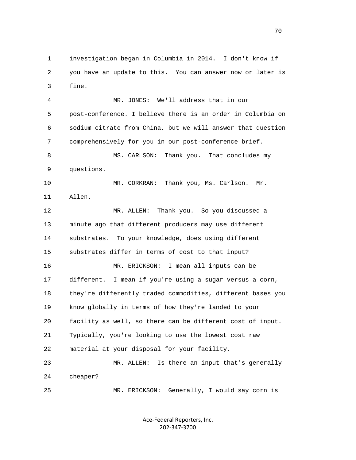1 investigation began in Columbia in 2014. I don't know if 2 you have an update to this. You can answer now or later is 3 fine.

 4 MR. JONES: We'll address that in our 5 post-conference. I believe there is an order in Columbia on 6 sodium citrate from China, but we will answer that question 7 comprehensively for you in our post-conference brief. 8 MS. CARLSON: Thank you. That concludes my 9 questions. 10 MR. CORKRAN: Thank you, Ms. Carlson. Mr. 11 Allen. 12 MR. ALLEN: Thank you. So you discussed a 13 minute ago that different producers may use different 14 substrates. To your knowledge, does using different 15 substrates differ in terms of cost to that input? 16 MR. ERICKSON: I mean all inputs can be 17 different. I mean if you're using a sugar versus a corn, 18 they're differently traded commodities, different bases you 19 know globally in terms of how they're landed to your 20 facility as well, so there can be different cost of input. 21 Typically, you're looking to use the lowest cost raw 22 material at your disposal for your facility. 23 MR. ALLEN: Is there an input that's generally 24 cheaper? 25 MR. ERICKSON: Generally, I would say corn is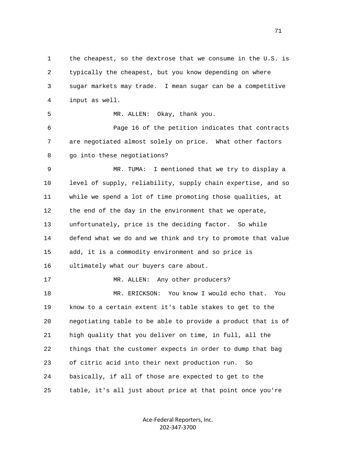1 the cheapest, so the dextrose that we consume in the U.S. is 2 typically the cheapest, but you know depending on where 3 sugar markets may trade. I mean sugar can be a competitive 4 input as well. 5 MR. ALLEN: Okay, thank you. 6 Page 16 of the petition indicates that contracts 7 are negotiated almost solely on price. What other factors 8 go into these negotiations? 9 MR. TUMA: I mentioned that we try to display a 10 level of supply, reliability, supply chain expertise, and so 11 while we spend a lot of time promoting those qualities, at 12 the end of the day in the environment that we operate, 13 unfortunately, price is the deciding factor. So while 14 defend what we do and we think and try to promote that value 15 add, it is a commodity environment and so price is 16 ultimately what our buyers care about. 17 MR. ALLEN: Any other producers? 18 MR. ERICKSON: You know I would echo that. You 19 know to a certain extent it's table stakes to get to the 20 negotiating table to be able to provide a product that is of 21 high quality that you deliver on time, in full, all the 22 things that the customer expects in order to dump that bag 23 of citric acid into their next production run. So 24 basically, if all of those are expected to get to the 25 table, it's all just about price at that point once you're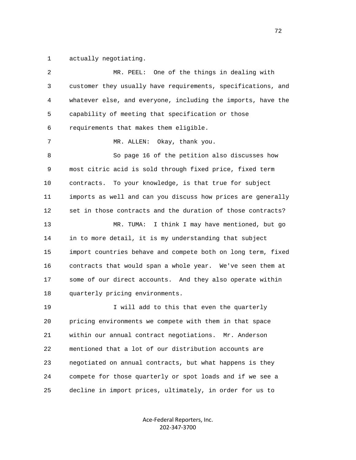1 actually negotiating.

| 2  | One of the things in dealing with<br>MR. PEEL:               |
|----|--------------------------------------------------------------|
| 3  | customer they usually have requirements, specifications, and |
| 4  | whatever else, and everyone, including the imports, have the |
| 5  | capability of meeting that specification or those            |
| 6  | requirements that makes them eligible.                       |
| 7  | Okay, thank you.<br>MR. ALLEN:                               |
| 8  | So page 16 of the petition also discusses how                |
| 9  | most citric acid is sold through fixed price, fixed term     |
| 10 | To your knowledge, is that true for subject<br>contracts.    |
| 11 | imports as well and can you discuss how prices are generally |
| 12 | set in those contracts and the duration of those contracts?  |
| 13 | I think I may have mentioned, but go<br>MR. TUMA:            |
| 14 | in to more detail, it is my understanding that subject       |
| 15 | import countries behave and compete both on long term, fixed |
| 16 | contracts that would span a whole year. We've seen them at   |
| 17 | some of our direct accounts. And they also operate within    |
| 18 | quarterly pricing environments.                              |
| 19 | I will add to this that even the quarterly                   |
| 20 | pricing environments we compete with them in that space      |
| 21 | within our annual contract negotiations. Mr. Anderson        |
| 22 | mentioned that a lot of our distribution accounts are        |
| 23 | negotiated on annual contracts, but what happens is they     |
| 24 | compete for those quarterly or spot loads and if we see a    |
| 25 | decline in import prices, ultimately, in order for us to     |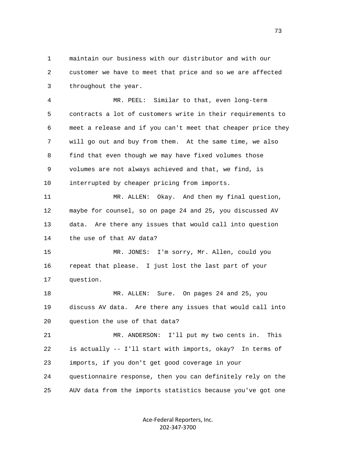1 maintain our business with our distributor and with our 2 customer we have to meet that price and so we are affected 3 throughout the year.

 4 MR. PEEL: Similar to that, even long-term 5 contracts a lot of customers write in their requirements to 6 meet a release and if you can't meet that cheaper price they 7 will go out and buy from them. At the same time, we also 8 find that even though we may have fixed volumes those 9 volumes are not always achieved and that, we find, is 10 interrupted by cheaper pricing from imports.

 11 MR. ALLEN: Okay. And then my final question, 12 maybe for counsel, so on page 24 and 25, you discussed AV 13 data. Are there any issues that would call into question 14 the use of that AV data?

 15 MR. JONES: I'm sorry, Mr. Allen, could you 16 repeat that please. I just lost the last part of your 17 question.

 18 MR. ALLEN: Sure. On pages 24 and 25, you 19 discuss AV data. Are there any issues that would call into 20 question the use of that data?

 21 MR. ANDERSON: I'll put my two cents in. This 22 is actually -- I'll start with imports, okay? In terms of 23 imports, if you don't get good coverage in your 24 questionnaire response, then you can definitely rely on the 25 AUV data from the imports statistics because you've got one

> Ace-Federal Reporters, Inc. 202-347-3700

73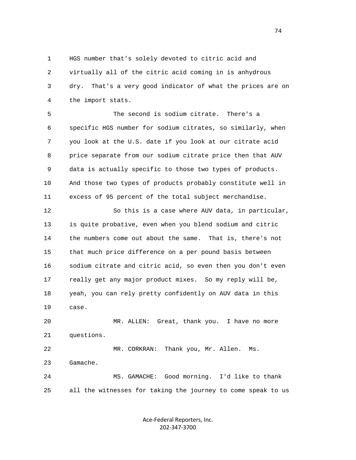1 HGS number that's solely devoted to citric acid and 2 virtually all of the citric acid coming in is anhydrous 3 dry. That's a very good indicator of what the prices are on 4 the import stats.

 5 The second is sodium citrate. There's a 6 specific HGS number for sodium citrates, so similarly, when 7 you look at the U.S. date if you look at our citrate acid 8 price separate from our sodium citrate price then that AUV 9 data is actually specific to those two types of products. 10 And those two types of products probably constitute well in 11 excess of 95 percent of the total subject merchandise.

 12 So this is a case where AUV data, in particular, 13 is quite probative, even when you blend sodium and citric 14 the numbers come out about the same. That is, there's not 15 that much price difference on a per pound basis between 16 sodium citrate and citric acid, so even then you don't even 17 really get any major product mixes. So my reply will be, 18 yeah, you can rely pretty confidently on AUV data in this 19 case.

 20 MR. ALLEN: Great, thank you. I have no more 21 questions.

 22 MR. CORKRAN: Thank you, Mr. Allen. Ms. 23 Gamache. 24 MS. GAMACHE: Good morning. I'd like to thank

25 all the witnesses for taking the journey to come speak to us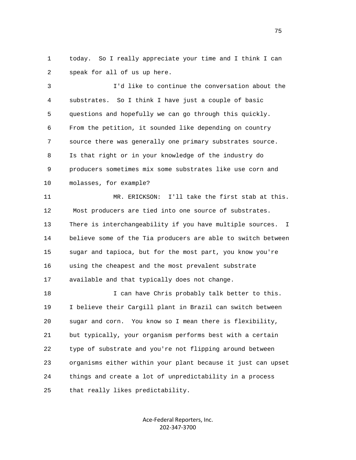1 today. So I really appreciate your time and I think I can 2 speak for all of us up here.

 3 I'd like to continue the conversation about the 4 substrates. So I think I have just a couple of basic 5 questions and hopefully we can go through this quickly. 6 From the petition, it sounded like depending on country 7 source there was generally one primary substrates source. 8 Is that right or in your knowledge of the industry do 9 producers sometimes mix some substrates like use corn and 10 molasses, for example?

 11 MR. ERICKSON: I'll take the first stab at this. 12 Most producers are tied into one source of substrates. 13 There is interchangeability if you have multiple sources. I 14 believe some of the Tia producers are able to switch between 15 sugar and tapioca, but for the most part, you know you're 16 using the cheapest and the most prevalent substrate 17 available and that typically does not change.

18 18 I can have Chris probably talk better to this. 19 I believe their Cargill plant in Brazil can switch between 20 sugar and corn. You know so I mean there is flexibility, 21 but typically, your organism performs best with a certain 22 type of substrate and you're not flipping around between 23 organisms either within your plant because it just can upset 24 things and create a lot of unpredictability in a process 25 that really likes predictability.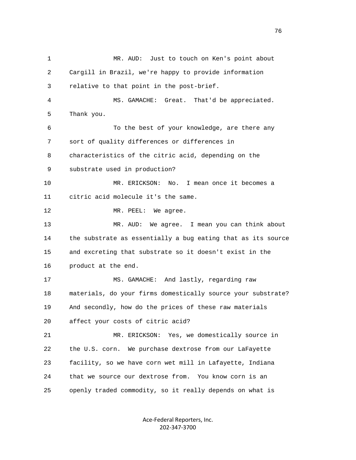1 MR. AUD: Just to touch on Ken's point about 2 Cargill in Brazil, we're happy to provide information 3 relative to that point in the post-brief. 4 MS. GAMACHE: Great. That'd be appreciated. 5 Thank you. 6 To the best of your knowledge, are there any 7 sort of quality differences or differences in 8 characteristics of the citric acid, depending on the 9 substrate used in production? 10 MR. ERICKSON: No. I mean once it becomes a 11 citric acid molecule it's the same. 12 MR. PEEL: We agree. 13 MR. AUD: We agree. I mean you can think about 14 the substrate as essentially a bug eating that as its source 15 and excreting that substrate so it doesn't exist in the 16 product at the end. 17 MS. GAMACHE: And lastly, regarding raw 18 materials, do your firms domestically source your substrate? 19 And secondly, how do the prices of these raw materials 20 affect your costs of citric acid? 21 MR. ERICKSON: Yes, we domestically source in 22 the U.S. corn. We purchase dextrose from our LaFayette 23 facility, so we have corn wet mill in Lafayette, Indiana 24 that we source our dextrose from. You know corn is an 25 openly traded commodity, so it really depends on what is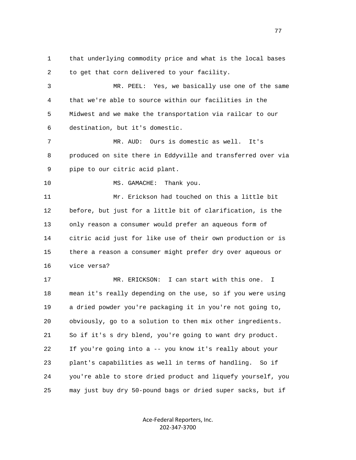1 that underlying commodity price and what is the local bases 2 to get that corn delivered to your facility. 3 MR. PEEL: Yes, we basically use one of the same

 4 that we're able to source within our facilities in the 5 Midwest and we make the transportation via railcar to our 6 destination, but it's domestic.

 7 MR. AUD: Ours is domestic as well. It's 8 produced on site there in Eddyville and transferred over via 9 pipe to our citric acid plant.

10 MS. GAMACHE: Thank you.

 11 Mr. Erickson had touched on this a little bit 12 before, but just for a little bit of clarification, is the 13 only reason a consumer would prefer an aqueous form of 14 citric acid just for like use of their own production or is 15 there a reason a consumer might prefer dry over aqueous or 16 vice versa?

 17 MR. ERICKSON: I can start with this one. I 18 mean it's really depending on the use, so if you were using 19 a dried powder you're packaging it in you're not going to, 20 obviously, go to a solution to then mix other ingredients. 21 So if it's s dry blend, you're going to want dry product. 22 If you're going into a -- you know it's really about your 23 plant's capabilities as well in terms of handling. So if 24 you're able to store dried product and liquefy yourself, you 25 may just buy dry 50-pound bags or dried super sacks, but if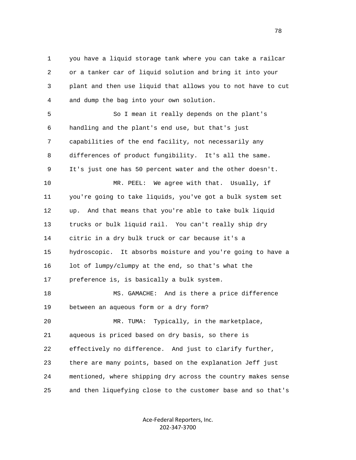1 you have a liquid storage tank where you can take a railcar 2 or a tanker car of liquid solution and bring it into your 3 plant and then use liquid that allows you to not have to cut 4 and dump the bag into your own solution.

 5 So I mean it really depends on the plant's 6 handling and the plant's end use, but that's just 7 capabilities of the end facility, not necessarily any 8 differences of product fungibility. It's all the same. 9 It's just one has 50 percent water and the other doesn't. 10 MR. PEEL: We agree with that. Usually, if 11 you're going to take liquids, you've got a bulk system set 12 up. And that means that you're able to take bulk liquid 13 trucks or bulk liquid rail. You can't really ship dry 14 citric in a dry bulk truck or car because it's a 15 hydroscopic. It absorbs moisture and you're going to have a 16 lot of lumpy/clumpy at the end, so that's what the 17 preference is, is basically a bulk system. 18 MS. GAMACHE: And is there a price difference

19 between an aqueous form or a dry form?

 20 MR. TUMA: Typically, in the marketplace, 21 aqueous is priced based on dry basis, so there is 22 effectively no difference. And just to clarify further, 23 there are many points, based on the explanation Jeff just 24 mentioned, where shipping dry across the country makes sense 25 and then liquefying close to the customer base and so that's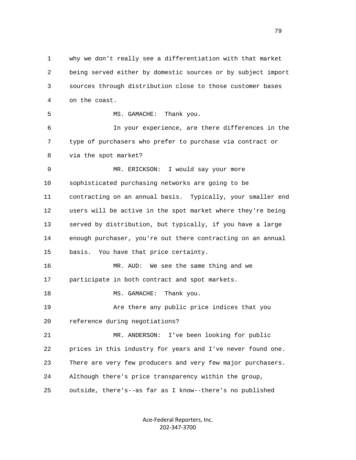1 why we don't really see a differentiation with that market 2 being served either by domestic sources or by subject import 3 sources through distribution close to those customer bases 4 on the coast. 5 MS. GAMACHE: Thank you. 6 In your experience, are there differences in the 7 type of purchasers who prefer to purchase via contract or 8 via the spot market? 9 MR. ERICKSON: I would say your more 10 sophisticated purchasing networks are going to be 11 contracting on an annual basis. Typically, your smaller end 12 users will be active in the spot market where they're being 13 served by distribution, but typically, if you have a large 14 enough purchaser, you're out there contracting on an annual 15 basis. You have that price certainty. 16 MR. AUD: We see the same thing and we 17 participate in both contract and spot markets. 18 MS. GAMACHE: Thank you. 19 Are there any public price indices that you 20 reference during negotiations? 21 MR. ANDERSON: I've been looking for public 22 prices in this industry for years and I've never found one. 23 There are very few producers and very few major purchasers. 24 Although there's price transparency within the group, 25 outside, there's--as far as I know--there's no published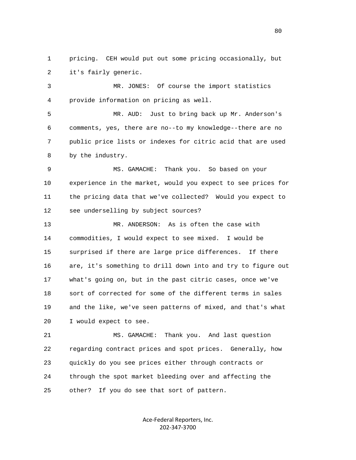1 pricing. CEH would put out some pricing occasionally, but 2 it's fairly generic.

 3 MR. JONES: Of course the import statistics 4 provide information on pricing as well.

 5 MR. AUD: Just to bring back up Mr. Anderson's 6 comments, yes, there are no--to my knowledge--there are no 7 public price lists or indexes for citric acid that are used 8 by the industry.

 9 MS. GAMACHE: Thank you. So based on your 10 experience in the market, would you expect to see prices for 11 the pricing data that we've collected? Would you expect to 12 see underselling by subject sources?

 13 MR. ANDERSON: As is often the case with 14 commodities, I would expect to see mixed. I would be 15 surprised if there are large price differences. If there 16 are, it's something to drill down into and try to figure out 17 what's going on, but in the past citric cases, once we've 18 sort of corrected for some of the different terms in sales 19 and the like, we've seen patterns of mixed, and that's what 20 I would expect to see.

 21 MS. GAMACHE: Thank you. And last question 22 regarding contract prices and spot prices. Generally, how 23 quickly do you see prices either through contracts or 24 through the spot market bleeding over and affecting the 25 other? If you do see that sort of pattern.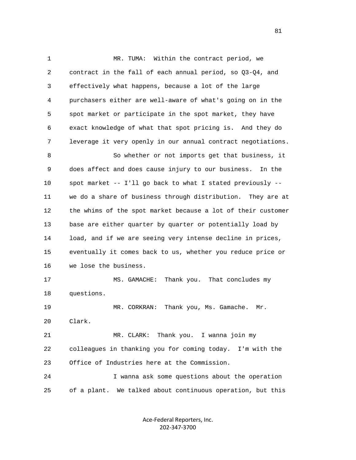1 MR. TUMA: Within the contract period, we 2 contract in the fall of each annual period, so Q3-Q4, and 3 effectively what happens, because a lot of the large 4 purchasers either are well-aware of what's going on in the 5 spot market or participate in the spot market, they have 6 exact knowledge of what that spot pricing is. And they do 7 leverage it very openly in our annual contract negotiations. 8 So whether or not imports get that business, it 9 does affect and does cause injury to our business. In the 10 spot market -- I'll go back to what I stated previously -- 11 we do a share of business through distribution. They are at 12 the whims of the spot market because a lot of their customer 13 base are either quarter by quarter or potentially load by 14 load, and if we are seeing very intense decline in prices, 15 eventually it comes back to us, whether you reduce price or 16 we lose the business. 17 MS. GAMACHE: Thank you. That concludes my 18 questions. 19 MR. CORKRAN: Thank you, Ms. Gamache. Mr. 20 Clark. 21 MR. CLARK: Thank you. I wanna join my 22 colleagues in thanking you for coming today. I'm with the 23 Office of Industries here at the Commission. 24 I wanna ask some questions about the operation 25 of a plant. We talked about continuous operation, but this

> Ace-Federal Reporters, Inc. 202-347-3700

81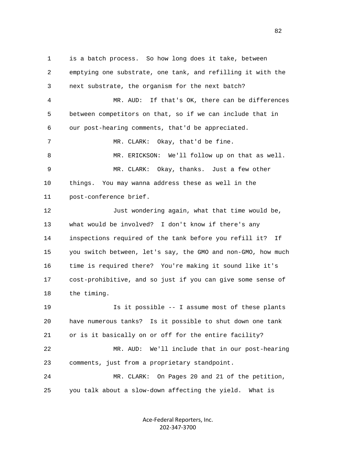1 is a batch process. So how long does it take, between 2 emptying one substrate, one tank, and refilling it with the 3 next substrate, the organism for the next batch? 4 MR. AUD: If that's OK, there can be differences 5 between competitors on that, so if we can include that in 6 our post-hearing comments, that'd be appreciated. 7 MR. CLARK: Okay, that'd be fine. 8 MR. ERICKSON: We'll follow up on that as well. 9 MR. CLARK: Okay, thanks. Just a few other 10 things. You may wanna address these as well in the 11 post-conference brief. 12 Just wondering again, what that time would be, 13 what would be involved? I don't know if there's any 14 inspections required of the tank before you refill it? If 15 you switch between, let's say, the GMO and non-GMO, how much 16 time is required there? You're making it sound like it's 17 cost-prohibitive, and so just if you can give some sense of 18 the timing. 19 Is it possible -- I assume most of these plants 20 have numerous tanks? Is it possible to shut down one tank 21 or is it basically on or off for the entire facility? 22 MR. AUD: We'll include that in our post-hearing 23 comments, just from a proprietary standpoint. 24 MR. CLARK: On Pages 20 and 21 of the petition, 25 you talk about a slow-down affecting the yield. What is

> Ace-Federal Reporters, Inc. 202-347-3700

en and the state of the state of the state of the state of the state of the state of the state of the state of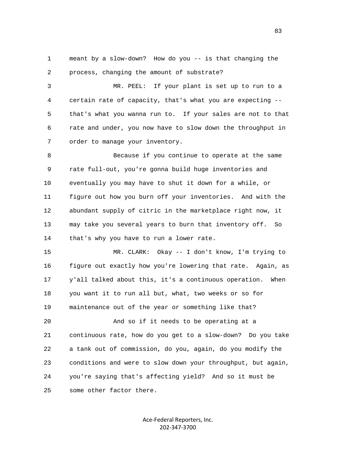1 meant by a slow-down? How do you -- is that changing the 2 process, changing the amount of substrate?

 3 MR. PEEL: If your plant is set up to run to a 4 certain rate of capacity, that's what you are expecting -- 5 that's what you wanna run to. If your sales are not to that 6 rate and under, you now have to slow down the throughput in 7 order to manage your inventory.

 8 Because if you continue to operate at the same 9 rate full-out, you're gonna build huge inventories and 10 eventually you may have to shut it down for a while, or 11 figure out how you burn off your inventories. And with the 12 abundant supply of citric in the marketplace right now, it 13 may take you several years to burn that inventory off. So 14 that's why you have to run a lower rate.

 15 MR. CLARK: Okay -- I don't know, I'm trying to 16 figure out exactly how you're lowering that rate. Again, as 17 y'all talked about this, it's a continuous operation. When 18 you want it to run all but, what, two weeks or so for 19 maintenance out of the year or something like that?

 20 And so if it needs to be operating at a 21 continuous rate, how do you get to a slow-down? Do you take 22 a tank out of commission, do you, again, do you modify the 23 conditions and were to slow down your throughput, but again, 24 you're saying that's affecting yield? And so it must be 25 some other factor there.

> Ace-Federal Reporters, Inc. 202-347-3700

experience of the contract of the contract of the contract of the contract of the contract of the contract of the contract of the contract of the contract of the contract of the contract of the contract of the contract of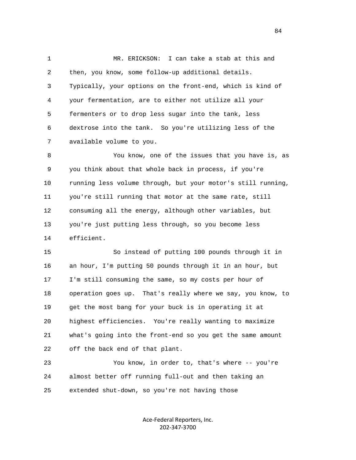1 MR. ERICKSON: I can take a stab at this and 2 then, you know, some follow-up additional details. 3 Typically, your options on the front-end, which is kind of 4 your fermentation, are to either not utilize all your 5 fermenters or to drop less sugar into the tank, less 6 dextrose into the tank. So you're utilizing less of the 7 available volume to you.

 8 You know, one of the issues that you have is, as 9 you think about that whole back in process, if you're 10 running less volume through, but your motor's still running, 11 you're still running that motor at the same rate, still 12 consuming all the energy, although other variables, but 13 you're just putting less through, so you become less 14 efficient.

 15 So instead of putting 100 pounds through it in 16 an hour, I'm putting 50 pounds through it in an hour, but 17 I'm still consuming the same, so my costs per hour of 18 operation goes up. That's really where we say, you know, to 19 get the most bang for your buck is in operating it at 20 highest efficiencies. You're really wanting to maximize 21 what's going into the front-end so you get the same amount 22 off the back end of that plant.

 23 You know, in order to, that's where -- you're 24 almost better off running full-out and then taking an 25 extended shut-down, so you're not having those

> Ace-Federal Reporters, Inc. 202-347-3700

84 and 2012 and 2012 and 2012 and 2012 and 2012 and 2012 and 2012 and 2012 and 2012 and 2012 and 201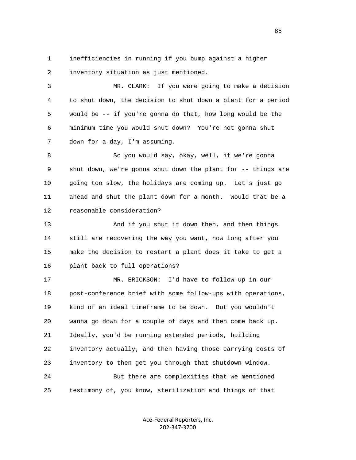1 inefficiencies in running if you bump against a higher 2 inventory situation as just mentioned.

 3 MR. CLARK: If you were going to make a decision 4 to shut down, the decision to shut down a plant for a period 5 would be -- if you're gonna do that, how long would be the 6 minimum time you would shut down? You're not gonna shut 7 down for a day, I'm assuming.

 8 So you would say, okay, well, if we're gonna 9 shut down, we're gonna shut down the plant for -- things are 10 going too slow, the holidays are coming up. Let's just go 11 ahead and shut the plant down for a month. Would that be a 12 reasonable consideration?

13 And if you shut it down then, and then things 14 still are recovering the way you want, how long after you 15 make the decision to restart a plant does it take to get a 16 plant back to full operations?

 17 MR. ERICKSON: I'd have to follow-up in our 18 post-conference brief with some follow-ups with operations, 19 kind of an ideal timeframe to be down. But you wouldn't 20 wanna go down for a couple of days and then come back up. 21 Ideally, you'd be running extended periods, building 22 inventory actually, and then having those carrying costs of 23 inventory to then get you through that shutdown window. 24 But there are complexities that we mentioned 25 testimony of, you know, sterilization and things of that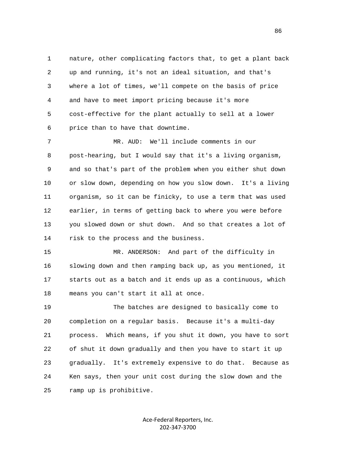1 nature, other complicating factors that, to get a plant back 2 up and running, it's not an ideal situation, and that's 3 where a lot of times, we'll compete on the basis of price 4 and have to meet import pricing because it's more 5 cost-effective for the plant actually to sell at a lower 6 price than to have that downtime.

 7 MR. AUD: We'll include comments in our 8 post-hearing, but I would say that it's a living organism, 9 and so that's part of the problem when you either shut down 10 or slow down, depending on how you slow down. It's a living 11 organism, so it can be finicky, to use a term that was used 12 earlier, in terms of getting back to where you were before 13 you slowed down or shut down. And so that creates a lot of 14 risk to the process and the business.

 15 MR. ANDERSON: And part of the difficulty in 16 slowing down and then ramping back up, as you mentioned, it 17 starts out as a batch and it ends up as a continuous, which 18 means you can't start it all at once.

 19 The batches are designed to basically come to 20 completion on a regular basis. Because it's a multi-day 21 process. Which means, if you shut it down, you have to sort 22 of shut it down gradually and then you have to start it up 23 gradually. It's extremely expensive to do that. Because as 24 Ken says, then your unit cost during the slow down and the 25 ramp up is prohibitive.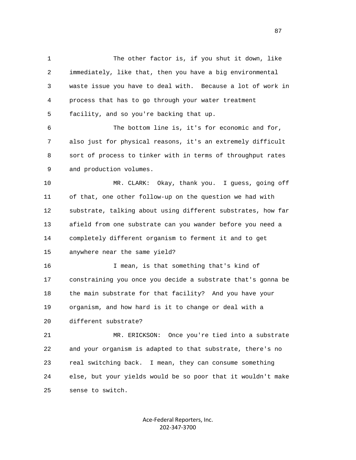1 The other factor is, if you shut it down, like 2 immediately, like that, then you have a big environmental 3 waste issue you have to deal with. Because a lot of work in 4 process that has to go through your water treatment 5 facility, and so you're backing that up. 6 The bottom line is, it's for economic and for, 7 also just for physical reasons, it's an extremely difficult 8 sort of process to tinker with in terms of throughput rates 9 and production volumes. 10 MR. CLARK: Okay, thank you. I guess, going off 11 of that, one other follow-up on the question we had with 12 substrate, talking about using different substrates, how far 13 afield from one substrate can you wander before you need a 14 completely different organism to ferment it and to get 15 anywhere near the same yield? 16 I mean, is that something that's kind of 17 constraining you once you decide a substrate that's gonna be 18 the main substrate for that facility? And you have your 19 organism, and how hard is it to change or deal with a 20 different substrate? 21 MR. ERICKSON: Once you're tied into a substrate 22 and your organism is adapted to that substrate, there's no 23 real switching back. I mean, they can consume something 24 else, but your yields would be so poor that it wouldn't make 25 sense to switch.

> Ace-Federal Reporters, Inc. 202-347-3700

en and the state of the state of the state of the state of the state of the state of the state of the state of the state of the state of the state of the state of the state of the state of the state of the state of the sta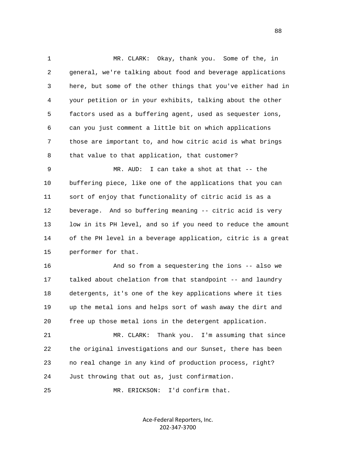1 MR. CLARK: Okay, thank you. Some of the, in 2 general, we're talking about food and beverage applications 3 here, but some of the other things that you've either had in 4 your petition or in your exhibits, talking about the other 5 factors used as a buffering agent, used as sequester ions, 6 can you just comment a little bit on which applications 7 those are important to, and how citric acid is what brings 8 that value to that application, that customer?

 9 MR. AUD: I can take a shot at that -- the 10 buffering piece, like one of the applications that you can 11 sort of enjoy that functionality of citric acid is as a 12 beverage. And so buffering meaning -- citric acid is very 13 low in its PH level, and so if you need to reduce the amount 14 of the PH level in a beverage application, citric is a great 15 performer for that.

 16 And so from a sequestering the ions -- also we 17 talked about chelation from that standpoint -- and laundry 18 detergents, it's one of the key applications where it ties 19 up the metal ions and helps sort of wash away the dirt and 20 free up those metal ions in the detergent application.

 21 MR. CLARK: Thank you. I'm assuming that since 22 the original investigations and our Sunset, there has been 23 no real change in any kind of production process, right? 24 Just throwing that out as, just confirmation.

25 MR. ERICKSON: I'd confirm that.

Ace-Federal Reporters, Inc. 202-347-3700

e e seu a constante de la constante de la constante de la constante de la constante de la constante de la cons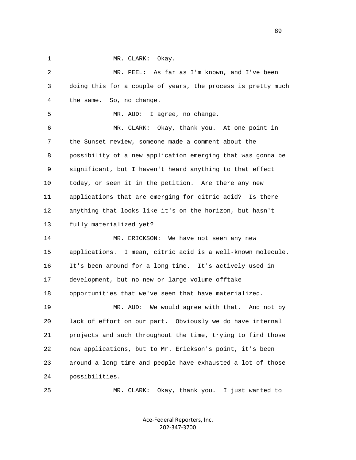1 MR. CLARK: Okay.

 2 MR. PEEL: As far as I'm known, and I've been 3 doing this for a couple of years, the process is pretty much 4 the same. So, no change. 5 MR. AUD: I agree, no change. 6 MR. CLARK: Okay, thank you. At one point in 7 the Sunset review, someone made a comment about the 8 possibility of a new application emerging that was gonna be 9 significant, but I haven't heard anything to that effect 10 today, or seen it in the petition. Are there any new 11 applications that are emerging for citric acid? Is there 12 anything that looks like it's on the horizon, but hasn't 13 fully materialized yet? 14 MR. ERICKSON: We have not seen any new 15 applications. I mean, citric acid is a well-known molecule. 16 It's been around for a long time. It's actively used in 17 development, but no new or large volume offtake 18 opportunities that we've seen that have materialized. 19 MR. AUD: We would agree with that. And not by 20 lack of effort on our part. Obviously we do have internal 21 projects and such throughout the time, trying to find those 22 new applications, but to Mr. Erickson's point, it's been 23 around a long time and people have exhausted a lot of those 24 possibilities.

25 MR. CLARK: Okay, thank you. I just wanted to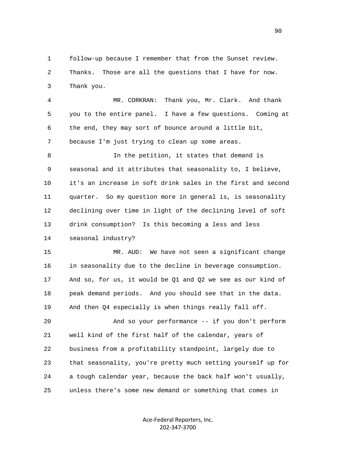1 follow-up because I remember that from the Sunset review. 2 Thanks. Those are all the questions that I have for now. 3 Thank you.

 4 MR. CORKRAN: Thank you, Mr. Clark. And thank 5 you to the entire panel. I have a few questions. Coming at 6 the end, they may sort of bounce around a little bit, 7 because I'm just trying to clean up some areas.

 8 In the petition, it states that demand is 9 seasonal and it attributes that seasonality to, I believe, 10 it's an increase in soft drink sales in the first and second 11 quarter. So my question more in general is, is seasonality 12 declining over time in light of the declining level of soft 13 drink consumption? Is this becoming a less and less 14 seasonal industry?

 15 MR. AUD: We have not seen a significant change 16 in seasonality due to the decline in beverage consumption. 17 And so, for us, it would be Q1 and Q2 we see as our kind of 18 peak demand periods. And you should see that in the data. 19 And then Q4 especially is when things really fall off.

 20 And so your performance -- if you don't perform 21 well kind of the first half of the calendar, years of 22 business from a profitability standpoint, largely due to 23 that seasonality, you're pretty much setting yourself up for 24 a tough calendar year, because the back half won't usually, 25 unless there's some new demand or something that comes in

> Ace-Federal Reporters, Inc. 202-347-3700

en de la construction de la construction de la construction de la construction de la construction de la constr<br>1900 : la construction de la construction de la construction de la construction de la construction de la const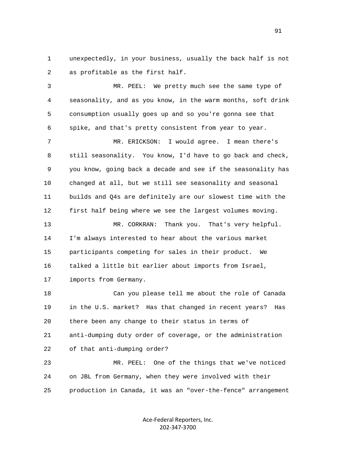1 unexpectedly, in your business, usually the back half is not 2 as profitable as the first half.

 3 MR. PEEL: We pretty much see the same type of 4 seasonality, and as you know, in the warm months, soft drink 5 consumption usually goes up and so you're gonna see that 6 spike, and that's pretty consistent from year to year.

 7 MR. ERICKSON: I would agree. I mean there's 8 still seasonality. You know, I'd have to go back and check, 9 you know, going back a decade and see if the seasonality has 10 changed at all, but we still see seasonality and seasonal 11 builds and Q4s are definitely are our slowest time with the 12 first half being where we see the largest volumes moving.

 13 MR. CORKRAN: Thank you. That's very helpful. 14 I'm always interested to hear about the various market 15 participants competing for sales in their product. We 16 talked a little bit earlier about imports from Israel, 17 imports from Germany.

 18 Can you please tell me about the role of Canada 19 in the U.S. market? Has that changed in recent years? Has 20 there been any change to their status in terms of 21 anti-dumping duty order of coverage, or the administration 22 of that anti-dumping order?

 23 MR. PEEL: One of the things that we've noticed 24 on JBL from Germany, when they were involved with their 25 production in Canada, it was an "over-the-fence" arrangement

> Ace-Federal Reporters, Inc. 202-347-3700

91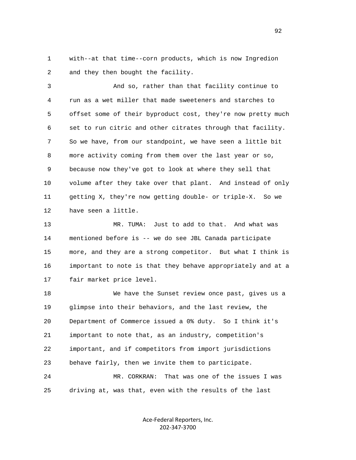1 with--at that time--corn products, which is now Ingredion 2 and they then bought the facility.

 3 And so, rather than that facility continue to 4 run as a wet miller that made sweeteners and starches to 5 offset some of their byproduct cost, they're now pretty much 6 set to run citric and other citrates through that facility. 7 So we have, from our standpoint, we have seen a little bit 8 more activity coming from them over the last year or so, 9 because now they've got to look at where they sell that 10 volume after they take over that plant. And instead of only 11 getting X, they're now getting double- or triple-X. So we 12 have seen a little.

 13 MR. TUMA: Just to add to that. And what was 14 mentioned before is -- we do see JBL Canada participate 15 more, and they are a strong competitor. But what I think is 16 important to note is that they behave appropriately and at a 17 fair market price level.

 18 We have the Sunset review once past, gives us a 19 glimpse into their behaviors, and the last review, the 20 Department of Commerce issued a 0% duty. So I think it's 21 important to note that, as an industry, competition's 22 important, and if competitors from import jurisdictions 23 behave fairly, then we invite them to participate. 24 MR. CORKRAN: That was one of the issues I was

25 driving at, was that, even with the results of the last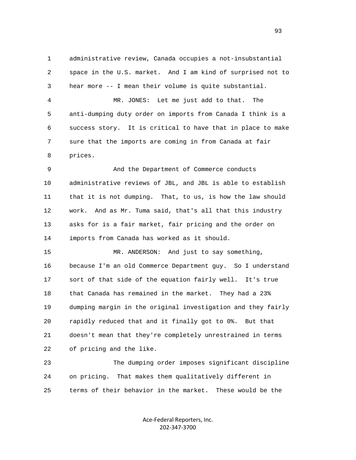1 administrative review, Canada occupies a not-insubstantial 2 space in the U.S. market. And I am kind of surprised not to 3 hear more -- I mean their volume is quite substantial. 4 MR. JONES: Let me just add to that. The

 5 anti-dumping duty order on imports from Canada I think is a 6 success story. It is critical to have that in place to make 7 sure that the imports are coming in from Canada at fair 8 prices.

 9 And the Department of Commerce conducts 10 administrative reviews of JBL, and JBL is able to establish 11 that it is not dumping. That, to us, is how the law should 12 work. And as Mr. Tuma said, that's all that this industry 13 asks for is a fair market, fair pricing and the order on 14 imports from Canada has worked as it should.

 15 MR. ANDERSON: And just to say something, 16 because I'm an old Commerce Department guy. So I understand 17 sort of that side of the equation fairly well. It's true 18 that Canada has remained in the market. They had a 23% 19 dumping margin in the original investigation and they fairly 20 rapidly reduced that and it finally got to 0%. But that 21 doesn't mean that they're completely unrestrained in terms 22 of pricing and the like.

 23 The dumping order imposes significant discipline 24 on pricing. That makes them qualitatively different in 25 terms of their behavior in the market. These would be the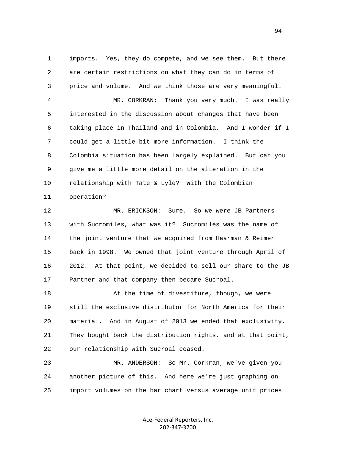1 imports. Yes, they do compete, and we see them. But there 2 are certain restrictions on what they can do in terms of 3 price and volume. And we think those are very meaningful.

 4 MR. CORKRAN: Thank you very much. I was really 5 interested in the discussion about changes that have been 6 taking place in Thailand and in Colombia. And I wonder if I 7 could get a little bit more information. I think the 8 Colombia situation has been largely explained. But can you 9 give me a little more detail on the alteration in the 10 relationship with Tate & Lyle? With the Colombian 11 operation?

 12 MR. ERICKSON: Sure. So we were JB Partners 13 with Sucromiles, what was it? Sucromiles was the name of 14 the joint venture that we acquired from Haarman & Reimer 15 back in 1998. We owned that joint venture through April of 16 2012. At that point, we decided to sell our share to the JB 17 Partner and that company then became Sucroal.

18 At the time of divestiture, though, we were 19 still the exclusive distributor for North America for their 20 material. And in August of 2013 we ended that exclusivity. 21 They bought back the distribution rights, and at that point, 22 our relationship with Sucroal ceased.

 23 MR. ANDERSON: So Mr. Corkran, we've given you 24 another picture of this. And here we're just graphing on 25 import volumes on the bar chart versus average unit prices

> Ace-Federal Reporters, Inc. 202-347-3700

94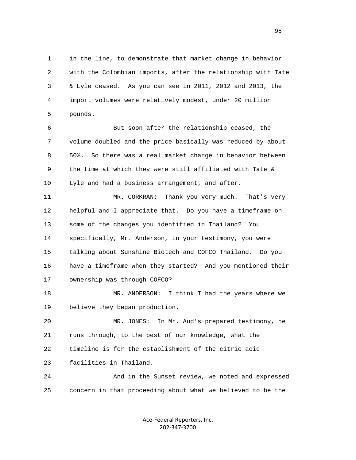1 in the line, to demonstrate that market change in behavior 2 with the Colombian imports, after the relationship with Tate 3 & Lyle ceased. As you can see in 2011, 2012 and 2013, the 4 import volumes were relatively modest, under 20 million 5 pounds.

 6 But soon after the relationship ceased, the 7 volume doubled and the price basically was reduced by about 8 50%. So there was a real market change in behavior between 9 the time at which they were still affiliated with Tate & 10 Lyle and had a business arrangement, and after.

 11 MR. CORKRAN: Thank you very much. That's very 12 helpful and I appreciate that. Do you have a timeframe on 13 some of the changes you identified in Thailand? You 14 specifically, Mr. Anderson, in your testimony, you were 15 talking about Sunshine Biotech and COFCO Thailand. Do you 16 have a timeframe when they started? And you mentioned their 17 ownership was through COFCO?

 18 MR. ANDERSON: I think I had the years where we 19 believe they began production.

 20 MR. JONES: In Mr. Aud's prepared testimony, he 21 runs through, to the best of our knowledge, what the 22 timeline is for the establishment of the citric acid 23 facilities in Thailand.

 24 And in the Sunset review, we noted and expressed 25 concern in that proceeding about what we believed to be the

> Ace-Federal Reporters, Inc. 202-347-3700

en 1995 en 1996 en 1996 en 1997 en 1998 en 1998 en 1999 en 1999 en 1999 en 1999 en 1999 en 1999 en 1999 en 19<br>De grote en 1999 en 1999 en 1999 en 1999 en 1999 en 1999 en 1999 en 1999 en 1999 en 1999 en 1999 en 1999 en 19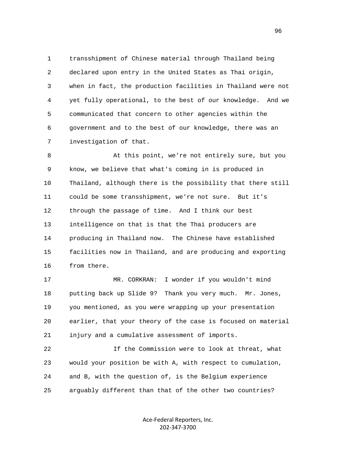1 transshipment of Chinese material through Thailand being 2 declared upon entry in the United States as Thai origin, 3 when in fact, the production facilities in Thailand were not 4 yet fully operational, to the best of our knowledge. And we 5 communicated that concern to other agencies within the 6 government and to the best of our knowledge, there was an 7 investigation of that.

 8 At this point, we're not entirely sure, but you 9 know, we believe that what's coming in is produced in 10 Thailand, although there is the possibility that there still 11 could be some transshipment, we're not sure. But it's 12 through the passage of time. And I think our best 13 intelligence on that is that the Thai producers are 14 producing in Thailand now. The Chinese have established 15 facilities now in Thailand, and are producing and exporting 16 from there.

 17 MR. CORKRAN: I wonder if you wouldn't mind 18 putting back up Slide 9? Thank you very much. Mr. Jones, 19 you mentioned, as you were wrapping up your presentation 20 earlier, that your theory of the case is focused on material 21 injury and a cumulative assessment of imports.

 22 If the Commission were to look at threat, what 23 would your position be with A, with respect to cumulation, 24 and B, with the question of, is the Belgium experience 25 arguably different than that of the other two countries?

> Ace-Federal Reporters, Inc. 202-347-3700

 $\sim$  96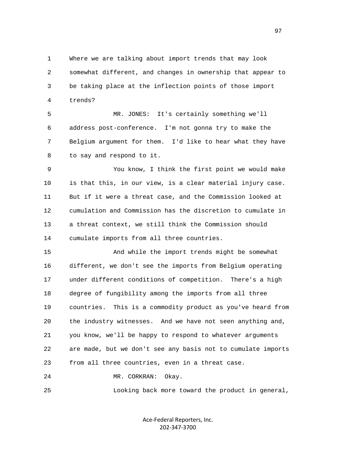1 Where we are talking about import trends that may look 2 somewhat different, and changes in ownership that appear to 3 be taking place at the inflection points of those import 4 trends?

 5 MR. JONES: It's certainly something we'll 6 address post-conference. I'm not gonna try to make the 7 Belgium argument for them. I'd like to hear what they have 8 to say and respond to it.

 9 You know, I think the first point we would make 10 is that this, in our view, is a clear material injury case. 11 But if it were a threat case, and the Commission looked at 12 cumulation and Commission has the discretion to cumulate in 13 a threat context, we still think the Commission should 14 cumulate imports from all three countries.

 15 And while the import trends might be somewhat 16 different, we don't see the imports from Belgium operating 17 under different conditions of competition. There's a high 18 degree of fungibility among the imports from all three 19 countries. This is a commodity product as you've heard from 20 the industry witnesses. And we have not seen anything and, 21 you know, we'll be happy to respond to whatever arguments 22 are made, but we don't see any basis not to cumulate imports 23 from all three countries, even in a threat case.

24 MR. CORKRAN: Okay.

25 Looking back more toward the product in general,

Ace-Federal Reporters, Inc. 202-347-3700

е процесство в политическиот королевство в 1972 године. В 1972 године в 1972 године в 1972 године в 1973 годин<br>В 1973 године в 1974 године в 1974 године в 1974 године в 1974 године в 1974 године в 1974 године в 1974 годин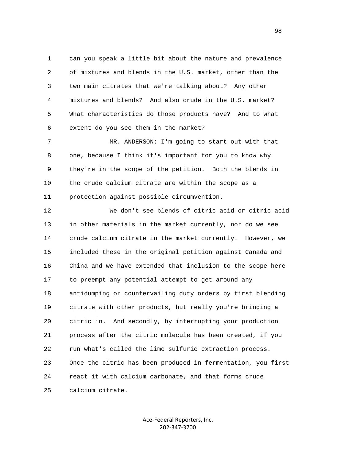1 can you speak a little bit about the nature and prevalence 2 of mixtures and blends in the U.S. market, other than the 3 two main citrates that we're talking about? Any other 4 mixtures and blends? And also crude in the U.S. market? 5 What characteristics do those products have? And to what 6 extent do you see them in the market?

 7 MR. ANDERSON: I'm going to start out with that 8 one, because I think it's important for you to know why 9 they're in the scope of the petition. Both the blends in 10 the crude calcium citrate are within the scope as a 11 protection against possible circumvention.

 12 We don't see blends of citric acid or citric acid 13 in other materials in the market currently, nor do we see 14 crude calcium citrate in the market currently. However, we 15 included these in the original petition against Canada and 16 China and we have extended that inclusion to the scope here 17 to preempt any potential attempt to get around any 18 antidumping or countervailing duty orders by first blending 19 citrate with other products, but really you're bringing a 20 citric in. And secondly, by interrupting your production 21 process after the citric molecule has been created, if you 22 run what's called the lime sulfuric extraction process. 23 Once the citric has been produced in fermentation, you first 24 react it with calcium carbonate, and that forms crude 25 calcium citrate.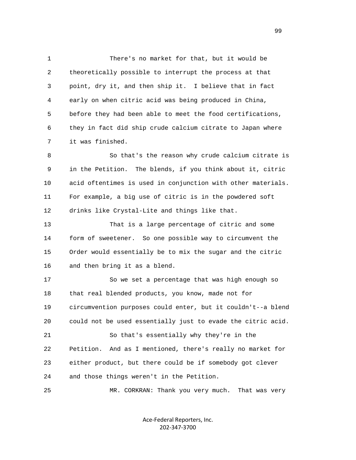1 There's no market for that, but it would be 2 theoretically possible to interrupt the process at that 3 point, dry it, and then ship it. I believe that in fact 4 early on when citric acid was being produced in China, 5 before they had been able to meet the food certifications, 6 they in fact did ship crude calcium citrate to Japan where 7 it was finished.

 8 So that's the reason why crude calcium citrate is 9 in the Petition. The blends, if you think about it, citric 10 acid oftentimes is used in conjunction with other materials. 11 For example, a big use of citric is in the powdered soft 12 drinks like Crystal-Lite and things like that.

 13 That is a large percentage of citric and some 14 form of sweetener. So one possible way to circumvent the 15 Order would essentially be to mix the sugar and the citric 16 and then bring it as a blend.

 17 So we set a percentage that was high enough so 18 that real blended products, you know, made not for 19 circumvention purposes could enter, but it couldn't--a blend 20 could not be used essentially just to evade the citric acid. 21 So that's essentially why they're in the 22 Petition. And as I mentioned, there's really no market for 23 either product, but there could be if somebody got clever 24 and those things weren't in the Petition.

25 MR. CORKRAN: Thank you very much. That was very

Ace-Federal Reporters, Inc. 202-347-3700

99 and the state of the state of the state of the state of the state of the state of the state of the state of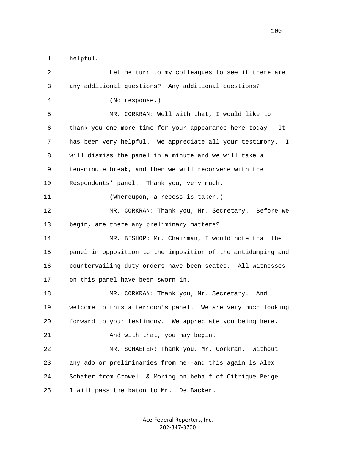1 helpful.

| 2  | Let me turn to my colleagues to see if there are              |
|----|---------------------------------------------------------------|
| 3  | any additional questions? Any additional questions?           |
| 4  | (No response.)                                                |
| 5  | MR. CORKRAN: Well with that, I would like to                  |
| 6  | thank you one more time for your appearance here today.<br>It |
| 7  | has been very helpful. We appreciate all your testimony. I    |
| 8  | will dismiss the panel in a minute and we will take a         |
| 9  | ten-minute break, and then we will reconvene with the         |
| 10 | Respondents' panel. Thank you, very much.                     |
| 11 | (Whereupon, a recess is taken.)                               |
| 12 | MR. CORKRAN: Thank you, Mr. Secretary. Before we              |
| 13 | begin, are there any preliminary matters?                     |
| 14 | MR. BISHOP: Mr. Chairman, I would note that the               |
| 15 | panel in opposition to the imposition of the antidumping and  |
| 16 | countervailing duty orders have been seated. All witnesses    |
| 17 | on this panel have been sworn in.                             |
| 18 | MR. CORKRAN: Thank you, Mr. Secretary.<br>And                 |
| 19 | welcome to this afternoon's panel. We are very much looking   |
| 20 | forward to your testimony. We appreciate you being here.      |
| 21 | And with that, you may begin.                                 |
| 22 | MR. SCHAEFER: Thank you, Mr. Corkran.<br>Without              |
| 23 | any ado or preliminaries from me--and this again is Alex      |
| 24 | Schafer from Crowell & Moring on behalf of Citrique Beige.    |
| 25 | I will pass the baton to Mr. De Backer.                       |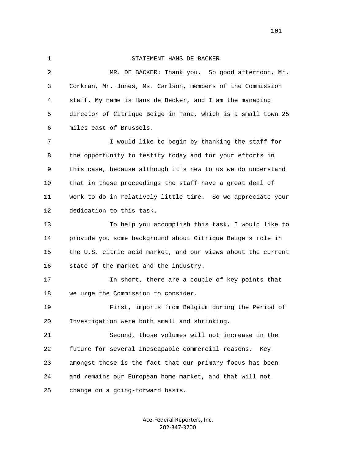## 1 STATEMENT HANS DE BACKER

 2 MR. DE BACKER: Thank you. So good afternoon, Mr. 3 Corkran, Mr. Jones, Ms. Carlson, members of the Commission 4 staff. My name is Hans de Becker, and I am the managing 5 director of Citrique Beige in Tana, which is a small town 25 6 miles east of Brussels. 7 I would like to begin by thanking the staff for 8 the opportunity to testify today and for your efforts in 9 this case, because although it's new to us we do understand 10 that in these proceedings the staff have a great deal of 11 work to do in relatively little time. So we appreciate your 12 dedication to this task. 13 To help you accomplish this task, I would like to 14 provide you some background about Citrique Beige's role in 15 the U.S. citric acid market, and our views about the current 16 state of the market and the industry. 17 In short, there are a couple of key points that 18 we urge the Commission to consider. 19 First, imports from Belgium during the Period of 20 Investigation were both small and shrinking. 21 Second, those volumes will not increase in the 22 future for several inescapable commercial reasons. Key 23 amongst those is the fact that our primary focus has been 24 and remains our European home market, and that will not 25 change on a going-forward basis.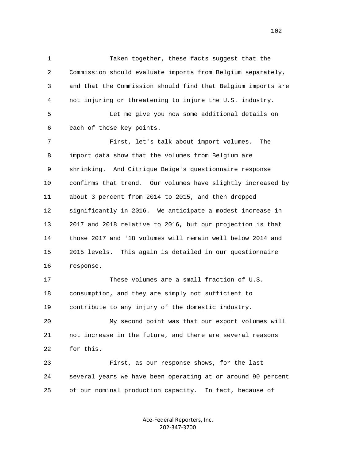1 Taken together, these facts suggest that the 2 Commission should evaluate imports from Belgium separately, 3 and that the Commission should find that Belgium imports are 4 not injuring or threatening to injure the U.S. industry. 5 Let me give you now some additional details on 6 each of those key points. 7 First, let's talk about import volumes. The 8 import data show that the volumes from Belgium are 9 shrinking. And Citrique Beige's questionnaire response 10 confirms that trend. Our volumes have slightly increased by 11 about 3 percent from 2014 to 2015, and then dropped 12 significantly in 2016. We anticipate a modest increase in 13 2017 and 2018 relative to 2016, but our projection is that 14 those 2017 and '18 volumes will remain well below 2014 and 15 2015 levels. This again is detailed in our questionnaire 16 response. 17 These volumes are a small fraction of U.S. 18 consumption, and they are simply not sufficient to 19 contribute to any injury of the domestic industry. 20 My second point was that our export volumes will 21 not increase in the future, and there are several reasons 22 for this.

 23 First, as our response shows, for the last 24 several years we have been operating at or around 90 percent 25 of our nominal production capacity. In fact, because of

> Ace-Federal Reporters, Inc. 202-347-3700

102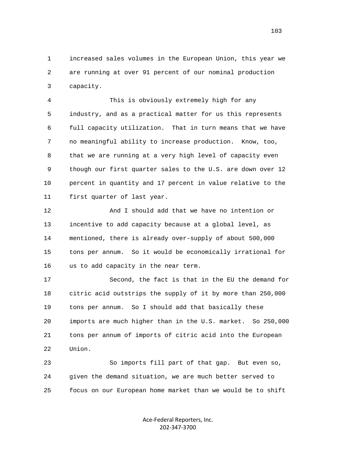1 increased sales volumes in the European Union, this year we 2 are running at over 91 percent of our nominal production 3 capacity.

 4 This is obviously extremely high for any 5 industry, and as a practical matter for us this represents 6 full capacity utilization. That in turn means that we have 7 no meaningful ability to increase production. Know, too, 8 that we are running at a very high level of capacity even 9 though our first quarter sales to the U.S. are down over 12 10 percent in quantity and 17 percent in value relative to the 11 first quarter of last year.

 12 And I should add that we have no intention or 13 incentive to add capacity because at a global level, as 14 mentioned, there is already over-supply of about 500,000 15 tons per annum. So it would be economically irrational for 16 us to add capacity in the near term.

 17 Second, the fact is that in the EU the demand for 18 citric acid outstrips the supply of it by more than 250,000 19 tons per annum. So I should add that basically these 20 imports are much higher than in the U.S. market. So 250,000 21 tons per annum of imports of citric acid into the European 22 Union.

 23 So imports fill part of that gap. But even so, 24 given the demand situation, we are much better served to 25 focus on our European home market than we would be to shift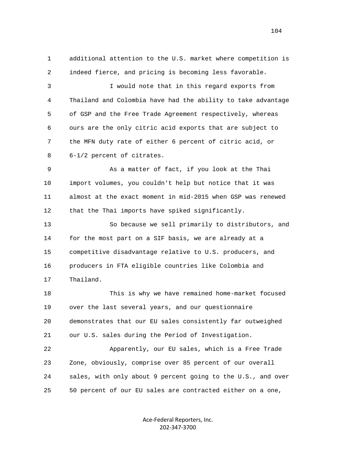1 additional attention to the U.S. market where competition is 2 indeed fierce, and pricing is becoming less favorable. 3 I would note that in this regard exports from 4 Thailand and Colombia have had the ability to take advantage 5 of GSP and the Free Trade Agreement respectively, whereas 6 ours are the only citric acid exports that are subject to 7 the MFN duty rate of either 6 percent of citric acid, or 8 6-1/2 percent of citrates. 9 As a matter of fact, if you look at the Thai 10 import volumes, you couldn't help but notice that it was 11 almost at the exact moment in mid-2015 when GSP was renewed 12 that the Thai imports have spiked significantly. 13 So because we sell primarily to distributors, and 14 for the most part on a SIF basis, we are already at a 15 competitive disadvantage relative to U.S. producers, and 16 producers in FTA eligible countries like Colombia and

17 Thailand.

 18 This is why we have remained home-market focused 19 over the last several years, and our questionnaire 20 demonstrates that our EU sales consistently far outweighed 21 our U.S. sales during the Period of Investigation.

 22 Apparently, our EU sales, which is a Free Trade 23 Zone, obviously, comprise over 85 percent of our overall 24 sales, with only about 9 percent going to the U.S., and over 25 50 percent of our EU sales are contracted either on a one,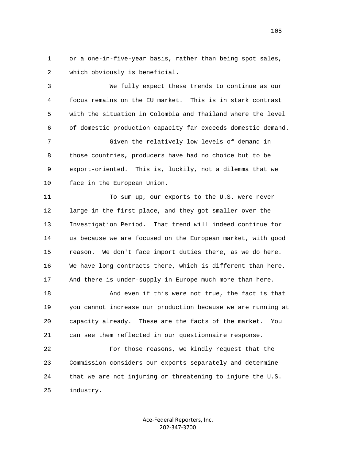1 or a one-in-five-year basis, rather than being spot sales, 2 which obviously is beneficial.

 3 We fully expect these trends to continue as our 4 focus remains on the EU market. This is in stark contrast 5 with the situation in Colombia and Thailand where the level 6 of domestic production capacity far exceeds domestic demand.

 7 Given the relatively low levels of demand in 8 those countries, producers have had no choice but to be 9 export-oriented. This is, luckily, not a dilemma that we 10 face in the European Union.

 11 To sum up, our exports to the U.S. were never 12 large in the first place, and they got smaller over the 13 Investigation Period. That trend will indeed continue for 14 us because we are focused on the European market, with good 15 reason. We don't face import duties there, as we do here. 16 We have long contracts there, which is different than here. 17 And there is under-supply in Europe much more than here.

 18 And even if this were not true, the fact is that 19 you cannot increase our production because we are running at 20 capacity already. These are the facts of the market. You 21 can see them reflected in our questionnaire response.

 22 For those reasons, we kindly request that the 23 Commission considers our exports separately and determine 24 that we are not injuring or threatening to injure the U.S. 25 industry.

> Ace-Federal Reporters, Inc. 202-347-3700

105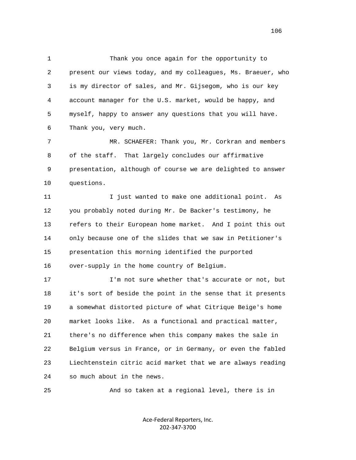1 Thank you once again for the opportunity to 2 present our views today, and my colleagues, Ms. Braeuer, who 3 is my director of sales, and Mr. Gijsegom, who is our key 4 account manager for the U.S. market, would be happy, and 5 myself, happy to answer any questions that you will have. 6 Thank you, very much.

 7 MR. SCHAEFER: Thank you, Mr. Corkran and members 8 of the staff. That largely concludes our affirmative 9 presentation, although of course we are delighted to answer 10 questions.

 11 I just wanted to make one additional point. As 12 you probably noted during Mr. De Backer's testimony, he 13 refers to their European home market. And I point this out 14 only because one of the slides that we saw in Petitioner's 15 presentation this morning identified the purported 16 over-supply in the home country of Belgium.

17 **I'm not sure whether that's accurate or not, but**  18 it's sort of beside the point in the sense that it presents 19 a somewhat distorted picture of what Citrique Beige's home 20 market looks like. As a functional and practical matter, 21 there's no difference when this company makes the sale in 22 Belgium versus in France, or in Germany, or even the fabled 23 Liechtenstein citric acid market that we are always reading 24 so much about in the news.

25 And so taken at a regional level, there is in

Ace-Federal Reporters, Inc. 202-347-3700

106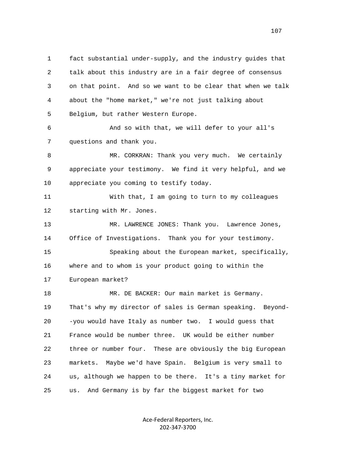1 fact substantial under-supply, and the industry guides that 2 talk about this industry are in a fair degree of consensus 3 on that point. And so we want to be clear that when we talk 4 about the "home market," we're not just talking about 5 Belgium, but rather Western Europe. 6 And so with that, we will defer to your all's 7 questions and thank you. 8 MR. CORKRAN: Thank you very much. We certainly 9 appreciate your testimony. We find it very helpful, and we 10 appreciate you coming to testify today. 11 With that, I am going to turn to my colleagues 12 starting with Mr. Jones. 13 MR. LAWRENCE JONES: Thank you. Lawrence Jones, 14 Office of Investigations. Thank you for your testimony. 15 Speaking about the European market, specifically, 16 where and to whom is your product going to within the 17 European market? 18 MR. DE BACKER: Our main market is Germany. 19 That's why my director of sales is German speaking. Beyond- 20 -you would have Italy as number two. I would guess that 21 France would be number three. UK would be either number 22 three or number four. These are obviously the big European 23 markets. Maybe we'd have Spain. Belgium is very small to 24 us, although we happen to be there. It's a tiny market for 25 us. And Germany is by far the biggest market for two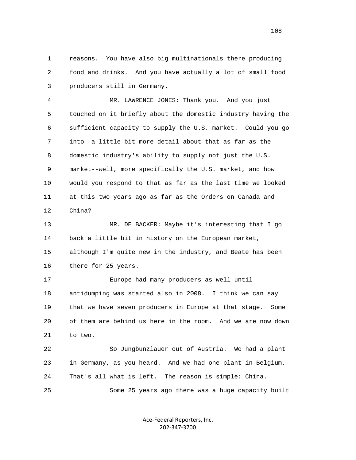1 reasons. You have also big multinationals there producing 2 food and drinks. And you have actually a lot of small food 3 producers still in Germany.

 4 MR. LAWRENCE JONES: Thank you. And you just 5 touched on it briefly about the domestic industry having the 6 sufficient capacity to supply the U.S. market. Could you go 7 into a little bit more detail about that as far as the 8 domestic industry's ability to supply not just the U.S. 9 market--well, more specifically the U.S. market, and how 10 would you respond to that as far as the last time we looked 11 at this two years ago as far as the Orders on Canada and 12 China?

 13 MR. DE BACKER: Maybe it's interesting that I go 14 back a little bit in history on the European market, 15 although I'm quite new in the industry, and Beate has been 16 there for 25 years.

 17 Europe had many producers as well until 18 antidumping was started also in 2008. I think we can say 19 that we have seven producers in Europe at that stage. Some 20 of them are behind us here in the room. And we are now down 21 to two.

 22 So Jungbunzlauer out of Austria. We had a plant 23 in Germany, as you heard. And we had one plant in Belgium. 24 That's all what is left. The reason is simple: China. 25 Some 25 years ago there was a huge capacity built

> Ace-Federal Reporters, Inc. 202-347-3700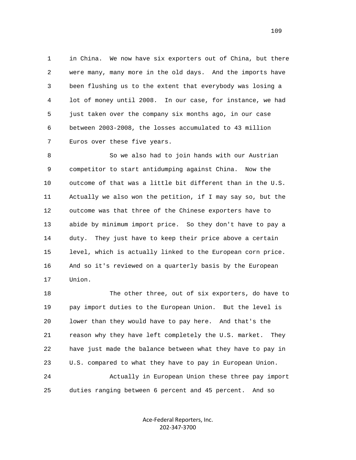1 in China. We now have six exporters out of China, but there 2 were many, many more in the old days. And the imports have 3 been flushing us to the extent that everybody was losing a 4 lot of money until 2008. In our case, for instance, we had 5 just taken over the company six months ago, in our case 6 between 2003-2008, the losses accumulated to 43 million 7 Euros over these five years.

 8 So we also had to join hands with our Austrian 9 competitor to start antidumping against China. Now the 10 outcome of that was a little bit different than in the U.S. 11 Actually we also won the petition, if I may say so, but the 12 outcome was that three of the Chinese exporters have to 13 abide by minimum import price. So they don't have to pay a 14 duty. They just have to keep their price above a certain 15 level, which is actually linked to the European corn price. 16 And so it's reviewed on a quarterly basis by the European 17 Union.

 18 The other three, out of six exporters, do have to 19 pay import duties to the European Union. But the level is 20 lower than they would have to pay here. And that's the 21 reason why they have left completely the U.S. market. They 22 have just made the balance between what they have to pay in 23 U.S. compared to what they have to pay in European Union. 24 Actually in European Union these three pay import 25 duties ranging between 6 percent and 45 percent. And so

> Ace-Federal Reporters, Inc. 202-347-3700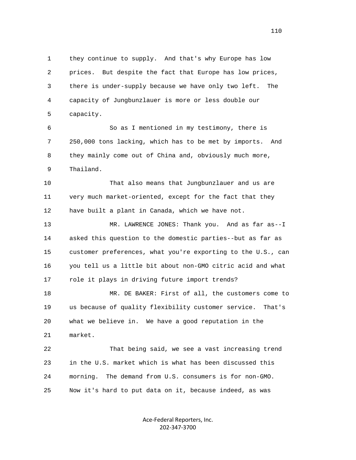1 they continue to supply. And that's why Europe has low 2 prices. But despite the fact that Europe has low prices, 3 there is under-supply because we have only two left. The 4 capacity of Jungbunzlauer is more or less double our 5 capacity.

 6 So as I mentioned in my testimony, there is 7 250,000 tons lacking, which has to be met by imports. And 8 they mainly come out of China and, obviously much more, 9 Thailand.

 10 That also means that Jungbunzlauer and us are 11 very much market-oriented, except for the fact that they 12 have built a plant in Canada, which we have not.

 13 MR. LAWRENCE JONES: Thank you. And as far as--I 14 asked this question to the domestic parties--but as far as 15 customer preferences, what you're exporting to the U.S., can 16 you tell us a little bit about non-GMO citric acid and what 17 role it plays in driving future import trends?

 18 MR. DE BAKER: First of all, the customers come to 19 us because of quality flexibility customer service. That's 20 what we believe in. We have a good reputation in the 21 market.

 22 That being said, we see a vast increasing trend 23 in the U.S. market which is what has been discussed this 24 morning. The demand from U.S. consumers is for non-GMO. 25 Now it's hard to put data on it, because indeed, as was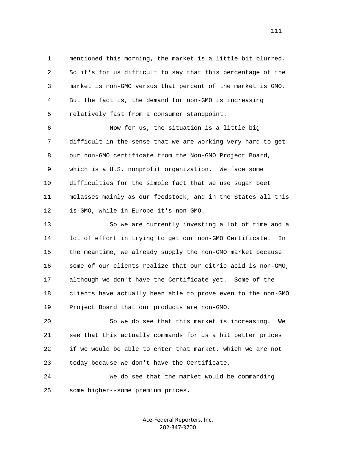1 mentioned this morning, the market is a little bit blurred. 2 So it's for us difficult to say that this percentage of the 3 market is non-GMO versus that percent of the market is GMO. 4 But the fact is, the demand for non-GMO is increasing 5 relatively fast from a consumer standpoint.

 6 Now for us, the situation is a little big 7 difficult in the sense that we are working very hard to get 8 our non-GMO certificate from the Non-GMO Project Board, 9 which is a U.S. nonprofit organization. We face some 10 difficulties for the simple fact that we use sugar beet 11 molasses mainly as our feedstock, and in the States all this 12 is GMO, while in Europe it's non-GMO.

 13 So we are currently investing a lot of time and a 14 lot of effort in trying to get our non-GMO Certificate. In 15 the meantime, we already supply the non-GMO market because 16 some of our clients realize that our citric acid is non-GMO, 17 although we don't have the Certificate yet. Some of the 18 clients have actually been able to prove even to the non-GMO 19 Project Board that our products are non-GMO.

 20 So we do see that this market is increasing. We 21 see that this actually commands for us a bit better prices 22 if we would be able to enter that market, which we are not 23 today because we don't have the Certificate.

 24 We do see that the market would be commanding 25 some higher--some premium prices.

> Ace-Federal Reporters, Inc. 202-347-3700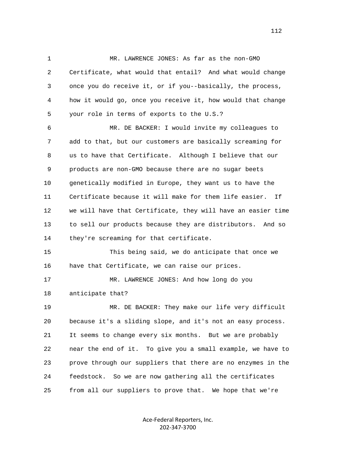1 MR. LAWRENCE JONES: As far as the non-GMO 2 Certificate, what would that entail? And what would change 3 once you do receive it, or if you--basically, the process, 4 how it would go, once you receive it, how would that change 5 your role in terms of exports to the U.S.?

 6 MR. DE BACKER: I would invite my colleagues to 7 add to that, but our customers are basically screaming for 8 us to have that Certificate. Although I believe that our 9 products are non-GMO because there are no sugar beets 10 genetically modified in Europe, they want us to have the 11 Certificate because it will make for them life easier. If 12 we will have that Certificate, they will have an easier time 13 to sell our products because they are distributors. And so 14 they're screaming for that certificate.

 15 This being said, we do anticipate that once we 16 have that Certificate, we can raise our prices.

 17 MR. LAWRENCE JONES: And how long do you 18 anticipate that?

 19 MR. DE BACKER: They make our life very difficult 20 because it's a sliding slope, and it's not an easy process. 21 It seems to change every six months. But we are probably 22 near the end of it. To give you a small example, we have to 23 prove through our suppliers that there are no enzymes in the 24 feedstock. So we are now gathering all the certificates 25 from all our suppliers to prove that. We hope that we're

> Ace-Federal Reporters, Inc. 202-347-3700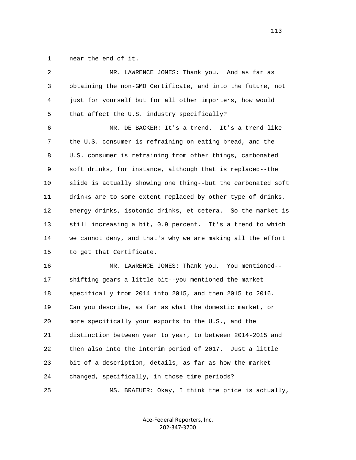1 near the end of it.

| 2  | MR. LAWRENCE JONES: Thank you. And as far as                 |
|----|--------------------------------------------------------------|
| 3  | obtaining the non-GMO Certificate, and into the future, not  |
| 4  | just for yourself but for all other importers, how would     |
| 5  | that affect the U.S. industry specifically?                  |
| 6  | MR. DE BACKER: It's a trend. It's a trend like               |
| 7  | the U.S. consumer is refraining on eating bread, and the     |
| 8  | U.S. consumer is refraining from other things, carbonated    |
| 9  | soft drinks, for instance, although that is replaced--the    |
| 10 | slide is actually showing one thing--but the carbonated soft |
| 11 | drinks are to some extent replaced by other type of drinks,  |
| 12 | energy drinks, isotonic drinks, et cetera. So the market is  |
| 13 | still increasing a bit, 0.9 percent. It's a trend to which   |
| 14 | we cannot deny, and that's why we are making all the effort  |
| 15 | to get that Certificate.                                     |
| 16 | MR. LAWRENCE JONES: Thank you. You mentioned--               |
| 17 | shifting gears a little bit--you mentioned the market        |
| 18 | specifically from 2014 into 2015, and then 2015 to 2016.     |
| 19 | Can you describe, as far as what the domestic market, or     |
| 20 | more specifically your exports to the U.S., and the          |
| 21 | distinction between year to year, to between 2014-2015 and   |
| 22 | then also into the interim period of 2017. Just a little     |
| 23 | bit of a description, details, as far as how the market      |
| 24 | changed, specifically, in those time periods?                |
| 25 | MS. BRAEUER: Okay, I think the price is actually,            |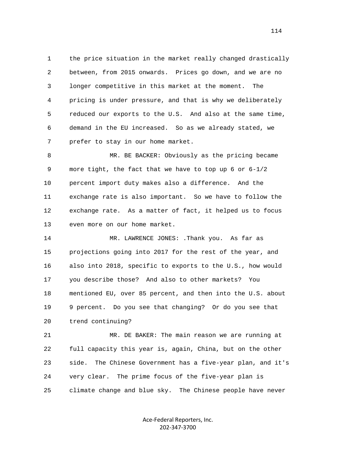1 the price situation in the market really changed drastically 2 between, from 2015 onwards. Prices go down, and we are no 3 longer competitive in this market at the moment. The 4 pricing is under pressure, and that is why we deliberately 5 reduced our exports to the U.S. And also at the same time, 6 demand in the EU increased. So as we already stated, we 7 prefer to stay in our home market.

 8 MR. BE BACKER: Obviously as the pricing became 9 more tight, the fact that we have to top up 6 or 6-1/2 10 percent import duty makes also a difference. And the 11 exchange rate is also important. So we have to follow the 12 exchange rate. As a matter of fact, it helped us to focus 13 even more on our home market.

 14 MR. LAWRENCE JONES: .Thank you. As far as 15 projections going into 2017 for the rest of the year, and 16 also into 2018, specific to exports to the U.S., how would 17 you describe those? And also to other markets? You 18 mentioned EU, over 85 percent, and then into the U.S. about 19 9 percent. Do you see that changing? Or do you see that 20 trend continuing?

 21 MR. DE BAKER: The main reason we are running at 22 full capacity this year is, again, China, but on the other 23 side. The Chinese Government has a five-year plan, and it's 24 very clear. The prime focus of the five-year plan is 25 climate change and blue sky. The Chinese people have never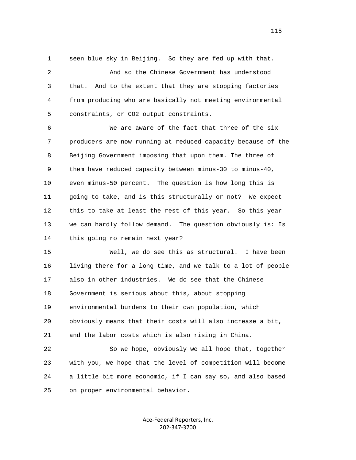1 seen blue sky in Beijing. So they are fed up with that.

 2 And so the Chinese Government has understood 3 that. And to the extent that they are stopping factories 4 from producing who are basically not meeting environmental 5 constraints, or CO2 output constraints.

 6 We are aware of the fact that three of the six 7 producers are now running at reduced capacity because of the 8 Beijing Government imposing that upon them. The three of 9 them have reduced capacity between minus-30 to minus-40, 10 even minus-50 percent. The question is how long this is 11 going to take, and is this structurally or not? We expect 12 this to take at least the rest of this year. So this year 13 we can hardly follow demand. The question obviously is: Is 14 this going ro remain next year?

 15 Well, we do see this as structural. I have been 16 living there for a long time, and we talk to a lot of people 17 also in other industries. We do see that the Chinese 18 Government is serious about this, about stopping 19 environmental burdens to their own population, which 20 obviously means that their costs will also increase a bit, 21 and the labor costs which is also rising in China.

 22 So we hope, obviously we all hope that, together 23 with you, we hope that the level of competition will become 24 a little bit more economic, if I can say so, and also based 25 on proper environmental behavior.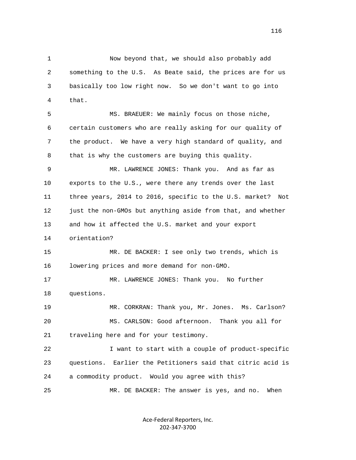1 Now beyond that, we should also probably add 2 something to the U.S. As Beate said, the prices are for us 3 basically too low right now. So we don't want to go into 4 that.

 5 MS. BRAEUER: We mainly focus on those niche, 6 certain customers who are really asking for our quality of 7 the product. We have a very high standard of quality, and 8 that is why the customers are buying this quality.

 9 MR. LAWRENCE JONES: Thank you. And as far as 10 exports to the U.S., were there any trends over the last 11 three years, 2014 to 2016, specific to the U.S. market? Not 12 just the non-GMOs but anything aside from that, and whether 13 and how it affected the U.S. market and your export

14 orientation?

 15 MR. DE BACKER: I see only two trends, which is 16 lowering prices and more demand for non-GMO.

 17 MR. LAWRENCE JONES: Thank you. No further 18 questions.

 19 MR. CORKRAN: Thank you, Mr. Jones. Ms. Carlson? 20 MS. CARLSON: Good afternoon. Thank you all for 21 traveling here and for your testimony.

 22 I want to start with a couple of product-specific 23 questions. Earlier the Petitioners said that citric acid is 24 a commodity product. Would you agree with this? 25 MR. DE BACKER: The answer is yes, and no. When

> Ace-Federal Reporters, Inc. 202-347-3700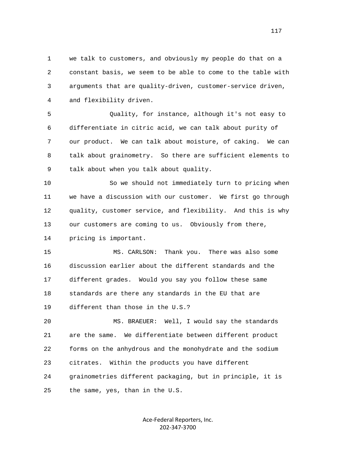1 we talk to customers, and obviously my people do that on a 2 constant basis, we seem to be able to come to the table with 3 arguments that are quality-driven, customer-service driven, 4 and flexibility driven.

 5 Quality, for instance, although it's not easy to 6 differentiate in citric acid, we can talk about purity of 7 our product. We can talk about moisture, of caking. We can 8 talk about grainometry. So there are sufficient elements to 9 talk about when you talk about quality.

 10 So we should not immediately turn to pricing when 11 we have a discussion with our customer. We first go through 12 quality, customer service, and flexibility. And this is why 13 our customers are coming to us. Obviously from there,

14 pricing is important.

25 the same, yes, than in the U.S.

 15 MS. CARLSON: Thank you. There was also some 16 discussion earlier about the different standards and the 17 different grades. Would you say you follow these same 18 standards are there any standards in the EU that are 19 different than those in the U.S.?

 20 MS. BRAEUER: Well, I would say the standards 21 are the same. We differentiate between different product 22 forms on the anhydrous and the monohydrate and the sodium 23 citrates. Within the products you have different 24 grainometries different packaging, but in principle, it is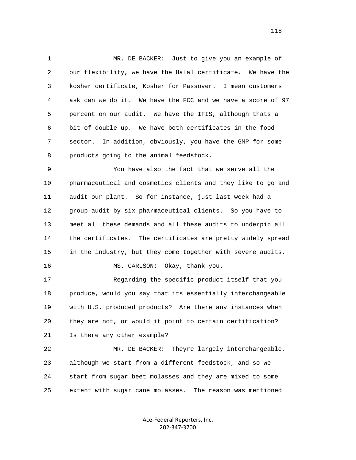1 MR. DE BACKER: Just to give you an example of 2 our flexibility, we have the Halal certificate. We have the 3 kosher certificate, Kosher for Passover. I mean customers 4 ask can we do it. We have the FCC and we have a score of 97 5 percent on our audit. We have the IFIS, although thats a 6 bit of double up. We have both certificates in the food 7 sector. In addition, obviously, you have the GMP for some 8 products going to the animal feedstock.

 9 You have also the fact that we serve all the 10 pharmaceutical and cosmetics clients and they like to go and 11 audit our plant. So for instance, just last week had a 12 group audit by six pharmaceutical clients. So you have to 13 meet all these demands and all these audits to underpin all 14 the certificates. The certificates are pretty widely spread 15 in the industry, but they come together with severe audits.

16 MS. CARLSON: Okay, thank you.

 17 Regarding the specific product itself that you 18 produce, would you say that its essentially interchangeable 19 with U.S. produced products? Are there any instances when 20 they are not, or would it point to certain certification? 21 Is there any other example?

 22 MR. DE BACKER: Theyre largely interchangeable, 23 although we start from a different feedstock, and so we 24 start from sugar beet molasses and they are mixed to some 25 extent with sugar cane molasses. The reason was mentioned

> Ace-Federal Reporters, Inc. 202-347-3700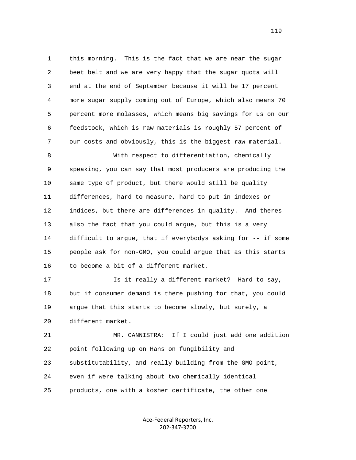1 this morning. This is the fact that we are near the sugar 2 beet belt and we are very happy that the sugar quota will 3 end at the end of September because it will be 17 percent 4 more sugar supply coming out of Europe, which also means 70 5 percent more molasses, which means big savings for us on our 6 feedstock, which is raw materials is roughly 57 percent of 7 our costs and obviously, this is the biggest raw material. 8 With respect to differentiation, chemically

 9 speaking, you can say that most producers are producing the 10 same type of product, but there would still be quality 11 differences, hard to measure, hard to put in indexes or 12 indices, but there are differences in quality. And theres 13 also the fact that you could argue, but this is a very 14 difficult to argue, that if everybodys asking for -- if some 15 people ask for non-GMO, you could argue that as this starts 16 to become a bit of a different market.

 17 Is it really a different market? Hard to say, 18 but if consumer demand is there pushing for that, you could 19 argue that this starts to become slowly, but surely, a 20 different market.

 21 MR. CANNISTRA: If I could just add one addition 22 point following up on Hans on fungibility and 23 substitutability, and really building from the GMO point, 24 even if were talking about two chemically identical 25 products, one with a kosher certificate, the other one

> Ace-Federal Reporters, Inc. 202-347-3700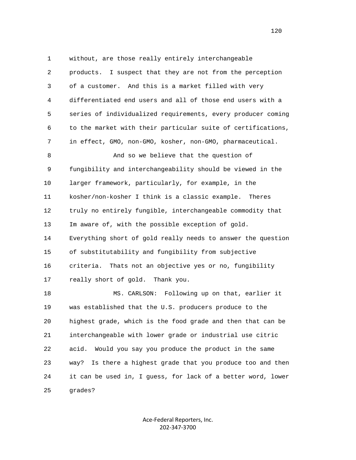1 without, are those really entirely interchangeable 2 products. I suspect that they are not from the perception 3 of a customer. And this is a market filled with very 4 differentiated end users and all of those end users with a 5 series of individualized requirements, every producer coming 6 to the market with their particular suite of certifications, 7 in effect, GMO, non-GMO, kosher, non-GMO, pharmaceutical. 8 And so we believe that the question of 9 fungibility and interchangeability should be viewed in the 10 larger framework, particularly, for example, in the 11 kosher/non-kosher I think is a classic example. Theres 12 truly no entirely fungible, interchangeable commodity that 13 Im aware of, with the possible exception of gold. 14 Everything short of gold really needs to answer the question 15 of substitutability and fungibility from subjective 16 criteria. Thats not an objective yes or no, fungibility 17 really short of gold. Thank you. 18 MS. CARLSON: Following up on that, earlier it 19 was established that the U.S. producers produce to the 20 highest grade, which is the food grade and then that can be

> Ace-Federal Reporters, Inc. 202-347-3700

21 interchangeable with lower grade or industrial use citric

22 acid. Would you say you produce the product in the same

25 grades?

23 way? Is there a highest grade that you produce too and then

24 it can be used in, I guess, for lack of a better word, lower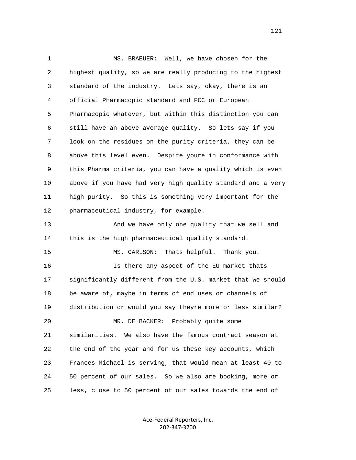1 MS. BRAEUER: Well, we have chosen for the 2 highest quality, so we are really producing to the highest 3 standard of the industry. Lets say, okay, there is an 4 official Pharmacopic standard and FCC or European 5 Pharmacopic whatever, but within this distinction you can 6 still have an above average quality. So lets say if you 7 look on the residues on the purity criteria, they can be 8 above this level even. Despite youre in conformance with 9 this Pharma criteria, you can have a quality which is even 10 above if you have had very high quality standard and a very 11 high purity. So this is something very important for the 12 pharmaceutical industry, for example. 13 And we have only one quality that we sell and 14 this is the high pharmaceutical quality standard. 15 MS. CARLSON: Thats helpful. Thank you. 16 Is there any aspect of the EU market thats 17 significantly different from the U.S. market that we should 18 be aware of, maybe in terms of end uses or channels of 19 distribution or would you say theyre more or less similar? 20 MR. DE BACKER: Probably quite some 21 similarities. We also have the famous contract season at 22 the end of the year and for us these key accounts, which 23 Frances Michael is serving, that would mean at least 40 to 24 50 percent of our sales. So we also are booking, more or 25 less, close to 50 percent of our sales towards the end of

> Ace-Federal Reporters, Inc. 202-347-3700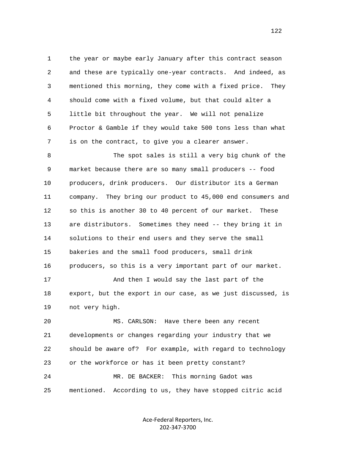1 the year or maybe early January after this contract season 2 and these are typically one-year contracts. And indeed, as 3 mentioned this morning, they come with a fixed price. They 4 should come with a fixed volume, but that could alter a 5 little bit throughout the year. We will not penalize 6 Proctor & Gamble if they would take 500 tons less than what 7 is on the contract, to give you a clearer answer.

 8 The spot sales is still a very big chunk of the 9 market because there are so many small producers -- food 10 producers, drink producers. Our distributor its a German 11 company. They bring our product to 45,000 end consumers and 12 so this is another 30 to 40 percent of our market. These 13 are distributors. Sometimes they need -- they bring it in 14 solutions to their end users and they serve the small 15 bakeries and the small food producers, small drink 16 producers, so this is a very important part of our market. 17 And then I would say the last part of the 18 export, but the export in our case, as we just discussed, is 19 not very high. 20 MS. CARLSON: Have there been any recent 21 developments or changes regarding your industry that we 22 should be aware of? For example, with regard to technology 23 or the workforce or has it been pretty constant? 24 MR. DE BACKER: This morning Gadot was

25 mentioned. According to us, they have stopped citric acid

Ace-Federal Reporters, Inc. 202-347-3700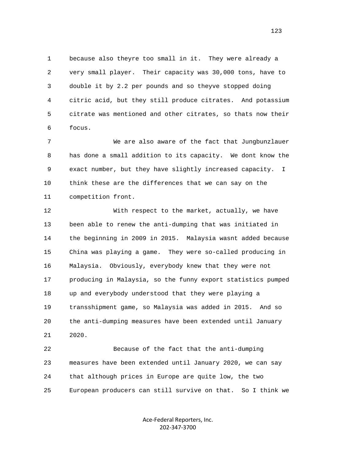1 because also theyre too small in it. They were already a 2 very small player. Their capacity was 30,000 tons, have to 3 double it by 2.2 per pounds and so theyve stopped doing 4 citric acid, but they still produce citrates. And potassium 5 citrate was mentioned and other citrates, so thats now their 6 focus.

 7 We are also aware of the fact that Jungbunzlauer 8 has done a small addition to its capacity. We dont know the 9 exact number, but they have slightly increased capacity. I 10 think these are the differences that we can say on the 11 competition front.

 12 With respect to the market, actually, we have 13 been able to renew the anti-dumping that was initiated in 14 the beginning in 2009 in 2015. Malaysia wasnt added because 15 China was playing a game. They were so-called producing in 16 Malaysia. Obviously, everybody knew that they were not 17 producing in Malaysia, so the funny export statistics pumped 18 up and everybody understood that they were playing a 19 transshipment game, so Malaysia was added in 2015. And so 20 the anti-dumping measures have been extended until January 21 2020.

 22 Because of the fact that the anti-dumping 23 measures have been extended until January 2020, we can say 24 that although prices in Europe are quite low, the two 25 European producers can still survive on that. So I think we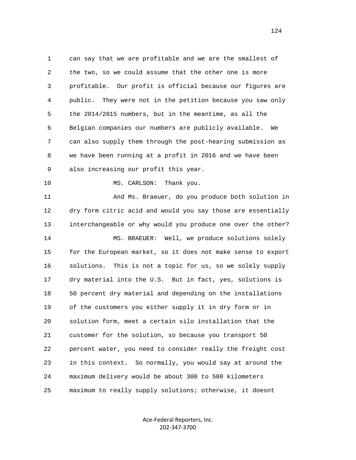1 can say that we are profitable and we are the smallest of 2 the two, so we could assume that the other one is more 3 profitable. Our profit is official because our figures are 4 public. They were not in the petition because you saw only 5 the 2014/2015 numbers, but in the meantime, as all the 6 Belgian companies our numbers are publicly available. We 7 can also supply them through the post-hearing submission as 8 we have been running at a profit in 2016 and we have been 9 also increasing our profit this year.

10 MS. CARLSON: Thank you.

 11 And Ms. Braeuer, do you produce both solution in 12 dry form citric acid and would you say those are essentially 13 interchangeable or why would you produce one over the other? 14 MS. BRAEUER: Well, we produce solutions solely 15 for the European market, so it does not make sense to export 16 solutions. This is not a topic for us, so we solely supply 17 dry material into the U.S. But in fact, yes, solutions is 18 50 percent dry material and depending on the installations 19 of the customers you either supply it in dry form or in 20 solution form, meet a certain silo installation that the 21 customer for the solution, so because you transport 50 22 percent water, you need to consider really the freight cost 23 in this context. So normally, you would say at around the 24 maximum delivery would be about 300 to 500 kilometers 25 maximum to really supply solutions; otherwise, it doesnt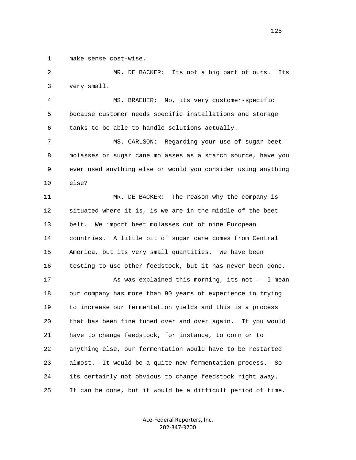1 make sense cost-wise.

 2 MR. DE BACKER: Its not a big part of ours. Its 3 very small.

 4 MS. BRAEUER: No, its very customer-specific 5 because customer needs specific installations and storage 6 tanks to be able to handle solutions actually.

 7 MS. CARLSON: Regarding your use of sugar beet 8 molasses or sugar cane molasses as a starch source, have you 9 ever used anything else or would you consider using anything 10 else?

 11 MR. DE BACKER: The reason why the company is 12 situated where it is, is we are in the middle of the beet 13 belt. We import beet molasses out of nine European 14 countries. A little bit of sugar cane comes from Central 15 America, but its very small quantities. We have been 16 testing to use other feedstock, but it has never been done.

17 As was explained this morning, its not -- I mean 18 our company has more than 90 years of experience in trying 19 to increase our fermentation yields and this is a process 20 that has been fine tuned over and over again. If you would 21 have to change feedstock, for instance, to corn or to 22 anything else, our fermentation would have to be restarted 23 almost. It would be a quite new fermentation process. So 24 its certainly not obvious to change feedstock right away. 25 It can be done, but it would be a difficult period of time.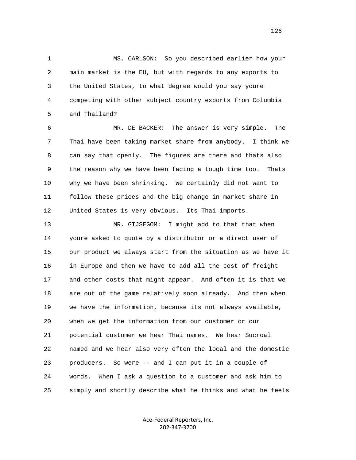1 MS. CARLSON: So you described earlier how your 2 main market is the EU, but with regards to any exports to 3 the United States, to what degree would you say youre 4 competing with other subject country exports from Columbia 5 and Thailand?

 6 MR. DE BACKER: The answer is very simple. The 7 Thai have been taking market share from anybody. I think we 8 can say that openly. The figures are there and thats also 9 the reason why we have been facing a tough time too. Thats 10 why we have been shrinking. We certainly did not want to 11 follow these prices and the big change in market share in 12 United States is very obvious. Its Thai imports.

 13 MR. GIJSEGOM: I might add to that that when 14 youre asked to quote by a distributor or a direct user of 15 our product we always start from the situation as we have it 16 in Europe and then we have to add all the cost of freight 17 and other costs that might appear. And often it is that we 18 are out of the game relatively soon already. And then when 19 we have the information, because its not always available, 20 when we get the information from our customer or our 21 potential customer we hear Thai names. We hear Sucroal 22 named and we hear also very often the local and the domestic 23 producers. So were -- and I can put it in a couple of 24 words. When I ask a question to a customer and ask him to 25 simply and shortly describe what he thinks and what he feels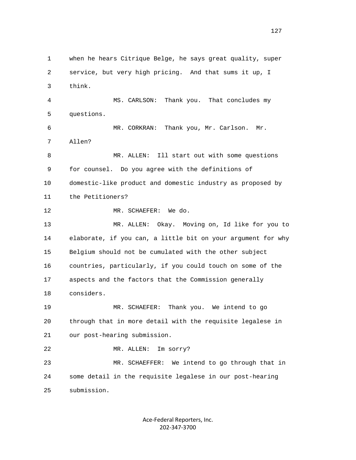1 when he hears Citrique Belge, he says great quality, super 2 service, but very high pricing. And that sums it up, I 3 think. 4 MS. CARLSON: Thank you. That concludes my 5 questions. 6 MR. CORKRAN: Thank you, Mr. Carlson. Mr. 7 Allen? 8 MR. ALLEN: Ill start out with some questions 9 for counsel. Do you agree with the definitions of 10 domestic-like product and domestic industry as proposed by 11 the Petitioners? 12 MR. SCHAEFER: We do. 13 MR. ALLEN: Okay. Moving on, Id like for you to 14 elaborate, if you can, a little bit on your argument for why 15 Belgium should not be cumulated with the other subject 16 countries, particularly, if you could touch on some of the 17 aspects and the factors that the Commission generally 18 considers. 19 MR. SCHAEFER: Thank you. We intend to go 20 through that in more detail with the requisite legalese in 21 our post-hearing submission. 22 MR. ALLEN: Im sorry? 23 MR. SCHAEFFER: We intend to go through that in 24 some detail in the requisite legalese in our post-hearing 25 submission.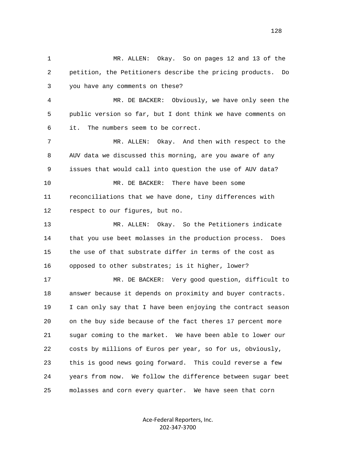1 MR. ALLEN: Okay. So on pages 12 and 13 of the 2 petition, the Petitioners describe the pricing products. Do 3 you have any comments on these? 4 MR. DE BACKER: Obviously, we have only seen the 5 public version so far, but I dont think we have comments on 6 it. The numbers seem to be correct. 7 MR. ALLEN: Okay. And then with respect to the 8 AUV data we discussed this morning, are you aware of any 9 issues that would call into question the use of AUV data? 10 MR. DE BACKER: There have been some 11 reconciliations that we have done, tiny differences with 12 respect to our figures, but no. 13 MR. ALLEN: Okay. So the Petitioners indicate 14 that you use beet molasses in the production process. Does 15 the use of that substrate differ in terms of the cost as 16 opposed to other substrates; is it higher, lower? 17 MR. DE BACKER: Very good question, difficult to 18 answer because it depends on proximity and buyer contracts. 19 I can only say that I have been enjoying the contract season 20 on the buy side because of the fact theres 17 percent more 21 sugar coming to the market. We have been able to lower our 22 costs by millions of Euros per year, so for us, obviously, 23 this is good news going forward. This could reverse a few 24 years from now. We follow the difference between sugar beet 25 molasses and corn every quarter. We have seen that corn

> Ace-Federal Reporters, Inc. 202-347-3700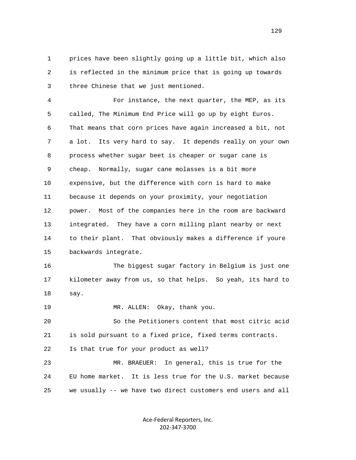1 prices have been slightly going up a little bit, which also 2 is reflected in the minimum price that is going up towards 3 three Chinese that we just mentioned.

 4 For instance, the next quarter, the MEP, as its 5 called, The Minimum End Price will go up by eight Euros. 6 That means that corn prices have again increased a bit, not 7 a lot. Its very hard to say. It depends really on your own 8 process whether sugar beet is cheaper or sugar cane is 9 cheap. Normally, sugar cane molasses is a bit more 10 expensive, but the difference with corn is hard to make 11 because it depends on your proximity, your negotiation 12 power. Most of the companies here in the room are backward 13 integrated. They have a corn milling plant nearby or next 14 to their plant. That obviously makes a difference if youre 15 backwards integrate.

 16 The biggest sugar factory in Belgium is just one 17 kilometer away from us, so that helps. So yeah, its hard to 18 say.

19 MR. ALLEN: Okay, thank you.

 20 So the Petitioners content that most citric acid 21 is sold pursuant to a fixed price, fixed terms contracts.

22 Is that true for your product as well?

 23 MR. BRAEUER: In general, this is true for the 24 EU home market. It is less true for the U.S. market because 25 we usually -- we have two direct customers end users and all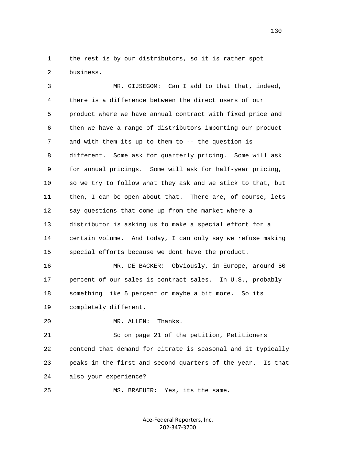1 the rest is by our distributors, so it is rather spot 2 business.

 3 MR. GIJSEGOM: Can I add to that that, indeed, 4 there is a difference between the direct users of our 5 product where we have annual contract with fixed price and 6 then we have a range of distributors importing our product 7 and with them its up to them to -- the question is 8 different. Some ask for quarterly pricing. Some will ask 9 for annual pricings. Some will ask for half-year pricing, 10 so we try to follow what they ask and we stick to that, but 11 then, I can be open about that. There are, of course, lets 12 say questions that come up from the market where a 13 distributor is asking us to make a special effort for a 14 certain volume. And today, I can only say we refuse making 15 special efforts because we dont have the product. 16 MR. DE BACKER: Obviously, in Europe, around 50 17 percent of our sales is contract sales. In U.S., probably

18 something like 5 percent or maybe a bit more. So its

19 completely different.

$$
20\quad
$$

MR. ALLEN: Thanks.

 21 So on page 21 of the petition, Petitioners 22 contend that demand for citrate is seasonal and it typically 23 peaks in the first and second quarters of the year. Is that 24 also your experience?

25 MS. BRAEUER: Yes, its the same.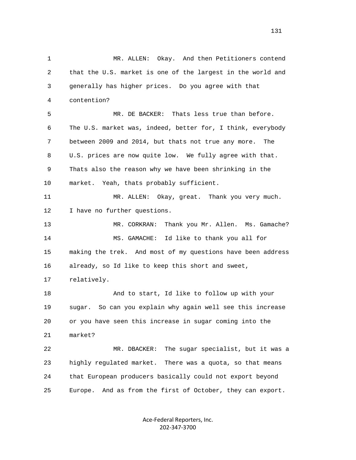1 MR. ALLEN: Okay. And then Petitioners contend 2 that the U.S. market is one of the largest in the world and 3 generally has higher prices. Do you agree with that 4 contention? 5 MR. DE BACKER: Thats less true than before. 6 The U.S. market was, indeed, better for, I think, everybody 7 between 2009 and 2014, but thats not true any more. The 8 U.S. prices are now quite low. We fully agree with that. 9 Thats also the reason why we have been shrinking in the 10 market. Yeah, thats probably sufficient. 11 MR. ALLEN: Okay, great. Thank you very much. 12 I have no further questions. 13 MR. CORKRAN: Thank you Mr. Allen. Ms. Gamache? 14 MS. GAMACHE: Id like to thank you all for 15 making the trek. And most of my questions have been address 16 already, so Id like to keep this short and sweet, 17 relatively. 18 And to start, Id like to follow up with your 19 sugar. So can you explain why again well see this increase 20 or you have seen this increase in sugar coming into the 21 market? 22 MR. DBACKER: The sugar specialist, but it was a 23 highly regulated market. There was a quota, so that means 24 that European producers basically could not export beyond 25 Europe. And as from the first of October, they can export.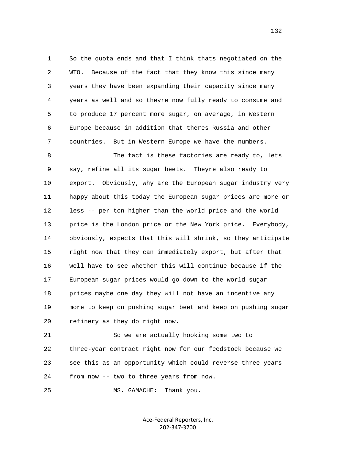1 So the quota ends and that I think thats negotiated on the 2 WTO. Because of the fact that they know this since many 3 years they have been expanding their capacity since many 4 years as well and so theyre now fully ready to consume and 5 to produce 17 percent more sugar, on average, in Western 6 Europe because in addition that theres Russia and other 7 countries. But in Western Europe we have the numbers.

8 The fact is these factories are ready to, lets 9 say, refine all its sugar beets. Theyre also ready to 10 export. Obviously, why are the European sugar industry very 11 happy about this today the European sugar prices are more or 12 less -- per ton higher than the world price and the world 13 price is the London price or the New York price. Everybody, 14 obviously, expects that this will shrink, so they anticipate 15 right now that they can immediately export, but after that 16 well have to see whether this will continue because if the 17 European sugar prices would go down to the world sugar 18 prices maybe one day they will not have an incentive any 19 more to keep on pushing sugar beet and keep on pushing sugar 20 refinery as they do right now.

 21 So we are actually hooking some two to 22 three-year contract right now for our feedstock because we 23 see this as an opportunity which could reverse three years 24 from now -- two to three years from now.

25 MS. GAMACHE: Thank you.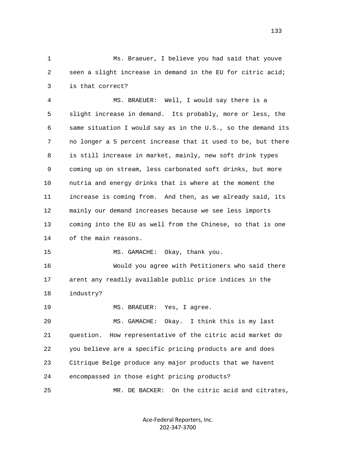1 Ms. Braeuer, I believe you had said that youve 2 seen a slight increase in demand in the EU for citric acid; 3 is that correct?

 4 MS. BRAEUER: Well, I would say there is a 5 slight increase in demand. Its probably, more or less, the 6 same situation I would say as in the U.S., so the demand its 7 no longer a 5 percent increase that it used to be, but there 8 is still increase in market, mainly, new soft drink types 9 coming up on stream, less carbonated soft drinks, but more 10 nutria and energy drinks that is where at the moment the 11 increase is coming from. And then, as we already said, its 12 mainly our demand increases because we see less imports 13 coming into the EU as well from the Chinese, so that is one 14 of the main reasons.

15 MS. GAMACHE: Okay, thank you.

 16 Would you agree with Petitioners who said there 17 arent any readily available public price indices in the 18 industry?

19 MS. BRAEUER: Yes, I agree.

 20 MS. GAMACHE: Okay. I think this is my last 21 question. How representative of the citric acid market do 22 you believe are a specific pricing products are and does 23 Citrique Belge produce any major products that we havent 24 encompassed in those eight pricing products? 25 MR. DE BACKER: On the citric acid and citrates,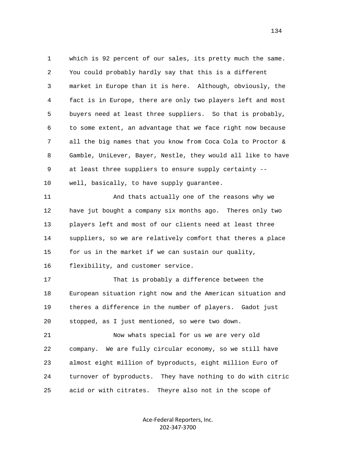1 which is 92 percent of our sales, its pretty much the same. 2 You could probably hardly say that this is a different 3 market in Europe than it is here. Although, obviously, the 4 fact is in Europe, there are only two players left and most 5 buyers need at least three suppliers. So that is probably, 6 to some extent, an advantage that we face right now because 7 all the big names that you know from Coca Cola to Proctor & 8 Gamble, UniLever, Bayer, Nestle, they would all like to have 9 at least three suppliers to ensure supply certainty -- 10 well, basically, to have supply guarantee. 11 And thats actually one of the reasons why we 12 have jut bought a company six months ago. Theres only two 13 players left and most of our clients need at least three 14 suppliers, so we are relatively comfort that theres a place 15 for us in the market if we can sustain our quality, 16 flexibility, and customer service. 17 That is probably a difference between the 18 European situation right now and the American situation and 19 theres a difference in the number of players. Gadot just 20 stopped, as I just mentioned, so were two down. 21 Now whats special for us we are very old 22 company. We are fully circular economy, so we still have 23 almost eight million of byproducts, eight million Euro of 24 turnover of byproducts. They have nothing to do with citric 25 acid or with citrates. Theyre also not in the scope of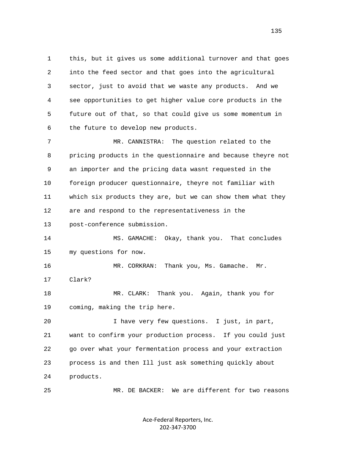1 this, but it gives us some additional turnover and that goes 2 into the feed sector and that goes into the agricultural 3 sector, just to avoid that we waste any products. And we 4 see opportunities to get higher value core products in the 5 future out of that, so that could give us some momentum in 6 the future to develop new products.

 7 MR. CANNISTRA: The question related to the 8 pricing products in the questionnaire and because theyre not 9 an importer and the pricing data wasnt requested in the 10 foreign producer questionnaire, theyre not familiar with 11 which six products they are, but we can show them what they 12 are and respond to the representativeness in the 13 post-conference submission.

 14 MS. GAMACHE: Okay, thank you. That concludes 15 my questions for now.

 16 MR. CORKRAN: Thank you, Ms. Gamache. Mr. 17 Clark?

 18 MR. CLARK: Thank you. Again, thank you for 19 coming, making the trip here.

 20 I have very few questions. I just, in part, 21 want to confirm your production process. If you could just 22 go over what your fermentation process and your extraction 23 process is and then Ill just ask something quickly about 24 products.

25 MR. DE BACKER: We are different for two reasons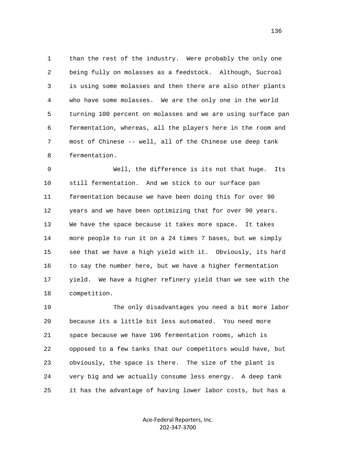1 than the rest of the industry. Were probably the only one 2 being fully on molasses as a feedstock. Although, Sucroal 3 is using some molasses and then there are also other plants 4 who have some molasses. We are the only one in the world 5 turning 100 percent on molasses and we are using surface pan 6 fermentation, whereas, all the players here in the room and 7 most of Chinese -- well, all of the Chinese use deep tank 8 fermentation.

 9 Well, the difference is its not that huge. Its 10 still fermentation. And we stick to our surface pan 11 fermentation because we have been doing this for over 90 12 years and we have been optimizing that for over 90 years. 13 We have the space because it takes more space. It takes 14 more people to run it on a 24 times 7 bases, but we simply 15 see that we have a high yield with it. Obviously, its hard 16 to say the number here, but we have a higher fermentation 17 yield. We have a higher refinery yield than we see with the 18 competition.

 19 The only disadvantages you need a bit more labor 20 because its a little bit less automated. You need more 21 space because we have 196 fermentation rooms, which is 22 opposed to a few tanks that our competitors would have, but 23 obviously, the space is there. The size of the plant is 24 very big and we actually consume less energy. A deep tank 25 it has the advantage of having lower labor costs, but has a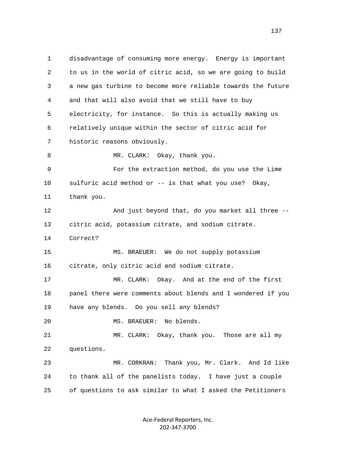1 disadvantage of consuming more energy. Energy is important 2 to us in the world of citric acid, so we are going to build 3 a new gas turbine to become more reliable towards the future 4 and that will also avoid that we still have to buy 5 electricity, for instance. So this is actually making us 6 relatively unique within the sector of citric acid for 7 historic reasons obviously. 8 MR. CLARK: Okay, thank you. 9 For the extraction method, do you use the Lime 10 sulfuric acid method or -- is that what you use? Okay, 11 thank you. 12 And just beyond that, do you market all three -- 13 citric acid, potassium citrate, and sodium citrate. 14 Correct? 15 MS. BRAEUER: We do not supply potassium 16 citrate, only citric acid and sodium citrate. 17 MR. CLARK: Okay. And at the end of the first 18 panel there were comments about blends and I wondered if you 19 have any blends. Do you sell any blends? 20 MS. BRAEUER: No blends. 21 MR. CLARK: Okay, thank you. Those are all my 22 questions. 23 MR. CORKRAN: Thank you, Mr. Clark. And Id like 24 to thank all of the panelists today. I have just a couple 25 of questions to ask similar to what I asked the Petitioners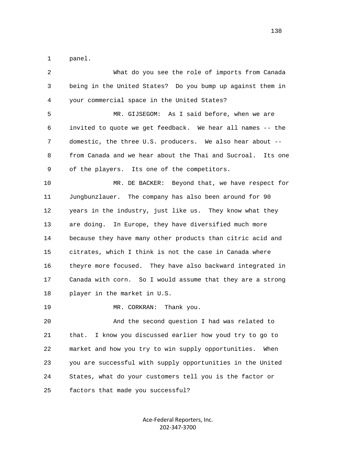1 panel.

| 2  | What do you see the role of imports from Canada             |
|----|-------------------------------------------------------------|
| 3  | being in the United States? Do you bump up against them in  |
| 4  | your commercial space in the United States?                 |
| 5  | MR. GIJSEGOM: As I said before, when we are                 |
| 6  | invited to quote we get feedback. We hear all names -- the  |
| 7  | domestic, the three U.S. producers. We also hear about --   |
| 8  | from Canada and we hear about the Thai and Sucroal. Its one |
| 9  | of the players. Its one of the competitors.                 |
| 10 | MR. DE BACKER: Beyond that, we have respect for             |
| 11 | Jungbunzlauer. The company has also been around for 90      |
| 12 | years in the industry, just like us. They know what they    |
| 13 | are doing. In Europe, they have diversified much more       |
| 14 | because they have many other products than citric acid and  |
| 15 | citrates, which I think is not the case in Canada where     |
| 16 | theyre more focused. They have also backward integrated in  |
| 17 | Canada with corn. So I would assume that they are a strong  |
| 18 | player in the market in U.S.                                |
| 19 | MR. CORKRAN:<br>Thank you.                                  |
| 20 | And the second question I had was related to                |
| 21 | I know you discussed earlier how youd try to go to<br>that. |
| 22 | market and how you try to win supply opportunities.<br>When |
| 23 | you are successful with supply opportunities in the United  |
| 24 | States, what do your customers tell you is the factor or    |
| 25 | factors that made you successful?                           |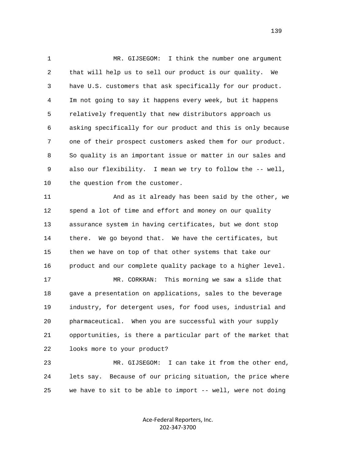1 MR. GIJSEGOM: I think the number one argument 2 that will help us to sell our product is our quality. We 3 have U.S. customers that ask specifically for our product. 4 Im not going to say it happens every week, but it happens 5 relatively frequently that new distributors approach us 6 asking specifically for our product and this is only because 7 one of their prospect customers asked them for our product. 8 So quality is an important issue or matter in our sales and 9 also our flexibility. I mean we try to follow the -- well, 10 the question from the customer.

 11 And as it already has been said by the other, we 12 spend a lot of time and effort and money on our quality 13 assurance system in having certificates, but we dont stop 14 there. We go beyond that. We have the certificates, but 15 then we have on top of that other systems that take our 16 product and our complete quality package to a higher level.

 17 MR. CORKRAN: This morning we saw a slide that 18 gave a presentation on applications, sales to the beverage 19 industry, for detergent uses, for food uses, industrial and 20 pharmaceutical. When you are successful with your supply 21 opportunities, is there a particular part of the market that 22 looks more to your product?

 23 MR. GIJSEGOM: I can take it from the other end, 24 lets say. Because of our pricing situation, the price where 25 we have to sit to be able to import -- well, were not doing

> Ace-Federal Reporters, Inc. 202-347-3700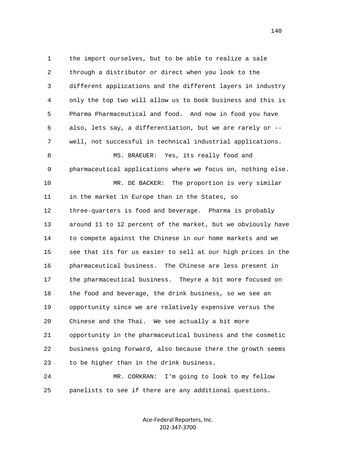1 the import ourselves, but to be able to realize a sale 2 through a distributor or direct when you look to the 3 different applications and the different layers in industry 4 only the top two will allow us to book business and this is 5 Pharma Pharmaceutical and food. And now in food you have 6 also, lets say, a differentiation, but we are rarely or -- 7 well, not successful in technical industrial applications. 8 MS. BRAEUER: Yes, its really food and 9 pharmaceutical applications where we focus on, nothing else. 10 MR. DE BACKER: The proportion is very similar 11 in the market in Europe than in the States, so 12 three-quarters is food and beverage. Pharma is probably 13 around 11 to 12 percent of the market, but we obviously have 14 to compete against the Chinese in our home markets and we 15 see that its for us easier to sell at our high prices in the 16 pharmaceutical business. The Chinese are less present in 17 the pharmaceutical business. Theyre a bit more focused on 18 the food and beverage, the drink business, so we see an 19 opportunity since we are relatively expensive versus the 20 Chinese and the Thai. We see actually a bit more 21 opportunity in the pharmaceutical business and the cosmetic 22 business going forward, also because there the growth seems 23 to be higher than in the drink business.

 24 MR. CORKRAN: I'm going to look to my fellow 25 panelists to see if there are any additional questions.

> Ace-Federal Reporters, Inc. 202-347-3700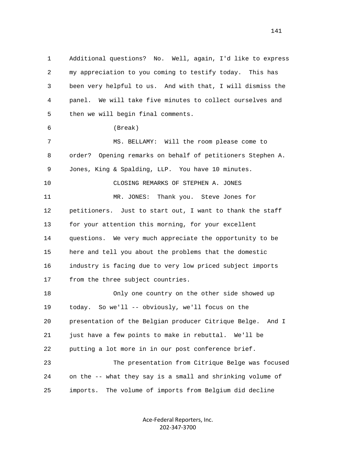1 Additional questions? No. Well, again, I'd like to express 2 my appreciation to you coming to testify today. This has 3 been very helpful to us. And with that, I will dismiss the 4 panel. We will take five minutes to collect ourselves and 5 then we will begin final comments. 6 (Break) 7 MS. BELLAMY: Will the room please come to 8 order? Opening remarks on behalf of petitioners Stephen A. 9 Jones, King & Spalding, LLP. You have 10 minutes. 10 CLOSING REMARKS OF STEPHEN A. JONES 11 MR. JONES: Thank you. Steve Jones for 12 petitioners. Just to start out, I want to thank the staff 13 for your attention this morning, for your excellent 14 questions. We very much appreciate the opportunity to be 15 here and tell you about the problems that the domestic 16 industry is facing due to very low priced subject imports 17 from the three subject countries. 18 Only one country on the other side showed up 19 today. So we'll -- obviously, we'll focus on the 20 presentation of the Belgian producer Citrique Belge. And I 21 just have a few points to make in rebuttal. We'll be 22 putting a lot more in in our post conference brief. 23 The presentation from Citrique Belge was focused 24 on the -- what they say is a small and shrinking volume of 25 imports. The volume of imports from Belgium did decline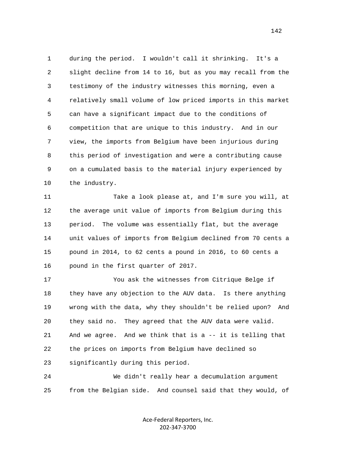1 during the period. I wouldn't call it shrinking. It's a 2 slight decline from 14 to 16, but as you may recall from the 3 testimony of the industry witnesses this morning, even a 4 relatively small volume of low priced imports in this market 5 can have a significant impact due to the conditions of 6 competition that are unique to this industry. And in our 7 view, the imports from Belgium have been injurious during 8 this period of investigation and were a contributing cause 9 on a cumulated basis to the material injury experienced by 10 the industry.

 11 Take a look please at, and I'm sure you will, at 12 the average unit value of imports from Belgium during this 13 period. The volume was essentially flat, but the average 14 unit values of imports from Belgium declined from 70 cents a 15 pound in 2014, to 62 cents a pound in 2016, to 60 cents a 16 pound in the first quarter of 2017.

 17 You ask the witnesses from Citrique Belge if 18 they have any objection to the AUV data. Is there anything 19 wrong with the data, why they shouldn't be relied upon? And 20 they said no. They agreed that the AUV data were valid. 21 And we agree. And we think that is a -- it is telling that 22 the prices on imports from Belgium have declined so 23 significantly during this period.

 24 We didn't really hear a decumulation argument 25 from the Belgian side. And counsel said that they would, of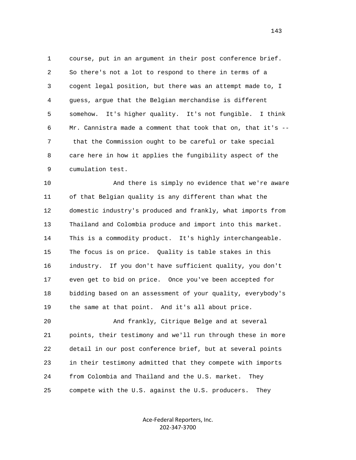1 course, put in an argument in their post conference brief. 2 So there's not a lot to respond to there in terms of a 3 cogent legal position, but there was an attempt made to, I 4 guess, argue that the Belgian merchandise is different 5 somehow. It's higher quality. It's not fungible. I think 6 Mr. Cannistra made a comment that took that on, that it's -- 7 that the Commission ought to be careful or take special 8 care here in how it applies the fungibility aspect of the 9 cumulation test.

 10 And there is simply no evidence that we're aware 11 of that Belgian quality is any different than what the 12 domestic industry's produced and frankly, what imports from 13 Thailand and Colombia produce and import into this market. 14 This is a commodity product. It's highly interchangeable. 15 The focus is on price. Quality is table stakes in this 16 industry. If you don't have sufficient quality, you don't 17 even get to bid on price. Once you've been accepted for 18 bidding based on an assessment of your quality, everybody's 19 the same at that point. And it's all about price.

 20 And frankly, Citrique Belge and at several 21 points, their testimony and we'll run through these in more 22 detail in our post conference brief, but at several points 23 in their testimony admitted that they compete with imports 24 from Colombia and Thailand and the U.S. market. They 25 compete with the U.S. against the U.S. producers. They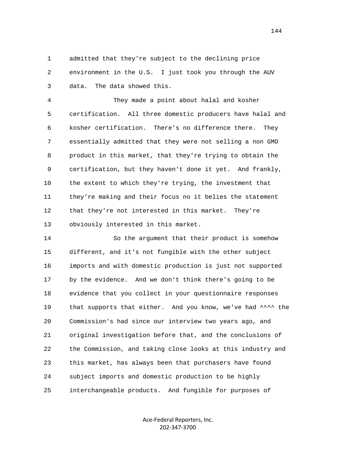1 admitted that they're subject to the declining price 2 environment in the U.S. I just took you through the AUV 3 data. The data showed this.

 4 They made a point about halal and kosher 5 certification. All three domestic producers have halal and 6 kosher certification. There's no difference there. They 7 essentially admitted that they were not selling a non GMO 8 product in this market, that they're trying to obtain the 9 certification, but they haven't done it yet. And frankly, 10 the extent to which they're trying, the investment that 11 they're making and their focus no it belies the statement 12 that they're not interested in this market. They're 13 obviously interested in this market.

 14 So the argument that their product is somehow 15 different, and it's not fungible with the other subject 16 imports and with domestic production is just not supported 17 by the evidence. And we don't think there's going to be 18 evidence that you collect in your questionnaire responses 19 that supports that either. And you know, we've had ^^^^ the 20 Commission's had since our interview two years ago, and 21 original investigation before that, and the conclusions of 22 the Commission, and taking close looks at this industry and 23 this market, has always been that purchasers have found 24 subject imports and domestic production to be highly 25 interchangeable products. And fungible for purposes of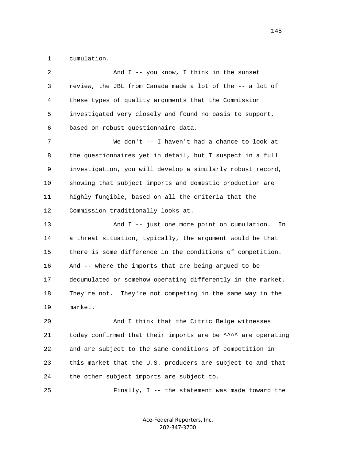1 cumulation.

| 2      | And I -- you know, I think in the sunset                     |
|--------|--------------------------------------------------------------|
| 3      | review, the JBL from Canada made a lot of the -- a lot of    |
| 4      | these types of quality arguments that the Commission         |
| 5      | investigated very closely and found no basis to support,     |
| 6      | based on robust questionnaire data.                          |
| 7      | We don't -- I haven't had a chance to look at                |
| 8      | the questionnaires yet in detail, but I suspect in a full    |
| 9      | investigation, you will develop a similarly robust record,   |
| $10\,$ | showing that subject imports and domestic production are     |
| 11     | highly fungible, based on all the criteria that the          |
| 12     | Commission traditionally looks at.                           |
| 13     | And I -- just one more point on cumulation.<br>In            |
| 14     | a threat situation, typically, the argument would be that    |
| 15     | there is some difference in the conditions of competition.   |
| 16     | And -- where the imports that are being argued to be         |
| 17     | decumulated or somehow operating differently in the market.  |
| 18     | They're not. They're not competing in the same way in the    |
| 19     | market.                                                      |
| 20     | And I think that the Citric Belge witnesses                  |
| 21     | today confirmed that their imports are be ^^^^ are operating |
| 22     | and are subject to the same conditions of competition in     |
| 23     | this market that the U.S. producers are subject to and that  |
| 24     | the other subject imports are subject to.                    |
| 25     | Finally, I -- the statement was made toward the              |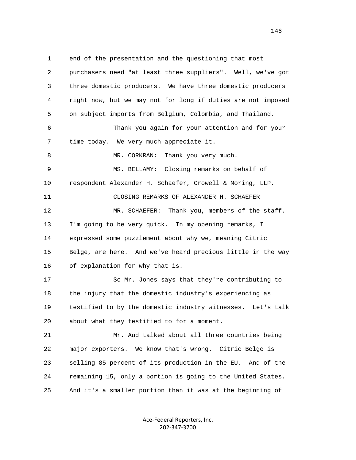1 end of the presentation and the questioning that most 2 purchasers need "at least three suppliers". Well, we've got 3 three domestic producers. We have three domestic producers 4 right now, but we may not for long if duties are not imposed 5 on subject imports from Belgium, Colombia, and Thailand. 6 Thank you again for your attention and for your 7 time today. We very much appreciate it. 8 MR. CORKRAN: Thank you very much. 9 MS. BELLAMY: Closing remarks on behalf of 10 respondent Alexander H. Schaefer, Crowell & Moring, LLP. 11 CLOSING REMARKS OF ALEXANDER H. SCHAEFER 12 MR. SCHAEFER: Thank you, members of the staff. 13 I'm going to be very quick. In my opening remarks, I 14 expressed some puzzlement about why we, meaning Citric 15 Belge, are here. And we've heard precious little in the way 16 of explanation for why that is. 17 So Mr. Jones says that they're contributing to 18 the injury that the domestic industry's experiencing as 19 testified to by the domestic industry witnesses. Let's talk 20 about what they testified to for a moment. 21 Mr. Aud talked about all three countries being 22 major exporters. We know that's wrong. Citric Belge is 23 selling 85 percent of its production in the EU. And of the 24 remaining 15, only a portion is going to the United States. 25 And it's a smaller portion than it was at the beginning of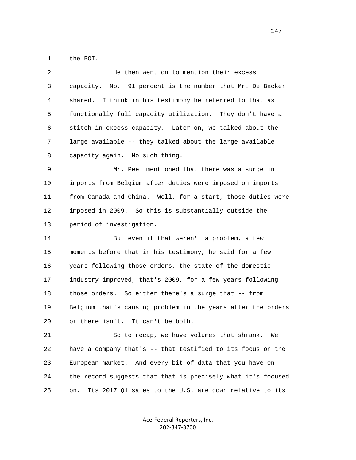1 the POI.

| 2  | He then went on to mention their excess                      |
|----|--------------------------------------------------------------|
| 3  | capacity. No. 91 percent is the number that Mr. De Backer    |
| 4  | I think in his testimony he referred to that as<br>shared.   |
| 5  | functionally full capacity utilization. They don't have a    |
| 6  | stitch in excess capacity. Later on, we talked about the     |
| 7  | large available -- they talked about the large available     |
| 8  | capacity again. No such thing.                               |
| 9  | Mr. Peel mentioned that there was a surge in                 |
| 10 | imports from Belgium after duties were imposed on imports    |
| 11 | from Canada and China. Well, for a start, those duties were  |
| 12 | imposed in 2009. So this is substantially outside the        |
| 13 | period of investigation.                                     |
| 14 | But even if that weren't a problem, a few                    |
| 15 | moments before that in his testimony, he said for a few      |
| 16 | years following those orders, the state of the domestic      |
| 17 | industry improved, that's 2009, for a few years following    |
| 18 | those orders. So either there's a surge that -- from         |
| 19 | Belgium that's causing problem in the years after the orders |
| 20 | or there isn't. It can't be both.                            |
| 21 | So to recap, we have volumes that shrank.<br>We              |
| 22 | have a company that's -- that testified to its focus on the  |
| 23 | European market. And every bit of data that you have on      |
| 24 | the record suggests that that is precisely what it's focused |

Ace-Federal Reporters, Inc. 202-347-3700

25 on. Its 2017 Q1 sales to the U.S. are down relative to its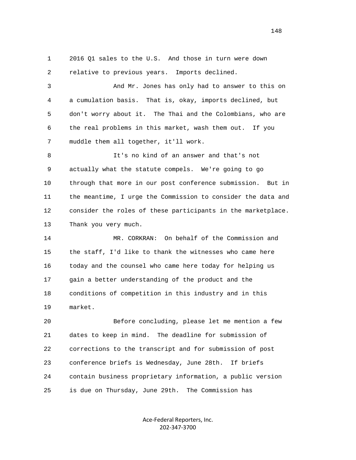1 2016 Q1 sales to the U.S. And those in turn were down 2 relative to previous years. Imports declined.

 3 And Mr. Jones has only had to answer to this on 4 a cumulation basis. That is, okay, imports declined, but 5 don't worry about it. The Thai and the Colombians, who are 6 the real problems in this market, wash them out. If you 7 muddle them all together, it'll work.

 8 It's no kind of an answer and that's not 9 actually what the statute compels. We're going to go 10 through that more in our post conference submission. But in 11 the meantime, I urge the Commission to consider the data and 12 consider the roles of these participants in the marketplace. 13 Thank you very much.

 14 MR. CORKRAN: On behalf of the Commission and 15 the staff, I'd like to thank the witnesses who came here 16 today and the counsel who came here today for helping us 17 gain a better understanding of the product and the 18 conditions of competition in this industry and in this 19 market.

 20 Before concluding, please let me mention a few 21 dates to keep in mind. The deadline for submission of 22 corrections to the transcript and for submission of post 23 conference briefs is Wednesday, June 28th. If briefs 24 contain business proprietary information, a public version 25 is due on Thursday, June 29th. The Commission has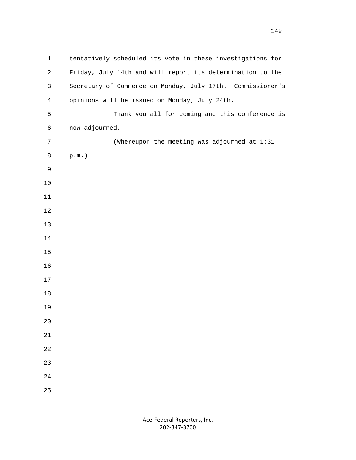| $\mathbf{1}$   | tentatively scheduled its vote in these investigations for |
|----------------|------------------------------------------------------------|
| $\overline{2}$ | Friday, July 14th and will report its determination to the |
| 3              | Secretary of Commerce on Monday, July 17th. Commissioner's |
| $\overline{4}$ | opinions will be issued on Monday, July 24th.              |
| 5              | Thank you all for coming and this conference is            |
| $\epsilon$     | now adjourned.                                             |
| $\overline{7}$ | (Whereupon the meeting was adjourned at 1:31               |
| 8              | $p.m.$ )                                                   |
| $\mathsf 9$    |                                                            |
| $10$           |                                                            |
| 11             |                                                            |
| $12\,$         |                                                            |
| 13             |                                                            |
| 14             |                                                            |
| 15             |                                                            |
| 16             |                                                            |
| 17             |                                                            |
| $18\,$         |                                                            |
| 19             |                                                            |
| 20             |                                                            |
| 21             |                                                            |
| 22             |                                                            |
| 23             |                                                            |
| 24             |                                                            |
| 25             |                                                            |